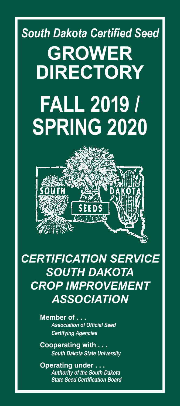# *South Dakota Certified Seed* **GROWER DIRECTORY FALL 2019 / SPRING 2020**



*CERTIFICATION SERVICE SOUTH DAKOTA CROP IMPROVEMENT ASSOCIATION*

> **Member of . . .** *Association of Official Seed Certifying Agencies*

**Cooperating with . . .** *South Dakota State University*

**Operating under . . .** *Authority of the South Dakota State Seed Certification Board*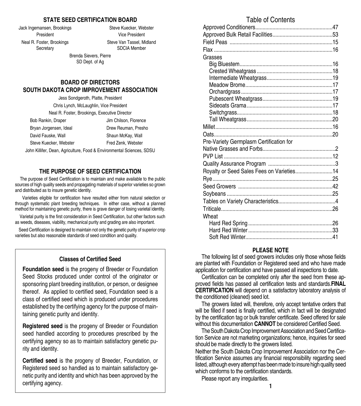#### **STATE SEED CERTIFICATION BOARD**

Jack Ingemansen, Brookings Steve Kuecker, Webster

President Vice President Neal R. Foster, Brookings Steve Van Tassel, Midland Secretary SDCIA Member

> Brenda Sievers, Pierre SD Dept. of Ag

#### **BOARD OF DIRECTORS SOUTH DAKOTA CROP IMPROVEMENT ASSOCIATION**

| Jess Sondgeroth, Platte, President                                    |                       |
|-----------------------------------------------------------------------|-----------------------|
| Chris Lynch, McLaughlin, Vice President                               |                       |
| Neal R. Foster, Brookings, Executive Director                         |                       |
| Bob Rankin, Draper                                                    | Jim Chilson, Florence |
| Bryan Jorgensen, Ideal                                                | Drew Reuman, Presho   |
| David Fauske, Wall                                                    | Shaun McKay, Wall     |
| Steve Kuecker, Webster                                                | Fred Zenk, Webster    |
| lohn Killifer, Dean, Agriculture, Food & Environmental Sciences, SDSU |                       |

#### **THE PURPOSE OF SEED CERTIFICATION**

The purpose of Seed Certification is to maintain and make available to the public sources of high quality seeds and propagating materials of superior varieties so grown and distributed as to insure genetic identity.

 Varieties eligible for certification have resulted either from natural selection or through systematic plant breeding techniques. In either case, without a planned method for maintaining genetic purity, there is grave danger of losing varietal identity.

 Varietal purity is the first consideration in Seed Certification, but other factors such as weeds, diseases, viability, mechanical purity and grading are also important.

 Seed Certification is designed to maintain not only the genetic purity of superior crop varieties but also reasonable standards of seed condition and quality.

#### **Classes of Certified Seed**

**Foundation seed** is the progeny of Breeder or Foundation Seed Stocks produced under control of the originator or sponsoring plant breeding institution, or person, or designee thereof. As applied to certified seed, Foundation seed is a class of certified seed which is produced under procedures established by the certifying agency for the purpose of maintaining genetic purity and identity.

**Registered seed** is the progeny of Breeder or Foundation seed handled according to procedures prescribed by the certifying agency so as to maintain satisfactory genetic purity and identity.

**2 1 Certified seed** is the progeny of Breeder, Foundation, or Registered seed so handled as to maintain satisfactory genetic purity and identity and which has been approved by the certifying agency.

#### Table of Contents

| Grasses                                   |  |
|-------------------------------------------|--|
|                                           |  |
|                                           |  |
|                                           |  |
|                                           |  |
|                                           |  |
|                                           |  |
|                                           |  |
|                                           |  |
|                                           |  |
|                                           |  |
|                                           |  |
| Pre-Variety Germplasm Certification for   |  |
|                                           |  |
|                                           |  |
|                                           |  |
| Royalty or Seed Sales Fees on Varieties14 |  |
|                                           |  |
|                                           |  |
|                                           |  |
|                                           |  |
|                                           |  |
|                                           |  |
| Wheat                                     |  |
|                                           |  |
|                                           |  |
|                                           |  |

#### **PLEASE NOTE**

The following list of seed growers includes only those whose fields are planted with Foundation or Registered seed and who have made application for certification and have passed all inspections to date.

Certification can be completed only after the seed from these approved fields has passed all certification tests and standards.**FINAL CERTIFICATION** will depend on a satisfactory laboratory analysis of the conditioned (cleaned) seed lot.

The growers listed will, therefore, only accept tentative orders that will be filled if seed is finally certified, which in fact will be designated by the certification tag or bulk transfer certificate. Seed offered for sale without this documentation **CANNOT** be considered Certified Seed.

The South Dakota Crop Improvement Association and Seed Certification Service are not marketing organizations; hence, inquiries for seed should be made directly to the growers listed.

Neither the South Dakota Crop Improvement Association nor the Certification Service assumes any financial responsibility regarding seed listed, although every attempt has been made to insure high quality seed which conforms to the certification standards.

Please report any irregularities.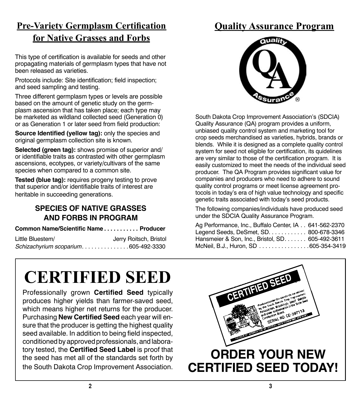### **Pre-Variety Germplasm Certification for Native Grasses and Forbs**

This type of certification is available for seeds and other propagating materials of germplasm types that have not been released as varieties.

Protocols include: Site identification; field inspection; and seed sampling and testing.

Three different germplasm types or levels are possible based on the amount of genetic study on the germplasm ascension that has taken place; each type may be marketed as wildland collected seed (Generation 0) or as Generation 1 or later seed from field production:

**Source Identified (yellow tag): only the species and** original germplasm collection site is known.

**Selected (green tag):** shows promise of superior and/ or identifiable traits as contrasted with other germplasm ascensions, ecotypes, or variety/cultivars of the same species when compared to a common site.

**Tested (blue tag):** requires progeny testing to prove that superior and/or identifiable traits of interest are heritable in succeeding generations.

### **SPECIES OF NATIVE GRASSES AND FORBS IN PROGRAM**

#### **Common Name/Scientific Name** . **. . . . . . . . . Producer**

| Little Bluestem/                    | Jerry Roitsch, Bristol |
|-------------------------------------|------------------------|
| Schizachyrium scoparium605-492-3330 |                        |

## **Quality Assurance Program**



South Dakota Crop Improvement Association's (SDCIA) Quality Assurance (QA) program provides a uniform, unbiased quality control system and marketing tool for crop seeds merchandised as varieties, hybrids, brands or blends. While it is designed as a complete quality control system for seed not eligible for certification, its quidelines are very similar to those of the certification program. It is easily customized to meet the needs of the individual seed producer. The QA Program provides significant value for companies and producers who need to adhere to sound quality control programs or meet license agreement protocols in today's era of high value technology and specific genetic traits associated with today's seed products.

The following companies/individuals have produced seed under the SDCIA Quality Assurance Program.

| Ag Performance, Inc., Buffalo Center, IA 641-562-2370 |  |
|-------------------------------------------------------|--|
| Legend Seeds, DeSmet, SD. 800-678-3346                |  |
| Hansmeier & Son, Inc., Bristol, SD. 605-492-3611      |  |
| McNeil, B.J., Huron, SD 605-354-3419                  |  |

Professionally grown **Certified Seed** typically produces higher yields than farmer-saved seed, which means higher net returns for the producer. Purchasing **New Certified Seed** each year will ensure that the producer is getting the highest quality seed available. In addition to being field inspected, conditioned by approved professionals, and laboratory tested, the **Certified Seed Label** is proof that the seed has met all of the standards set forth by the South Dakota Crop Improvement Association.

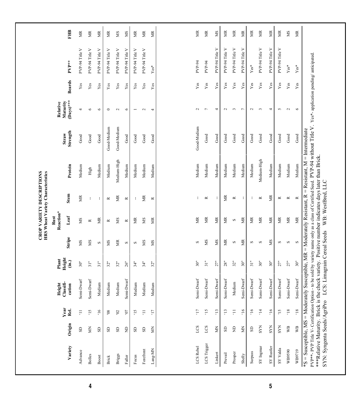| PVP-94 Title V<br>PVP-94 Title V<br>PVP-94 Title V<br>PVP-94 Title V<br>PVP-94 Title V<br>PVP-94 Title V<br>PVP-94 Title V<br>PVP-94 Title V<br>PVP-94 Title V<br>PVP-94 Title V<br>PVP-94 Title V<br>PVP-94 Title V<br>PVP-94 Title V<br>PVP-94 Title V<br>PVP-94 Title V<br>$PVP**$<br>PVP-94<br>PVP-94<br>$\mathbf{Yes}^*$<br>$Yes*$<br>$Yes*$<br>Beards<br>Yes<br>Yes<br>Yes<br>Yes<br>${\it Yes}$<br>Yes<br>Yes<br>Yes<br>${\bf Y}$ es<br>$_{\rm Yes}$<br>$_{\rm Yes}$<br>Yes<br>$_{\rm Yes}$<br>Yes<br>Yes<br>Yes<br>$Y$ es<br>Yes<br>Yes<br>Yes<br>$(Days)$ ***<br>Maturity<br>$\overline{c}$<br>$\epsilon$<br>$\overline{\phantom{a}}$<br>$\sim$<br>$\overline{ }$<br>$\sim$<br>$\sim$<br>$\overline{ }$<br>$\sim$<br>S<br>4<br>$\circ$<br>$\circ$<br>$\circ$<br>$\circ$<br>4<br>4<br>2<br>$\mathbf{\sim}$<br>Good-Medium<br>Good-Medium<br>Good-Medium<br>Strength<br><b>Straw</b><br>$_{\rm Good}$<br>Good<br>${\bf Good}$<br>$_{\rm Good}$<br>Good<br>$_{\rm Good}$<br>$_{\rm Good}$<br>$_{\rm Good}$<br>${\mathsf{Good}}$<br>Good<br>Good<br>Good<br>Good<br>Good<br>$_{\rm Good}$<br>Good<br>Good<br>Medium-High<br>Medium-High<br>Medium<br>Medium<br>Medium<br>Medium<br>Medium<br>Medium<br>Medium<br>Medium<br>Medium<br>Protein<br>Medium<br>Medium<br>Medium<br>Medium<br>Medium<br>Medium<br>Medium<br>Medium<br>High<br>Stem<br>ЙK<br>Ř<br>ã<br>g<br>ă<br>$\approx$<br>$\simeq$<br>t<br>t<br>$\approx$<br>≃<br>$\approx$<br>÷<br>$\simeq$<br>÷<br>$\simeq$<br>÷<br>ł<br>$\simeq$<br>Leaf<br>$\mathbb M$<br>ЙK<br>ЙK<br>ЙK<br>ЙK<br>SM<br>МR<br>МS<br>ЙK<br>ЙK<br>ã<br>Ĕ<br>ЙK<br>SM<br>ЖR<br><b>EX</b><br>$\infty$<br>$\simeq$<br>$\approx$<br>$\simeq$<br>Stripe<br>МS<br>SM<br>ЙK<br>МS<br>XS<br>МS<br>ЙR<br>МS<br>ã<br>SM<br>SM<br>$\boldsymbol{\infty}$<br>$\infty$<br>S<br>S<br>S<br>S<br>S<br>S<br>S<br>Height<br>$\hat{a}$<br>31"<br>30"<br>31"<br>30"<br>30"<br>30"<br>27"<br>28"<br>32"<br>30"<br>$\frac{1}{2}$<br>27"<br>27"<br>31"<br>32"<br>34"<br>26"<br>34"<br>32"<br>32"<br>Semi-Dwarf<br>Semi-Dwarf<br>Semi-Dwarf<br>Semi-Dwarf<br>Semi-Dwarf<br>Semi-Dwarf<br>Semi-Dwarf<br>Semi-Dwarf<br>Semi-Dwarf<br>Semi-Dwarf<br>Semi-Dwarf<br>Semi-Dwarf<br>Semi-Dwarf<br>Medium<br>Medium<br>Medium<br>Medium<br>Medium<br>Medium<br>cation<br>Medium<br>Year<br>Rel.<br>$81,$<br>$91$<br>$91^{\circ}$<br>$91^{\circ}$<br>$\Xi$<br>$\Xi$<br>Ħ.<br>51<br>91,<br>51<br>$\Xi$<br>$\overline{11}$ ,<br>51,<br>$\ddot{1}$<br><b>SL</b><br>$\Xi$<br>$\pm 0,$<br>$\overline{11}$<br>$\infty$<br>$98\,$<br>Origin<br>LCS<br><b>SYN</b><br>LCS<br><b>SYN</b><br><b>SYN</b><br>$\mathbb{W}\mathbb{B}$<br>Š<br>$\mathop{\boxtimes}\limits$<br>$\Xi$<br>Š<br>$\Xi$<br>Š<br>$_{\rm{3D}}$<br>$\rm{S}$<br>$\rm{S}$<br>$\rm S$<br>GS<br>GS<br>$\rm{S}$<br>$\rm S$<br>LCS Trigger<br>Variety<br>LCS Rebel<br>SY Ingmar<br>SY Rustler<br>SY Valda<br>$Lang-MN$<br>Forefront<br>WB9590<br>Advance<br>Surpass<br>Prosper<br>Linkert<br>Prevail<br>Briggs<br><b>Bolles</b><br>Shelly<br>${\rm Focus}$<br><b>Boost</b><br>Faller<br>Brick |        |                |     | Height<br>Classifi- | Plant |   | Reaction*<br>Rust |           |        |      | Relative |             |        |           |
|--------------------------------------------------------------------------------------------------------------------------------------------------------------------------------------------------------------------------------------------------------------------------------------------------------------------------------------------------------------------------------------------------------------------------------------------------------------------------------------------------------------------------------------------------------------------------------------------------------------------------------------------------------------------------------------------------------------------------------------------------------------------------------------------------------------------------------------------------------------------------------------------------------------------------------------------------------------------------------------------------------------------------------------------------------------------------------------------------------------------------------------------------------------------------------------------------------------------------------------------------------------------------------------------------------------------------------------------------------------------------------------------------------------------------------------------------------------------------------------------------------------------------------------------------------------------------------------------------------------------------------------------------------------------------------------------------------------------------------------------------------------------------------------------------------------------------------------------------------------------------------------------------------------------------------------------------------------------------------------------------------------------------------------------------------------------------------------------------------------------------------------------------------------------------------------------------------------------------------------------------------------------------------------------------------------------------------------------------------------------------------------------------------------------------------------------------------------------------------------------------------------------------------------------------------------------------------------------------------------------------------------------------------------------------------------------------------------------------------------------------------------------------------------------------------------------------------------------------------------------------------------------------------------------------------------------------------------------------------------------------------------------------------------------------|--------|----------------|-----|---------------------|-------|---|-------------------|-----------|--------|------|----------|-------------|--------|-----------|
|                                                                                                                                                                                                                                                                                                                                                                                                                                                                                                                                                                                                                                                                                                                                                                                                                                                                                                                                                                                                                                                                                                                                                                                                                                                                                                                                                                                                                                                                                                                                                                                                                                                                                                                                                                                                                                                                                                                                                                                                                                                                                                                                                                                                                                                                                                                                                                                                                                                                                                                                                                                                                                                                                                                                                                                                                                                                                                                                                                                                                                                  |        |                |     |                     |       |   |                   |           |        |      |          |             |        | Ê         |
|                                                                                                                                                                                                                                                                                                                                                                                                                                                                                                                                                                                                                                                                                                                                                                                                                                                                                                                                                                                                                                                                                                                                                                                                                                                                                                                                                                                                                                                                                                                                                                                                                                                                                                                                                                                                                                                                                                                                                                                                                                                                                                                                                                                                                                                                                                                                                                                                                                                                                                                                                                                                                                                                                                                                                                                                                                                                                                                                                                                                                                                  |        |                |     |                     |       |   |                   |           |        |      |          |             |        | MR        |
|                                                                                                                                                                                                                                                                                                                                                                                                                                                                                                                                                                                                                                                                                                                                                                                                                                                                                                                                                                                                                                                                                                                                                                                                                                                                                                                                                                                                                                                                                                                                                                                                                                                                                                                                                                                                                                                                                                                                                                                                                                                                                                                                                                                                                                                                                                                                                                                                                                                                                                                                                                                                                                                                                                                                                                                                                                                                                                                                                                                                                                                  |        |                |     |                     |       |   |                   |           |        |      |          |             |        | ЙK        |
|                                                                                                                                                                                                                                                                                                                                                                                                                                                                                                                                                                                                                                                                                                                                                                                                                                                                                                                                                                                                                                                                                                                                                                                                                                                                                                                                                                                                                                                                                                                                                                                                                                                                                                                                                                                                                                                                                                                                                                                                                                                                                                                                                                                                                                                                                                                                                                                                                                                                                                                                                                                                                                                                                                                                                                                                                                                                                                                                                                                                                                                  |        |                |     |                     |       |   |                   |           |        |      |          |             |        | ЖR        |
|                                                                                                                                                                                                                                                                                                                                                                                                                                                                                                                                                                                                                                                                                                                                                                                                                                                                                                                                                                                                                                                                                                                                                                                                                                                                                                                                                                                                                                                                                                                                                                                                                                                                                                                                                                                                                                                                                                                                                                                                                                                                                                                                                                                                                                                                                                                                                                                                                                                                                                                                                                                                                                                                                                                                                                                                                                                                                                                                                                                                                                                  |        |                |     |                     |       |   |                   |           |        |      |          |             |        | ЙK        |
|                                                                                                                                                                                                                                                                                                                                                                                                                                                                                                                                                                                                                                                                                                                                                                                                                                                                                                                                                                                                                                                                                                                                                                                                                                                                                                                                                                                                                                                                                                                                                                                                                                                                                                                                                                                                                                                                                                                                                                                                                                                                                                                                                                                                                                                                                                                                                                                                                                                                                                                                                                                                                                                                                                                                                                                                                                                                                                                                                                                                                                                  |        |                |     |                     |       |   |                   |           |        |      |          |             |        | МS        |
|                                                                                                                                                                                                                                                                                                                                                                                                                                                                                                                                                                                                                                                                                                                                                                                                                                                                                                                                                                                                                                                                                                                                                                                                                                                                                                                                                                                                                                                                                                                                                                                                                                                                                                                                                                                                                                                                                                                                                                                                                                                                                                                                                                                                                                                                                                                                                                                                                                                                                                                                                                                                                                                                                                                                                                                                                                                                                                                                                                                                                                                  |        |                |     |                     |       |   |                   |           |        |      |          |             |        | NS        |
|                                                                                                                                                                                                                                                                                                                                                                                                                                                                                                                                                                                                                                                                                                                                                                                                                                                                                                                                                                                                                                                                                                                                                                                                                                                                                                                                                                                                                                                                                                                                                                                                                                                                                                                                                                                                                                                                                                                                                                                                                                                                                                                                                                                                                                                                                                                                                                                                                                                                                                                                                                                                                                                                                                                                                                                                                                                                                                                                                                                                                                                  |        |                |     |                     |       |   |                   |           |        |      |          |             |        | MR        |
|                                                                                                                                                                                                                                                                                                                                                                                                                                                                                                                                                                                                                                                                                                                                                                                                                                                                                                                                                                                                                                                                                                                                                                                                                                                                                                                                                                                                                                                                                                                                                                                                                                                                                                                                                                                                                                                                                                                                                                                                                                                                                                                                                                                                                                                                                                                                                                                                                                                                                                                                                                                                                                                                                                                                                                                                                                                                                                                                                                                                                                                  |        |                |     |                     |       |   |                   |           |        |      |          |             |        | МR        |
|                                                                                                                                                                                                                                                                                                                                                                                                                                                                                                                                                                                                                                                                                                                                                                                                                                                                                                                                                                                                                                                                                                                                                                                                                                                                                                                                                                                                                                                                                                                                                                                                                                                                                                                                                                                                                                                                                                                                                                                                                                                                                                                                                                                                                                                                                                                                                                                                                                                                                                                                                                                                                                                                                                                                                                                                                                                                                                                                                                                                                                                  |        |                |     |                     |       |   |                   |           |        |      |          |             |        | МR        |
|                                                                                                                                                                                                                                                                                                                                                                                                                                                                                                                                                                                                                                                                                                                                                                                                                                                                                                                                                                                                                                                                                                                                                                                                                                                                                                                                                                                                                                                                                                                                                                                                                                                                                                                                                                                                                                                                                                                                                                                                                                                                                                                                                                                                                                                                                                                                                                                                                                                                                                                                                                                                                                                                                                                                                                                                                                                                                                                                                                                                                                                  |        |                |     |                     |       |   |                   |           |        |      |          |             |        | ЙK        |
|                                                                                                                                                                                                                                                                                                                                                                                                                                                                                                                                                                                                                                                                                                                                                                                                                                                                                                                                                                                                                                                                                                                                                                                                                                                                                                                                                                                                                                                                                                                                                                                                                                                                                                                                                                                                                                                                                                                                                                                                                                                                                                                                                                                                                                                                                                                                                                                                                                                                                                                                                                                                                                                                                                                                                                                                                                                                                                                                                                                                                                                  |        |                |     |                     |       |   |                   |           |        |      |          |             |        | ЙK        |
|                                                                                                                                                                                                                                                                                                                                                                                                                                                                                                                                                                                                                                                                                                                                                                                                                                                                                                                                                                                                                                                                                                                                                                                                                                                                                                                                                                                                                                                                                                                                                                                                                                                                                                                                                                                                                                                                                                                                                                                                                                                                                                                                                                                                                                                                                                                                                                                                                                                                                                                                                                                                                                                                                                                                                                                                                                                                                                                                                                                                                                                  |        |                |     |                     |       |   |                   |           |        |      |          |             |        | NS        |
|                                                                                                                                                                                                                                                                                                                                                                                                                                                                                                                                                                                                                                                                                                                                                                                                                                                                                                                                                                                                                                                                                                                                                                                                                                                                                                                                                                                                                                                                                                                                                                                                                                                                                                                                                                                                                                                                                                                                                                                                                                                                                                                                                                                                                                                                                                                                                                                                                                                                                                                                                                                                                                                                                                                                                                                                                                                                                                                                                                                                                                                  |        |                |     |                     |       |   |                   |           |        |      |          |             |        | g         |
|                                                                                                                                                                                                                                                                                                                                                                                                                                                                                                                                                                                                                                                                                                                                                                                                                                                                                                                                                                                                                                                                                                                                                                                                                                                                                                                                                                                                                                                                                                                                                                                                                                                                                                                                                                                                                                                                                                                                                                                                                                                                                                                                                                                                                                                                                                                                                                                                                                                                                                                                                                                                                                                                                                                                                                                                                                                                                                                                                                                                                                                  |        |                |     |                     |       |   |                   |           |        |      |          |             |        | <b>NR</b> |
|                                                                                                                                                                                                                                                                                                                                                                                                                                                                                                                                                                                                                                                                                                                                                                                                                                                                                                                                                                                                                                                                                                                                                                                                                                                                                                                                                                                                                                                                                                                                                                                                                                                                                                                                                                                                                                                                                                                                                                                                                                                                                                                                                                                                                                                                                                                                                                                                                                                                                                                                                                                                                                                                                                                                                                                                                                                                                                                                                                                                                                                  |        |                |     |                     |       |   |                   |           |        |      |          |             |        | МR        |
|                                                                                                                                                                                                                                                                                                                                                                                                                                                                                                                                                                                                                                                                                                                                                                                                                                                                                                                                                                                                                                                                                                                                                                                                                                                                                                                                                                                                                                                                                                                                                                                                                                                                                                                                                                                                                                                                                                                                                                                                                                                                                                                                                                                                                                                                                                                                                                                                                                                                                                                                                                                                                                                                                                                                                                                                                                                                                                                                                                                                                                                  |        |                |     |                     |       |   |                   |           |        |      |          |             |        | МR        |
|                                                                                                                                                                                                                                                                                                                                                                                                                                                                                                                                                                                                                                                                                                                                                                                                                                                                                                                                                                                                                                                                                                                                                                                                                                                                                                                                                                                                                                                                                                                                                                                                                                                                                                                                                                                                                                                                                                                                                                                                                                                                                                                                                                                                                                                                                                                                                                                                                                                                                                                                                                                                                                                                                                                                                                                                                                                                                                                                                                                                                                                  |        |                |     |                     |       |   |                   |           |        |      |          |             |        | МR        |
|                                                                                                                                                                                                                                                                                                                                                                                                                                                                                                                                                                                                                                                                                                                                                                                                                                                                                                                                                                                                                                                                                                                                                                                                                                                                                                                                                                                                                                                                                                                                                                                                                                                                                                                                                                                                                                                                                                                                                                                                                                                                                                                                                                                                                                                                                                                                                                                                                                                                                                                                                                                                                                                                                                                                                                                                                                                                                                                                                                                                                                                  |        |                |     |                     |       |   |                   |           |        |      |          |             |        | <b>受</b>  |
|                                                                                                                                                                                                                                                                                                                                                                                                                                                                                                                                                                                                                                                                                                                                                                                                                                                                                                                                                                                                                                                                                                                                                                                                                                                                                                                                                                                                                                                                                                                                                                                                                                                                                                                                                                                                                                                                                                                                                                                                                                                                                                                                                                                                                                                                                                                                                                                                                                                                                                                                                                                                                                                                                                                                                                                                                                                                                                                                                                                                                                                  |        |                |     |                     |       |   |                   |           |        |      |          |             |        | ЙK        |
|                                                                                                                                                                                                                                                                                                                                                                                                                                                                                                                                                                                                                                                                                                                                                                                                                                                                                                                                                                                                                                                                                                                                                                                                                                                                                                                                                                                                                                                                                                                                                                                                                                                                                                                                                                                                                                                                                                                                                                                                                                                                                                                                                                                                                                                                                                                                                                                                                                                                                                                                                                                                                                                                                                                                                                                                                                                                                                                                                                                                                                                  |        |                |     |                     |       |   |                   |           |        |      |          |             |        | NS        |
|                                                                                                                                                                                                                                                                                                                                                                                                                                                                                                                                                                                                                                                                                                                                                                                                                                                                                                                                                                                                                                                                                                                                                                                                                                                                                                                                                                                                                                                                                                                                                                                                                                                                                                                                                                                                                                                                                                                                                                                                                                                                                                                                                                                                                                                                                                                                                                                                                                                                                                                                                                                                                                                                                                                                                                                                                                                                                                                                                                                                                                                  | WB9719 | W <sub>B</sub> | 81, | Semi-Dwarf          | 30"   | S | ЙŘ                | $\approx$ | Medium | Good | $\circ$  | ${\bf Yes}$ | $Yes*$ | ЙK        |

**4**

**5**

 $S_{\rm{S}}$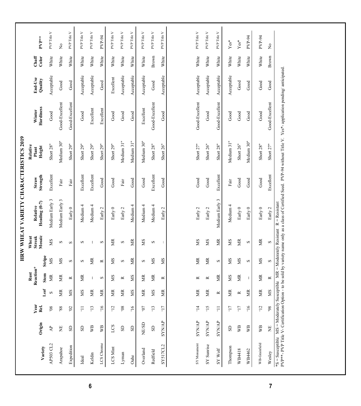| AP503 CL2<br>Variety<br>Arapahoe                                                       |                        |                  |           |                           |                       |                                  |                           |                   |                             |                                                                                                                                                                         |                    |                |                        |
|----------------------------------------------------------------------------------------|------------------------|------------------|-----------|---------------------------|-----------------------|----------------------------------|---------------------------|-------------------|-----------------------------|-------------------------------------------------------------------------------------------------------------------------------------------------------------------------|--------------------|----------------|------------------------|
|                                                                                        | Origin                 | Year<br>Rel.     | Leaf      | Reaction*<br>Rust<br>Stem | Stripe                | Mosaic<br><b>Streak</b><br>Wheat | Heading (0-7)<br>Relative | Strength<br>Straw | Relative<br>Height<br>Plant | Hardiness<br>Winter                                                                                                                                                     | End-Use<br>Quality | Chaff<br>Color | $PVP**$                |
|                                                                                        | $\mathsf{A}\mathsf{P}$ | 80               | $\infty$  | ЯW                        | SM                    | SM                               | Medium Early 3            | Excellent         | Short 28"                   | Good                                                                                                                                                                    | Acceptable         | White          | PVP Title V            |
|                                                                                        | $\Xi$                  | 88               | ЙK        | МR                        | SM                    | $\infty$                         | Medium Early 3            | Fair              | Medium 30"                  | Good-Excellent                                                                                                                                                          | $_{\rm Good}$      | White          | $\tilde{z}$            |
| Expedition                                                                             | $\rm{S}$               | $\mathfrak{S}$   | SW        | $\simeq$                  | $\infty$              | $\boldsymbol{\Omega}$            | Early 0                   | Fair              | Short 29"                   | Good-Excellent                                                                                                                                                          | Good               | White          | PVP Title V            |
| Ideal                                                                                  | $\rm S$                | $\Xi$            | SM        | ЯW                        | S                     | S                                | Medium 4                  | Excellent         | Short 29"                   | Good                                                                                                                                                                    | Acceptable         | White          | PVP Title V            |
| Keldin                                                                                 | WВ                     | 51,              | МR        | ÷                         | g                     | ÷                                | Medium 4                  | Excellent         | Short 29"                   | Excellent                                                                                                                                                               | Acceptable         | White          | PVP Title V            |
| LCS Chrome                                                                             | WВ                     | 91,              | <b>受</b>  | S                         | $\approx$             | $\infty$                         | Early 2                   | $_{\rm Good}$     | Short 29"                   | Excellent                                                                                                                                                               | Good               | White          | <b>PVP-94</b>          |
| LCS Mint                                                                               | LCS                    | $\overline{12}$  | <b>NB</b> | SM                        | SM                    | g                                | Early 0                   | ${\bf Good}$      | Short 29"                   | $_{\rm Good}$                                                                                                                                                           | Excellent          | White          | PVP Title V            |
| Lyman                                                                                  | $\rm{S}$               | 80,              | ЙR        | $\approx$                 | S                     | S                                | Early 2                   | $_{\rm Fair}$     | Medium 31"                  | Good                                                                                                                                                                    | Acceptable         | White          | PVP Title V            |
| Oahe                                                                                   | $_{\rm SD}$            | 16               | SM        | SM                        | g                     | ЙR                               | Medium 4                  | Good              | Medium 31"                  | Good                                                                                                                                                                    | Acceptable         | White          | ${\mbox{PVP}}$ Title V |
| Overland                                                                               | NE/SD                  | L0,              | ЙR        | МR                        | S                     | МS                               | Medium 4                  | Good              | Medium 30"                  | Excellent                                                                                                                                                               | Acceptable         | White          | PVP Title V            |
| Redfield                                                                               | $\mathbb S$            | 51               | SM        | МR                        | SM                    | $\infty$                         | Medium 4                  | Excellent         | Short 28"                   | Good-Excellent                                                                                                                                                          | ${\bf Good}$       | Brown          | PVP Title V            |
| SY517CL2                                                                               | <b>SYN/AP</b>          | $L1$ ,           | g         | $\approx$                 | SM                    | -1                               | Early 2                   | Good              | Short 26"                   | Good                                                                                                                                                                    | Acceptable         | White          | PVP Title V            |
| SY Monument                                                                            | <b>ANNAS</b>           | $\overline{11}$  | ЙR        | $\approx$                 | ÃК                    | MS                               | Early 2                   | Good              | Short 27"                   | Good-Excellent                                                                                                                                                          | Acceptable         | White          | PVP Title V            |
|                                                                                        |                        |                  |           |                           |                       |                                  |                           |                   |                             |                                                                                                                                                                         |                    |                |                        |
| SY Sunrise                                                                             | <b>SYN/AP</b>          | 51,              | <b>受</b>  | $\approx$                 | g                     | SM                               | Early 2                   | Good              | Short 26"                   | Good                                                                                                                                                                    | Acceptable         | White          | PVP Title V            |
| <b>SY Wolf</b>                                                                         | <b>SYN/AP</b>          | $\Xi$            | ≃         | ЙK                        | $\boldsymbol{\Omega}$ | МR                               | 3<br>Medium Early         | Excellent         | Short 28"                   | Good-Excellent                                                                                                                                                          | Acceptable         | White          | PVP Title V            |
| Thompson                                                                               | GS                     | $\overline{L}$ . | ЙK        | SM                        | SM                    | SM                               | Medium 4                  | Fair              | Medium 31"                  | Good                                                                                                                                                                    | Acceptable         | White          | $Yes*$                 |
| WB4418                                                                                 | $\mathbb W$            | $\overline{L}$ . | $\simeq$  | <b>MR</b>                 | SM                    | ЙK                               | Early 0                   | Good              | Short 26"                   | Good                                                                                                                                                                    | Good               | White          | $Yes^*$                |
| WB4462                                                                                 | WВ                     | 91,              | 贤<br>     | H                         | S                     | S                                | Early 0                   | $_{\rm Good}$     | Medium 30"                  | ${\bf Good}$                                                                                                                                                            | Good               | White          | PVP-94                 |
| WB-Grainfield                                                                          | ŠВ                     | 21,              | 贤<br>MR   | ЙK                        | SW                    | ЙK                               | Early 0                   | Good              | Short 28"                   | Good                                                                                                                                                                    | $_{\rm Good}$      | White          | PVP-94                 |
| Wesley                                                                                 | Ë                      | 86,              | МS        | $\simeq$                  | S                     | S                                | Early 2                   | Excellent         | Short $27"$                 | Good-Excellent                                                                                                                                                          | Good               | Brown          | $\tilde{z}$            |
| $*S$ = Susceptible MS = Moderately Susceptible MR = Moderately Resistant R = Resistant |                        |                  |           |                           |                       |                                  |                           |                   |                             | PVP**- PVP Title V- Certification Option - to be sold by variety name only as a class of Certified Seed. PVP-94 without Title V. Yes*- application pending/ anticipated |                    |                |                        |
|                                                                                        |                        |                  |           |                           |                       |                                  |                           |                   |                             |                                                                                                                                                                         |                    |                |                        |
|                                                                                        |                        |                  |           |                           |                       |                                  |                           |                   |                             |                                                                                                                                                                         |                    |                |                        |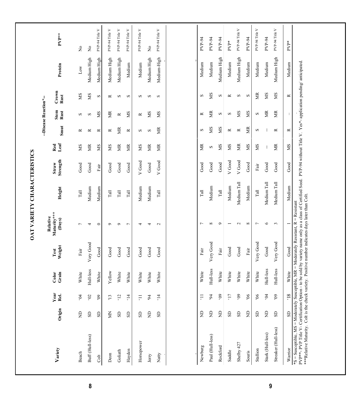| ${\bf PVP}^{**}$<br>PVP-94<br>PVP-94<br><b>PVP-94</b><br>PVP-94<br>PVP-94<br>$PVP*$<br>PVP*<br>$\frac{1}{2}$<br>ż<br>$\gtrsim$<br>Medium-High<br>Medium High<br>Medium High<br>Medium High<br>Medium High<br>Medium High<br>Medium High<br>Medium High<br>Medium High<br>*S = Susceptible, MS = Moderately Susceptible, MR = Moderately Resistant, R = Resistant<br>PVP**- PVP Title V- Certification Option - to be sold by variety name only as a class of Certified Seed. PVP-94 without Title V. Yes*-<br>Medium<br>Medium<br>Medium<br>Medium<br>Medium<br>Medium<br>Medium<br>Medium<br>Medium<br>Protein<br>$_{\rm Low}$<br>Crown<br>SM<br>É<br>SM<br>SM<br>МS<br>SM<br>$\infty$<br>S<br>ĸ<br>Rust<br>S<br>S<br>$\approx$<br>S<br>S<br>S<br>S<br>≃<br>S<br>S<br>Stem<br>Rust<br>SM<br>SM<br>É<br>g<br>SM<br>ã<br>SM<br>SM<br>SM<br>ã<br>S<br>≃<br>S<br>S<br>$\mathbf{I}$<br>$\approx$<br>$\approx$<br>S<br>S<br>Smut<br>SM<br>SM<br>覓<br>g<br>g<br>S<br>$\approx$<br>$\approx$<br>$\approx$<br>S<br>÷<br>$\approx$<br>$\infty$<br>≃<br>$\approx$<br>$\approx$<br>$\approx$<br>$\approx$<br>S<br>Leaf<br>g<br>SM<br>É<br>SW<br>SM<br>g<br>SM<br>Red<br>SM<br>ЙK<br>g<br>ЙK<br>SM<br>SM<br>ă<br>Ĕ<br>МS<br>SM<br>÷<br>$\infty$<br>Strength<br>V Good<br>V Good<br>V Good<br>V Good<br>Good<br>Straw<br>$_{\rm Good}$<br>Good<br>Good<br>$_{\mathrm{Good}}$<br>Good<br>Good<br>Good<br>Good<br>Good<br>Good<br>Good<br>Good<br>Fair<br>Fair<br>Medium Tall<br>Medium Tall<br>Medium Tall<br>Medium<br>Medium<br>Medium<br>Medium<br>Medium<br>Medium<br>Medium<br>Medium<br>Height<br>$\rm Tall$<br>Tall<br>$\rm Tall$<br>Tall<br>Tall<br>Tall<br>$\rm Tall$<br>Tall<br>check variety. Positive number indicates days later than Colt.<br>Maturity***<br>(Days)<br>$\infty$<br>$\circ$<br>$\sim$<br>$\infty$<br>$\circ$<br>$\mathfrak{g}$<br>$\circ$<br>Γ<br>$\overline{ }$<br>$\overline{\phantom{a}}$<br>4<br>$\circ$<br>$\circ$<br>4<br>$\mathbf{C}$<br>$\overline{ }$<br>4<br>Very Good<br>Very Good<br>Very Good<br>Very Good<br>Weight<br>Good<br>Good<br>Good<br>$\operatorname{Good}$<br>Good<br>Good<br>Good<br>Good<br>Good<br>Good<br>Good<br>$_{\rm Fair}$<br>$_{\rm Fair}$<br>$_{\rm Fair}$<br>Fair<br>Test<br>Hull-less<br>Hull-less<br>Hull-less<br>Hull-less<br>Yellow<br>White<br>White<br>White<br>White<br>White<br>Grain<br>White<br>White<br>White<br>Color<br>White<br>White<br>White<br>White<br>White<br>White<br>Year<br>Rel.<br>$81,$<br>60,<br>69<br>60,<br>17<br>66<br>$_{00}$<br>$\Xi$<br>9Q<br>64<br>$50^{\circ}$<br>$\Xi$<br>$\ddot{ }$<br>$\ddot{ }$<br>54<br>$\mathfrak{S}$<br>$\Xi$<br>$\Xi$<br>54<br>***Relative Maturity. Colt is the<br>Origin<br>$\rm{S}$<br>$\Xi$<br>$\epsilon$<br>$\Xi$<br>$\Xi$<br>$\Xi$<br>$\Xi$<br>$\Xi$<br>$\mathbb S$<br>$\rm S$<br>$\rm S$<br>$\mathbb S$<br>Š<br>$\rm S$<br>$\rm S$<br>S<br>S <sub>D</sub><br>SD<br>G<br>Streaker (Hull-less)<br>Stark (Hull-less)<br>Buff (Hull-less)<br>Paul (Hull-less)<br>Horsepower<br>Shelby 427<br>Newburg<br>Rockford<br>Warrior<br>Variety<br>Stallion<br>Goliath<br>Hayden<br>Saddle<br>Souris<br>Beach<br>$\mathop{\mathrm{Decm}}$<br>Natty<br>Jerry<br>$\rm{Cot}$ |  |  |          |  |  | --Disease Reaction*- |  |                |
|----------------------------------------------------------------------------------------------------------------------------------------------------------------------------------------------------------------------------------------------------------------------------------------------------------------------------------------------------------------------------------------------------------------------------------------------------------------------------------------------------------------------------------------------------------------------------------------------------------------------------------------------------------------------------------------------------------------------------------------------------------------------------------------------------------------------------------------------------------------------------------------------------------------------------------------------------------------------------------------------------------------------------------------------------------------------------------------------------------------------------------------------------------------------------------------------------------------------------------------------------------------------------------------------------------------------------------------------------------------------------------------------------------------------------------------------------------------------------------------------------------------------------------------------------------------------------------------------------------------------------------------------------------------------------------------------------------------------------------------------------------------------------------------------------------------------------------------------------------------------------------------------------------------------------------------------------------------------------------------------------------------------------------------------------------------------------------------------------------------------------------------------------------------------------------------------------------------------------------------------------------------------------------------------------------------------------------------------------------------------------------------------------------------------------------------------------------------------------------------------------------------------------------------------------------------------------------------------------------------------------------------------------------------------------------------------------------------------------------------------------------------------------------------------------------------------------------------------------------------------------------------------------------------------------------------------------------------------------------------------------------------------------------------------------------------------------------------------------------------------------------------------------------------------------------|--|--|----------|--|--|----------------------|--|----------------|
|                                                                                                                                                                                                                                                                                                                                                                                                                                                                                                                                                                                                                                                                                                                                                                                                                                                                                                                                                                                                                                                                                                                                                                                                                                                                                                                                                                                                                                                                                                                                                                                                                                                                                                                                                                                                                                                                                                                                                                                                                                                                                                                                                                                                                                                                                                                                                                                                                                                                                                                                                                                                                                                                                                                                                                                                                                                                                                                                                                                                                                                                                                                                                                                  |  |  | Relative |  |  |                      |  |                |
|                                                                                                                                                                                                                                                                                                                                                                                                                                                                                                                                                                                                                                                                                                                                                                                                                                                                                                                                                                                                                                                                                                                                                                                                                                                                                                                                                                                                                                                                                                                                                                                                                                                                                                                                                                                                                                                                                                                                                                                                                                                                                                                                                                                                                                                                                                                                                                                                                                                                                                                                                                                                                                                                                                                                                                                                                                                                                                                                                                                                                                                                                                                                                                                  |  |  |          |  |  |                      |  |                |
|                                                                                                                                                                                                                                                                                                                                                                                                                                                                                                                                                                                                                                                                                                                                                                                                                                                                                                                                                                                                                                                                                                                                                                                                                                                                                                                                                                                                                                                                                                                                                                                                                                                                                                                                                                                                                                                                                                                                                                                                                                                                                                                                                                                                                                                                                                                                                                                                                                                                                                                                                                                                                                                                                                                                                                                                                                                                                                                                                                                                                                                                                                                                                                                  |  |  |          |  |  |                      |  |                |
|                                                                                                                                                                                                                                                                                                                                                                                                                                                                                                                                                                                                                                                                                                                                                                                                                                                                                                                                                                                                                                                                                                                                                                                                                                                                                                                                                                                                                                                                                                                                                                                                                                                                                                                                                                                                                                                                                                                                                                                                                                                                                                                                                                                                                                                                                                                                                                                                                                                                                                                                                                                                                                                                                                                                                                                                                                                                                                                                                                                                                                                                                                                                                                                  |  |  |          |  |  |                      |  | PVP-94 Title V |
|                                                                                                                                                                                                                                                                                                                                                                                                                                                                                                                                                                                                                                                                                                                                                                                                                                                                                                                                                                                                                                                                                                                                                                                                                                                                                                                                                                                                                                                                                                                                                                                                                                                                                                                                                                                                                                                                                                                                                                                                                                                                                                                                                                                                                                                                                                                                                                                                                                                                                                                                                                                                                                                                                                                                                                                                                                                                                                                                                                                                                                                                                                                                                                                  |  |  |          |  |  |                      |  | PVP-94 Title V |
|                                                                                                                                                                                                                                                                                                                                                                                                                                                                                                                                                                                                                                                                                                                                                                                                                                                                                                                                                                                                                                                                                                                                                                                                                                                                                                                                                                                                                                                                                                                                                                                                                                                                                                                                                                                                                                                                                                                                                                                                                                                                                                                                                                                                                                                                                                                                                                                                                                                                                                                                                                                                                                                                                                                                                                                                                                                                                                                                                                                                                                                                                                                                                                                  |  |  |          |  |  |                      |  | PVP-94 Title V |
|                                                                                                                                                                                                                                                                                                                                                                                                                                                                                                                                                                                                                                                                                                                                                                                                                                                                                                                                                                                                                                                                                                                                                                                                                                                                                                                                                                                                                                                                                                                                                                                                                                                                                                                                                                                                                                                                                                                                                                                                                                                                                                                                                                                                                                                                                                                                                                                                                                                                                                                                                                                                                                                                                                                                                                                                                                                                                                                                                                                                                                                                                                                                                                                  |  |  |          |  |  |                      |  | PVP-94 Title V |
|                                                                                                                                                                                                                                                                                                                                                                                                                                                                                                                                                                                                                                                                                                                                                                                                                                                                                                                                                                                                                                                                                                                                                                                                                                                                                                                                                                                                                                                                                                                                                                                                                                                                                                                                                                                                                                                                                                                                                                                                                                                                                                                                                                                                                                                                                                                                                                                                                                                                                                                                                                                                                                                                                                                                                                                                                                                                                                                                                                                                                                                                                                                                                                                  |  |  |          |  |  |                      |  | PVP-94 Title V |
|                                                                                                                                                                                                                                                                                                                                                                                                                                                                                                                                                                                                                                                                                                                                                                                                                                                                                                                                                                                                                                                                                                                                                                                                                                                                                                                                                                                                                                                                                                                                                                                                                                                                                                                                                                                                                                                                                                                                                                                                                                                                                                                                                                                                                                                                                                                                                                                                                                                                                                                                                                                                                                                                                                                                                                                                                                                                                                                                                                                                                                                                                                                                                                                  |  |  |          |  |  |                      |  |                |
|                                                                                                                                                                                                                                                                                                                                                                                                                                                                                                                                                                                                                                                                                                                                                                                                                                                                                                                                                                                                                                                                                                                                                                                                                                                                                                                                                                                                                                                                                                                                                                                                                                                                                                                                                                                                                                                                                                                                                                                                                                                                                                                                                                                                                                                                                                                                                                                                                                                                                                                                                                                                                                                                                                                                                                                                                                                                                                                                                                                                                                                                                                                                                                                  |  |  |          |  |  |                      |  | PVP-94 Title V |
|                                                                                                                                                                                                                                                                                                                                                                                                                                                                                                                                                                                                                                                                                                                                                                                                                                                                                                                                                                                                                                                                                                                                                                                                                                                                                                                                                                                                                                                                                                                                                                                                                                                                                                                                                                                                                                                                                                                                                                                                                                                                                                                                                                                                                                                                                                                                                                                                                                                                                                                                                                                                                                                                                                                                                                                                                                                                                                                                                                                                                                                                                                                                                                                  |  |  |          |  |  |                      |  |                |
|                                                                                                                                                                                                                                                                                                                                                                                                                                                                                                                                                                                                                                                                                                                                                                                                                                                                                                                                                                                                                                                                                                                                                                                                                                                                                                                                                                                                                                                                                                                                                                                                                                                                                                                                                                                                                                                                                                                                                                                                                                                                                                                                                                                                                                                                                                                                                                                                                                                                                                                                                                                                                                                                                                                                                                                                                                                                                                                                                                                                                                                                                                                                                                                  |  |  |          |  |  |                      |  |                |
|                                                                                                                                                                                                                                                                                                                                                                                                                                                                                                                                                                                                                                                                                                                                                                                                                                                                                                                                                                                                                                                                                                                                                                                                                                                                                                                                                                                                                                                                                                                                                                                                                                                                                                                                                                                                                                                                                                                                                                                                                                                                                                                                                                                                                                                                                                                                                                                                                                                                                                                                                                                                                                                                                                                                                                                                                                                                                                                                                                                                                                                                                                                                                                                  |  |  |          |  |  |                      |  |                |
|                                                                                                                                                                                                                                                                                                                                                                                                                                                                                                                                                                                                                                                                                                                                                                                                                                                                                                                                                                                                                                                                                                                                                                                                                                                                                                                                                                                                                                                                                                                                                                                                                                                                                                                                                                                                                                                                                                                                                                                                                                                                                                                                                                                                                                                                                                                                                                                                                                                                                                                                                                                                                                                                                                                                                                                                                                                                                                                                                                                                                                                                                                                                                                                  |  |  |          |  |  |                      |  |                |
|                                                                                                                                                                                                                                                                                                                                                                                                                                                                                                                                                                                                                                                                                                                                                                                                                                                                                                                                                                                                                                                                                                                                                                                                                                                                                                                                                                                                                                                                                                                                                                                                                                                                                                                                                                                                                                                                                                                                                                                                                                                                                                                                                                                                                                                                                                                                                                                                                                                                                                                                                                                                                                                                                                                                                                                                                                                                                                                                                                                                                                                                                                                                                                                  |  |  |          |  |  |                      |  | PVP-94 Title V |
|                                                                                                                                                                                                                                                                                                                                                                                                                                                                                                                                                                                                                                                                                                                                                                                                                                                                                                                                                                                                                                                                                                                                                                                                                                                                                                                                                                                                                                                                                                                                                                                                                                                                                                                                                                                                                                                                                                                                                                                                                                                                                                                                                                                                                                                                                                                                                                                                                                                                                                                                                                                                                                                                                                                                                                                                                                                                                                                                                                                                                                                                                                                                                                                  |  |  |          |  |  |                      |  |                |
|                                                                                                                                                                                                                                                                                                                                                                                                                                                                                                                                                                                                                                                                                                                                                                                                                                                                                                                                                                                                                                                                                                                                                                                                                                                                                                                                                                                                                                                                                                                                                                                                                                                                                                                                                                                                                                                                                                                                                                                                                                                                                                                                                                                                                                                                                                                                                                                                                                                                                                                                                                                                                                                                                                                                                                                                                                                                                                                                                                                                                                                                                                                                                                                  |  |  |          |  |  |                      |  | PVP-94 Title V |
|                                                                                                                                                                                                                                                                                                                                                                                                                                                                                                                                                                                                                                                                                                                                                                                                                                                                                                                                                                                                                                                                                                                                                                                                                                                                                                                                                                                                                                                                                                                                                                                                                                                                                                                                                                                                                                                                                                                                                                                                                                                                                                                                                                                                                                                                                                                                                                                                                                                                                                                                                                                                                                                                                                                                                                                                                                                                                                                                                                                                                                                                                                                                                                                  |  |  |          |  |  |                      |  |                |
|                                                                                                                                                                                                                                                                                                                                                                                                                                                                                                                                                                                                                                                                                                                                                                                                                                                                                                                                                                                                                                                                                                                                                                                                                                                                                                                                                                                                                                                                                                                                                                                                                                                                                                                                                                                                                                                                                                                                                                                                                                                                                                                                                                                                                                                                                                                                                                                                                                                                                                                                                                                                                                                                                                                                                                                                                                                                                                                                                                                                                                                                                                                                                                                  |  |  |          |  |  |                      |  | PVP-94 Title V |
|                                                                                                                                                                                                                                                                                                                                                                                                                                                                                                                                                                                                                                                                                                                                                                                                                                                                                                                                                                                                                                                                                                                                                                                                                                                                                                                                                                                                                                                                                                                                                                                                                                                                                                                                                                                                                                                                                                                                                                                                                                                                                                                                                                                                                                                                                                                                                                                                                                                                                                                                                                                                                                                                                                                                                                                                                                                                                                                                                                                                                                                                                                                                                                                  |  |  |          |  |  |                      |  |                |
|                                                                                                                                                                                                                                                                                                                                                                                                                                                                                                                                                                                                                                                                                                                                                                                                                                                                                                                                                                                                                                                                                                                                                                                                                                                                                                                                                                                                                                                                                                                                                                                                                                                                                                                                                                                                                                                                                                                                                                                                                                                                                                                                                                                                                                                                                                                                                                                                                                                                                                                                                                                                                                                                                                                                                                                                                                                                                                                                                                                                                                                                                                                                                                                  |  |  |          |  |  |                      |  |                |
|                                                                                                                                                                                                                                                                                                                                                                                                                                                                                                                                                                                                                                                                                                                                                                                                                                                                                                                                                                                                                                                                                                                                                                                                                                                                                                                                                                                                                                                                                                                                                                                                                                                                                                                                                                                                                                                                                                                                                                                                                                                                                                                                                                                                                                                                                                                                                                                                                                                                                                                                                                                                                                                                                                                                                                                                                                                                                                                                                                                                                                                                                                                                                                                  |  |  |          |  |  |                      |  |                |
|                                                                                                                                                                                                                                                                                                                                                                                                                                                                                                                                                                                                                                                                                                                                                                                                                                                                                                                                                                                                                                                                                                                                                                                                                                                                                                                                                                                                                                                                                                                                                                                                                                                                                                                                                                                                                                                                                                                                                                                                                                                                                                                                                                                                                                                                                                                                                                                                                                                                                                                                                                                                                                                                                                                                                                                                                                                                                                                                                                                                                                                                                                                                                                                  |  |  |          |  |  |                      |  |                |

**8 9**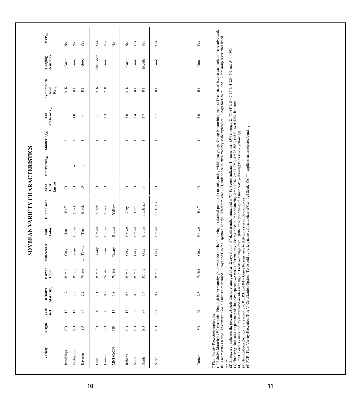|                                 | $\mathbf{PVP}_{(0)}$                                                       |                            |                                     |                          |                   |                |                            |                            |                       |                          |                         |                         |                                                                                                                                                                                                                                                                                                                                                                                                                                                                                                                     |
|---------------------------------|----------------------------------------------------------------------------|----------------------------|-------------------------------------|--------------------------|-------------------|----------------|----------------------------|----------------------------|-----------------------|--------------------------|-------------------------|-------------------------|---------------------------------------------------------------------------------------------------------------------------------------------------------------------------------------------------------------------------------------------------------------------------------------------------------------------------------------------------------------------------------------------------------------------------------------------------------------------------------------------------------------------|
|                                 |                                                                            | $\stackrel{\circ}{\asymp}$ | $\stackrel{\mathtt{o}}{\mathsf{z}}$ | $\mathbf{Yes}$           | $\mathbf{Yes}$    | $\mathbf{Yes}$ | $\stackrel{\circ}{\simeq}$ | $\stackrel{\circ}{\asymp}$ | $\mathbf{Yes}$        | $_{\rm Yes}$             | Yes                     | $\mathbf{Yes}$          |                                                                                                                                                                                                                                                                                                                                                                                                                                                                                                                     |
|                                 | Lodging<br>Resistance                                                      | $_{\rm Good}$              | $_{\rm Good}$                       | Good                     | Fair-Good         | Good           | ÷                          | $_{\rm Good}$              | $_{\rm Good}$         | Excellent                | Good                    | $_{\rm Good}$           |                                                                                                                                                                                                                                                                                                                                                                                                                                                                                                                     |
|                                 | Phytophthora<br>$\mathbf{Rot}_{(5)}$<br>Root                               | RIK                        | $\overline{\text{R}}$               | $\overline{\text{R}}$    | RIK               | <b>RIK</b>     | ÷                          | <b>RIK</b>                 | $\overline{\text{R}}$ | $\overline{\text{R}}$    | $\overline{\mathbf{z}}$ | $\overline{\mathbf{R}}$ |                                                                                                                                                                                                                                                                                                                                                                                                                                                                                                                     |
|                                 | $\begin{array}{c} \textbf{Iron} \\ \textbf{Chlorosis}_{(4)} \end{array}$   | ÷                          | $\overline{a}$                      | ÷                        | ÷.                | 2.3            | ÷                          | 3.0                        | 2.4                   | 3.7                      | 2.7                     | 3.0                     |                                                                                                                                                                                                                                                                                                                                                                                                                                                                                                                     |
|                                 | ${\bf Shattering}_{(3)}$                                                   | $\sim$                     | $\overline{\phantom{a}}$            | $\overline{\phantom{0}}$ |                   |                | J.                         |                            |                       |                          | $\overline{ }$          |                         |                                                                                                                                                                                                                                                                                                                                                                                                                                                                                                                     |
| SOYBEAN VARIETY CHARACTERISTICS | Emergence $_{(2)}$                                                         | ÷                          | л.                                  | $\overline{\phantom{0}}$ |                   |                | ÷                          |                            | -                     | $\overline{\phantom{0}}$ | $\overline{a}$          |                         |                                                                                                                                                                                                                                                                                                                                                                                                                                                                                                                     |
|                                 | $\begin{array}{c} \text{Seed} \\ \text{Cost} \\ \text{Lustre} \end{array}$ | $\mathsf{D}$               | $\Box$                              | $\Box$                   | $\mathbf{\Omega}$ | $\Box$         | -1                         | $\Box$                     | $\Box$                | $\infty$                 | $\Box$                  | $\Box$                  |                                                                                                                                                                                                                                                                                                                                                                                                                                                                                                                     |
|                                 | <b>Hilum</b> Color                                                         | $\mathsf{Buff}$            | Black                               | Black                    | Black             | Black          | Yellow                     | Gray                       | $\mathsf{Buff}$       | Imp. Black               | Imp. Black              | Buff                    |                                                                                                                                                                                                                                                                                                                                                                                                                                                                                                                     |
|                                 | $_{\rm Colar}^{\rm Pcd}$                                                   | $\rm Tan$                  | Brown                               | $\rm Tan$                | Brown             | Brown          | Brown                      | Brown                      | Brown                 | Brown                    | Brown                   | Brown                   |                                                                                                                                                                                                                                                                                                                                                                                                                                                                                                                     |
|                                 | Pubescence                                                                 | Gray                       | Tawny                               | Lt. Tawny                | Tawny             | Tawny          | Tawny                      | Gray                       | Gray                  | Gray                     | Gray                    | $_{\rm Gray}$           |                                                                                                                                                                                                                                                                                                                                                                                                                                                                                                                     |
|                                 | Flower<br>Color                                                            | Purple                     | Purple                              | White                    | Purple            | White          | White                      | Purple                     | Purple                | Purple                   | Purple                  | White                   |                                                                                                                                                                                                                                                                                                                                                                                                                                                                                                                     |
|                                 | Relative<br>Maturity<br>$y_0$                                              | $\overline{17}$            | $\Xi$                               | 2.2                      | Ξ                 | $_{0.9}$       | $1.8\,$                    | 0.6                        | $0.8\,$               | $\overline{14}$          | $0.7\,$                 | 2.3                     |                                                                                                                                                                                                                                                                                                                                                                                                                                                                                                                     |
|                                 | Year<br>Rel.                                                               | $\overline{51}$            | $\frac{13}{2}$                      | $60,$                    | 60,               | 50,            | $\overline{1}4$            | $\ddot{1}$                 | $20,$                 | 70                       | 16,                     | 66,                     |                                                                                                                                                                                                                                                                                                                                                                                                                                                                                                                     |
|                                 | Origin                                                                     | GS                         | $_{\rm{SD}}$                        | $_{\rm SD}$              | GS                | $_{\rm SD}$    | Š                          | GS                         | $_{\rm{S}}$           | GS                       | G                       | $_{\rm{S}}$             |                                                                                                                                                                                                                                                                                                                                                                                                                                                                                                                     |
|                                 | Variety                                                                    | Brookings                  | Codington                           | Davison                  | Deuel             | Hamlin         | <b>MN1806CN</b>            | Roberts                    | Spink                 | Stride                   | Surge                   | Turner                  | (1) Relative Maurity: 95% ripe pods. First digit is the maurity group with the unther following the decimal point is the maturity rating within that group. Group 0 maturities spamed 18 calendar days so each unit on the rel<br>(2) Emergence - indicates the percent of seeds that have emerged after 12 days from 4 ½" depth (sand), maintained at 77° F. Scores indicate: 1 = more than 85% emerged, 2= 70-84%, 3=45-69%, 4=20-44%, and 5=1-19%, 3=1-3.6)<br>* Plant Variety Protection applied for.<br>above. |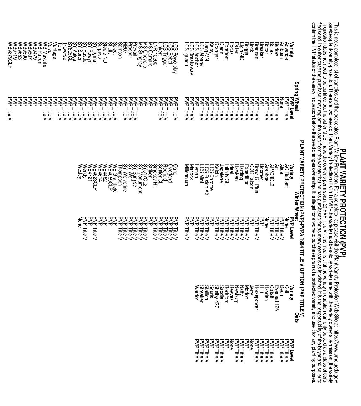**PLANT PORTAL COMPLEM** Ist of variaties and the associated Pla**nt VARIETEY PROTECTION (PVP)**<br>services/plant-variety-protection. There are two levels of Plant Variety Protection (PVP) 1) PVP - the variety must be sold by va confirm the PVP status of the variety in question before the seed changes ownership. It is illegal for anyone to purchase grain of a protected variety and use it for any planting purposes. fied seed. In either case the purchaser may replant the seed for as many seasons as many seasons as sonses is wished. It is the responsibility of the buyer and seller to in distance to be seller Muslims of the seller Muslim and the owner's permission. The V - this means that the variety in question can be sold as a class of a certified but the seller Muslim question can be sold as a class services/plant-variety-protection. There are two levels of Plant Variety Protection (PVP) 1) PVP - the variety must be sold by variety name with the variety owner's permission (the variety P**RAT IS the State of Varieties and the associated and the associated protection (PVP PROTECTION (PVP) PROTECTION Variety Protection. For a complete list please visit the Plant Variety Protection World on the Site at the P** 

| Steele ND<br>Prophet<br>Prophet<br>Robot<br>Shelly<br>Shelly<br>Prevail<br>LINR<br>NS Carnaro<br>NS Chevelle<br>NS Chevelle<br>NS Stingray<br>Velva<br>Vantage<br>ပ္ပ်က္<br>ίă<br>CS Trigger<br>raverse<br>inkert<br>Powerplay<br>S Rebel                                                                          | Glenn<br>Foretront<br><b>raching the first device</b><br>Jacques de Français<br>Jacques de Français<br>Jacques de Français<br>Jacques de Français<br>Jacques de Français<br>Ambush<br>Barlow<br><b>Variety</b><br>Advance<br>Granger<br>Focus<br>S<br>Kelby<br>Lang-MN<br>LCS Anchor<br>LCS Anchor<br>LCS Iguacu<br>LCS Iguacu                                                                                                                                                                                                                                                                                                       |
|--------------------------------------------------------------------------------------------------------------------------------------------------------------------------------------------------------------------------------------------------------------------------------------------------------------------|--------------------------------------------------------------------------------------------------------------------------------------------------------------------------------------------------------------------------------------------------------------------------------------------------------------------------------------------------------------------------------------------------------------------------------------------------------------------------------------------------------------------------------------------------------------------------------------------------------------------------------------|
| ezzez<br>SSSSS<br>ᡓᠥᡓᡓ<br>ᢃᢃᢃᢃᢃ<br>고<br>승<br>모<br>- 군<br>고<br>승<br>모모<br>공중<br>고<br>국<br>모<br>등<br>모<br>- 군<br>쫗<br>모모<br>공중<br>고<br>국<br>모<br>등<br>고<br>승<br>좋좋<br>고<br>승<br>고<br>승<br>모<br>- 군<br>꽇<br>븙<br>븛<br>litle<br>· 큹큹큹<br>·<br>큹큹<br>릝<br><b>Title</b><br>큹<br><b>Title</b><br><<<br><<<br><<<<br>$\,<$ | Spring Wheat<br>Spring Wheat<br>고<br>승<br>고<br>승<br>고<br>국<br>국<br>국<br>고<br>군<br>고<br>군<br>모모<br>공중<br>국<br>국<br>고<br>승<br>고<br>국<br>모<br>등<br>고<br>승<br>좋은<br>국<br>순<br>모<br>승<br>모<br>Ə<br>모<br>등<br><b>PVP Level</b><br>PVP Title V<br>None<br>큹큹<br>all<br>릁<br>litle<br>lite<br>19<br>큹<br>큹<br>큹<br>Litle<br>'류<br>들<br>aill<br>를<br>ाह<br>·、<br>市<br>.<br>하<br><<<br><<<br><<<<<<<<<<br><                                                                                                                                                                                                                                    |
| SYSTCL2<br>SYMonument<br>SYMOnumee<br>SYMOlverine<br>SYMOlverine<br>SYMOlverine<br>Redition<br>Politics<br>Smokey<br>Strike<br>Strike<br>Strike<br>Overland<br>WB Grainfield<br>WB4059CLP<br>Oahe<br>WB4623CLP<br>WB4721<br>h19tBW<br><b>MB4462</b><br>Wendy<br>Wesley<br>pomson                                   | PLANT VARIETY PROTECTION (PVP)-PVPA 1994 TITLE V OPTION (PVP TITLE V)<br>19 Mariety<br>Dumbar Winner Wheat<br>Brawl CL Plus<br>CDC Falcon<br>Boomer.<br>Hawken<br>Expedition<br>Harding<br>Araphoe<br>AP503CL2<br>ミコ<br>ldeal<br>Alice<br>Variety<br>AC Radiant<br>Keldin<br>LCS Chrome<br>LCS Fusion AX<br>LCS Mint<br>viilennium<br>nfinity Cl<br>agalene<br><b>Alfatbock</b><br>Readock                                                                                                                                                                                                                                           |
| 몽<br>모<br>군<br>몽<br>꽁꽁<br>깋<br>모<br>슈<br>모<br>군<br>모<br>군<br>모<br>군<br>اچ<br>آ<br>모<br>승<br>모<br>군<br>PVP Title V<br>모<br>- 5<br>모<br>- 0<br>모<br>군<br>pne<br>큹큹큹큹 <u>릍</u><br>Fitle<br><<br><<<<<                                                                                                                 | 모<br>군<br>모<br>군<br>모<br>군<br>모<br>군<br>모<br>군<br><b>A</b> ge<br>모<br>- 9<br>모<br>- 군<br>모<br>- 5<br>모<br>- 군<br>모<br>- 군<br>모<br>군<br>Noncomment<br>PSP<br>PSP<br>PSP<br>SSP<br>SSP<br>SSP<br>모<br>-0<br>몽<br>모<br>군<br>Title<br>큹큹큹<br>litle<br><u>특별특별특별</u><br>$\,<$<br><<<br><<<br><<<<<<<br><                                                                                                                                                                                                                                                                                                                                  |
|                                                                                                                                                                                                                                                                                                                    | ${\scriptstyle {\begin{array}{l} \begin{subarray}{l} \begin{subarray}{l} \begin{subarray}{l} \mathbf{N} \\ \mathbf{N} \\ \mathbf{N} \\ \mathbf{N} \\ \mathbf{N} \\ \mathbf{N} \\ \mathbf{N} \\ \mathbf{N} \\ \mathbf{N} \\ \mathbf{N} \\ \mathbf{N} \\ \mathbf{N} \\ \mathbf{N} \\ \mathbf{N} \\ \mathbf{N} \\ \mathbf{N} \\ \mathbf{N} \\ \mathbf{N} \\ \mathbf{N} \\ \mathbf{N} \\ \mathbf{N} \\ \mathbf{N} \\ \mathbf{N} \\ \mathbf{N} \\ \mathbf{N} \\ \mathbf{N} \\ \mathbf{$<br>Jerry<br>Dúlotra<br>Polotraigh<br>Polotraigh<br>Dunda<br>Dunda<br>Polotraigh<br>Variety<br>Cot<br>Horsepower<br><b>Warrior</b><br>∸<br>52<br>n |
|                                                                                                                                                                                                                                                                                                                    | 클클<br>불불발<br>불基<br>Level<br>Title ><br>Level<br>ወ ወ ወ<br>ወ ወ<br>ወ ወ<br><<< <<<br><<<br><<<<                                                                                                                                                                                                                                                                                                                                                                                                                                                                                                                                          |

WB9879CLP

PVP Title V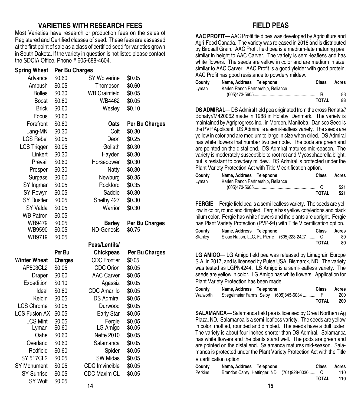#### **VARIETIES WITH RESEARCH FEES**

Most Varieties have research or production fees on the sales of Registered and Certified classes of seed. These fees are assessed at the first point of sale as a class of certified seed for varieties grown in South Dakota. If the variety in question is not listed please contact the SDCIA Office. Phone # 605-688-4604.

| Spring Wheat             | Per Bu Charges   |                       |                  |
|--------------------------|------------------|-----------------------|------------------|
| Advance                  | \$0.60           | <b>SY Wolverine</b>   | \$0.05           |
| Ambush                   | \$0.05           | Thompson              | \$0.60           |
| <b>Bolles</b>            | \$0.30           | <b>WB Grainfield</b>  | \$0.05           |
| <b>Boost</b>             | \$0.60           | WB4462                | \$0.05           |
| <b>Brick</b>             | \$0.60           | Wesley                | \$0.10           |
| Focus                    | \$0.60           |                       |                  |
| Forefront                | \$0.60           | Oats                  | Per Bu Charges   |
| Lang-MN                  | \$0.30           | Colt                  | \$0.30           |
| <b>LCS Rebel</b>         | \$0.05           | Deon                  | \$0.25           |
| <b>LCS Trigger</b>       | \$0.05           | Goliath               | \$0.30           |
| Linkert                  | \$0.30           | Hayden                | \$0.30           |
| Prevail                  | \$0.60           | Horsepower            | \$0.30           |
| Prosper                  | \$0.30           | <b>Natty</b>          | \$0.30           |
| <b>Surpass</b>           | \$0.60           | Newburg               | \$0.35           |
| SY Ingmar                | \$0.05           | Rockford              | \$0.35           |
| SY Rowyn                 | \$0.05           | Saddle                | \$0.30           |
| <b>SY Rustler</b>        | \$0.05           | Shelby 427            | \$0.30           |
| SY Valda                 | \$0.05           | Warrior               | \$0.30           |
| <b>WB Patron</b>         | \$0.05           |                       |                  |
| WB9479                   | \$0.05           | <b>Barley</b>         | Per Bu Charges   |
| WB9590                   | \$0.05           | <b>ND-Genesis</b>     | \$0.75           |
| WB9719                   | \$0.05           |                       |                  |
|                          |                  | Peas/Lentils/         |                  |
|                          | Per Bu           | <b>Chickpeas</b>      | Per Bu Charges   |
| <b>Winter Wheat</b>      | <b>Charges</b>   | <b>CDC</b> Frontier   | \$0.05           |
| AP503CL2                 | \$0.05           | <b>CDC Orion</b>      | \$0.05           |
| Draper                   | \$0.60           | <b>AAC Carver</b>     | \$0.05           |
| Expedition               | \$0.10           | Agassiz               | \$0.05           |
| Ideal                    | \$0.60           | <b>CDC Amarillo</b>   | \$0.05           |
| Keldin                   | \$0.05           | <b>DS Admiral</b>     | \$0.05           |
| <b>LCS Chrome</b>        | \$0.05           | Durwood               | \$0.05           |
| <b>LCS Fusion AX</b>     | \$0.05           | Early Star            | \$0.05           |
| <b>LCS Mint</b><br>Lyman | \$0.05<br>\$0.60 | Fergie<br>LG Amigo    | \$0.05<br>\$0.05 |
| Oahe                     | \$0.60           | <b>Nette 2010</b>     | \$0.05           |
| Overland                 | \$0.60           | Salamanca             | \$0.05           |
| Redfield                 | \$0.60           | Spider                | \$0.05           |
| <b>SY 517CL2</b>         | \$0.05           | <b>SW Midas</b>       | \$0.05           |
| SY Monument              | \$0.05           | <b>CDC</b> Imvincible | \$0.05           |
| <b>SY Sunrise</b>        | \$0.05           | <b>CDC Maxim CL</b>   | \$0.05           |
| <b>SY Wolf</b>           | \$0.05           |                       |                  |
|                          |                  |                       |                  |

#### **FIELD PEAS**

**AAC PROFIT**— AAC Profit field pea was developed by Agriculture and Agri-Food Canada. The variety was released in 2018 and is distributed by Birdsall Grain. AAC Profit field pea is a medium-late maturing pea, similar in height to AAC Carver. The variety is semi-leafless and has white flowers. The seeds are yellow in color and are medium in size, similar to AAC Carver. AAC Profit is a good yielder with good protein. AAC Profit has good resistance to powdery mildew.

| County | Name, Address Telephone            | Class        | Acres |
|--------|------------------------------------|--------------|-------|
| Lyman  | Karlen Ranch Partnership, Reliance |              |       |
|        |                                    | R            | 83    |
|        |                                    | <b>TOTAL</b> | 83    |

**DS ADMIRAL**— DS Admiral field pea originated from the cross Renata// Bohatyr/M420062 made in 1988 in Holeby, Denmark. The variety is maintained by Agriprogress Inc., in Morden, Manitoba. Danisco Seed is the PVP Applicant. DS Admiral is a semi-leafless variety. The seeds are yellow in color and are medium to large in size when dried. DS Admiral has white flowers that number two per node. The pods are green and are pointed on the distal end. DS Admiral matures mid-season. The variety is moderately susceptible to root rot and Mycosphaerella blight, but is resistant to powdery mildew. DS Admiral is protected under the Plant Variety Protection Act with Title V certification option.

| County | Name, Address Telephone            | Class        | Acres |
|--------|------------------------------------|--------------|-------|
| Lyman  | Karlen Ranch Partnership, Reliance |              |       |
|        |                                    |              | 521   |
|        |                                    | <b>TOTAL</b> | 521   |

**FERGIE**— Fergie field pea is a semi-leafless variety. The seeds are yellow in color, round and dimpled. Fergie has yellow cotyledons and black hilum color. Fergie has white flowers and the plants are upright. Fergie has Plant Variety Protection (PVP-94) with Title V certification option.

| County  | Name, Address Telephone |                                               | Class        | Acres |
|---------|-------------------------|-----------------------------------------------|--------------|-------|
| Stanley |                         | Sioux Nation, LLC, Ft. Pierre (605)223-2427 C |              | 80    |
|         |                         |                                               | <b>TOTAL</b> | 80    |

**LG AMIGO**— LG Amigo field pea was released by Limagrain Europe S.A. in 2017, and is licensed by Pulse USA, Bismarck, ND. The variety was tested as LGPN4244. LS Amigo is a semi-leafless variety. The seeds are yellow in color. LG Amigo has white flowers. Application for Plant Variety Protection has been made.

| County   | Name, Address Telephone                    | <b>Class</b> | Acres |
|----------|--------------------------------------------|--------------|-------|
| Walworth | Stiegelmeier Farms, Selby (605)845-6034  F |              | 200   |
|          |                                            | TOTAL        | 200   |

**SALAMANCA**— Salamanca field pea is licensed by Great Northern Ag Plaza, ND. Salamanca is a semi-leafless variety. The seeds are yellow in color, mottled, rounded and dimpled. The seeds have a dull luster. The variety is about four inches shorter than DS Admiral. Salamanca has white flowers and the plants stand well. The pods are green and are pointed on the distal end. Salamanca matures mid-season. Salamanca is protected under the Plant Variety Protection Act with the Title V certification option.

| County  | Name, Address Telephone                      | Class        | Acres |
|---------|----------------------------------------------|--------------|-------|
| Perkins | Brandon Carey, Hettinger, ND (701)928-0030 C |              | 110   |
|         |                                              | <b>TOTAL</b> | 110   |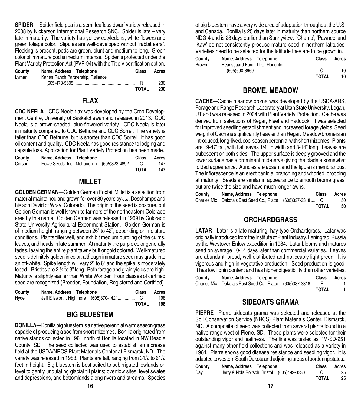**SPIDER**— Spider field pea is a semi-leafless dwarf variety released in 2008 by Nickerson International Research SNC. Spider is late – very late in maturity. The variety has yellow cotyledons, white flowers and green foliage color. Stipules are well-developed without "rabbit ears". Flecking is present, pods are green, blunt and medium to long. Green color of immature pod is medium imtense. Spider is protected under the Plant Variety Protection Act (PVP-94) with the Title V certification option.

| County | Name, Address Telephone                                                                                                                                                                                                                                                                                                           | <b>Class</b> | Acres |
|--------|-----------------------------------------------------------------------------------------------------------------------------------------------------------------------------------------------------------------------------------------------------------------------------------------------------------------------------------|--------------|-------|
| Lvman  | Karlen Ranch Partnership, Reliance                                                                                                                                                                                                                                                                                                |              |       |
|        | $(605)473-5605$ $\ldots$ $\ldots$ $\ldots$ $\ldots$ $\ldots$ $\ldots$ $\ldots$ $\ldots$ $\ldots$ $\ldots$ $\ldots$ $\ldots$ $\ldots$ $\ldots$ $\ldots$ $\ldots$ $\ldots$ $\ldots$ $\ldots$ $\ldots$ $\ldots$ $\ldots$ $\ldots$ $\ldots$ $\ldots$ $\ldots$ $\ldots$ $\ldots$ $\ldots$ $\ldots$ $\ldots$ $\ldots$ $\ldots$ $\ldots$ |              | 230   |
|        |                                                                                                                                                                                                                                                                                                                                   | <b>TOTAL</b> | 230   |

#### **FLAX**

**CDC NEELA**—CDC Neela flax was developed by the Crop Development Centre, University of Saskatchewan and released in 2013. CDC Neela is a brown-seeded, blue-flowered variety. CDC Neela is later in maturity compared to CDC Bethune and CDC Sorrel. The variety is taller than CDC Bethune, but is shorter than CDC Sorrel. It has good oil content and quality. CDC Neela has good resistance to lodging and capsule loss. Application for Plant Variety Protection has been made.

| County | Name, Address Telephone |                                              | <b>Class</b> | Acres |
|--------|-------------------------|----------------------------------------------|--------------|-------|
| Corson |                         | Howe Seeds, Inc., McLaughlin (605)823-4892 C |              | 147   |
|        |                         |                                              | <b>TOTAL</b> | 147   |

#### **MILLET**

**GOLDEN GERMAN**—Golden German Foxtail Millet is a selection from material maintained and grown for over 80 years by J.J. Deschamps and his son David of Wray, Colorado. The origin of the seed is obscure, but Golden German is well known to farmers of the northeastern Colorado area by this name. Golden German was released in 1969 by Colorado State University Agricultural Experiment Station. Golden German is of medium height, ranging between 26" to 42", depending on moisture conditions. Plants tiller well, and exhibit medium purpling of the culms, leaves, and heads in late summer. At maturity the purple color generally fades, leaving the entire plant tawny buff or gold colored. Well-matured seed is definitely golden in color, although immature seed may grade into an off-white. Spike length will vary 2" to 6" and the spike is moderately lobed. Bristles are 2 ¾ to 3" long. Both forage and grain yields are high. Maturity is slightly earlier than White Wonder. Four classes of certified seed are recognized (Breeder, Foundation, Registered and Certified).

| County | Name, Address Telephone | <b>Class</b> | Acres |
|--------|-------------------------|--------------|-------|
| Hyde   |                         |              | 198   |
|        |                         | TOTAL        | 198   |

#### **BIG BLUESTEM**

**BONILLA**—Bonilla big bluestem is a native perennial warm season grass capable of producing a sod from short rhizomes. Bonilla originated from native stands collected in 1961 north of Bonilla located in NW Beadle County, SD. The seed collected was used to establish an increase field at the USDA/NRCS Plant Materials Center at Bismarck, ND. The variety was released in 1988. Plants are tall, ranging from 31/2 to 61/2 feet in height. Big bluestem is best suited to subirrigated lowlands on level to gently undulating glacial till plains; overflow sites, level swales and depressions, and bottomlands along rivers and streams. Species

of big bluestem have a very wide area of adaptation throughout the U.S. and Canada. Bonilla is 25 days later in maturity than northern source NDG-4 and is 23 days earlier than Sunnyview. 'Champ', 'Pawnee' and 'Kaw' do not consistently produce mature seed in northern latitudes. Varieties need to be selected for the latitude they are to be grown in.

| County | Name, Address Telephone         | <b>Class</b> | Acres |
|--------|---------------------------------|--------------|-------|
| Brown  | Pearlsgaard Farm, LLC, Houghton |              |       |
|        |                                 |              | 10    |
|        |                                 | <b>TOTAL</b> | 10    |

#### **BROME, MEADOW**

**CACHE**—Cache meadow brome was developed by the USDA-ARS, Forage and Range Research Laboratory at Utah State University, Logan, UT and was released in 2004 with Plant Variety Protection. Cache was derived from selections of Regar, Fleet and Paddock. It was selected for improved seedling establishment and increased forage yields. Seed weight of Cache is significantly heavier than Regar. Meadow brome is an introduced, long-lived, cool season perennial with short rhizomes. Plants are 19-47' tall, with flat leaves 1/4" in width and 8-14" long. Leaves are pubescent on both sides. The upper surface is deeply grooved and the lower surface has a prominent mid-nerve giving the blade a somewhat folded appearance. Auricles are absent and the ligule is membranous. The inflorescence is an erect panicle, branching and whorled, drooping at maturity. Seeds are similar in appearance to smooth brome grass, but are twice the size and have much longer awns.

| County | Name, Address Telephone                                    | <b>Class</b> | Acres |
|--------|------------------------------------------------------------|--------------|-------|
|        | Charles Mix Dakota's Best Seed Co., Platte (605)337-3318 C |              | 50    |
|        |                                                            | TOTAL        | 50    |

#### **ORCHARDGRASS**

**LATAR**—Latar is a late maturing, hay-type Orchardgrass. Latar was originally introduced from the Institute of Plant Industry, Leningrad, Russia by the Westover-Enlow expedition in 1934. Latar blooms and matures seed on average 10-14 days later than commercial varieties. Leaves are abundant, broad, well distributed and noticeably light green. It is vigorous and high in vegetative production. Seed production is good. It has low lignin content and has higher digestibility than other varieties.

| County | Name, Address Telephone                                    | <b>Class</b> | Acres |
|--------|------------------------------------------------------------|--------------|-------|
|        | Charles Mix Dakota's Best Seed Co., Platte (605)337-3318 F |              |       |
|        |                                                            | <b>TOTAL</b> |       |

#### **SIDEOATS GRAMA**

**PIERRE**—Pierre sideoats grama was selected and released at the Soil Conservation Service (NRCS) Plant Materials Center, Bismarck, ND. A composite of seed was collected from several plants found in a native range west of Pierre, SD. These plants were selected for their outstanding vigor and leafiness. The line was tested as PM-SD-251 against many other field collections and was released as a variety in 1964. Pierre shows good disease resistance and seedling vigor. It is adapted to western South Dakota and adjoining areas of bordering states..

| County | Name, Address Telephone | <b>Class</b>                                  | Acres |
|--------|-------------------------|-----------------------------------------------|-------|
| Day    |                         | Jerry & Nola Roitsch, Bristol (605)492-3330 C | 25    |
|        |                         | <b>TOTAL</b>                                  | 25    |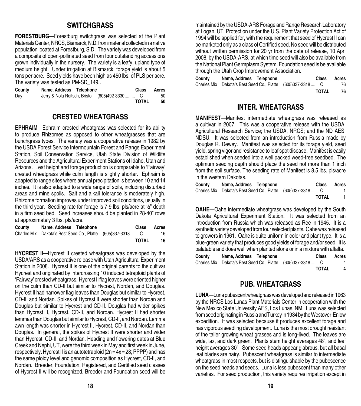#### **SWITCHGRASS**

**FORESTBURG**—Forestburg switchgrass was selected at the Plant Materials Center, NRCS, Bismarck, N.D. from material collected in a native population located at Forestburg, S.D. The variety was developed from a composite of open-pollinated seed from four outstanding accessions grown individually in the nursery. The variety is a leafy, upland type of medium height. Under irrigation at Bismarck, forage yield is about 5 tons per acre. Seed yields have been high as 450 lbs. of PLS per acre. The variety was tested as PM-SD\_149..

| County | Name, Address Telephone |                                               | <b>Class</b> | Acres |
|--------|-------------------------|-----------------------------------------------|--------------|-------|
| Dav    |                         | Jerry & Nola Roitsch, Bristol (605)492-3330 C |              | 50    |
|        |                         |                                               | <b>TOTAL</b> | 50    |

#### **CRESTED WHEATGRASS**

**EPHRAIM**—Ephraim crested wheatgrass was selected for its ability to produce Rhizomes as opposed to other wheatgrasses that are bunchgrass types. The variety was a cooperative release in 1982 by the USDA Forest Service Intermountain Forest and Range Experiment Station, Soil Conservation Service, Utah State Division of Wildlife Resources and the Agricultural Experiment Stations of Idaho, Utah and Arizona. Leaf height and forage production is comparable to 'Fairway' crested wheatgrass while culm length is slightly shorter. Ephraim is adapted to range sites where annual precipitation is between 10 and 14 inches. It is also adapted to a wide range of soils, including disturbed areas and mine spoils. Salt and alkali tolerance is moderately high. Rhizome formation improves under improved soil conditions, usually in the third year. Seeding rate for forage is 7-9 lbs. pls/acre at ½" depth in a firm seed bed. Seed increases should be planted in 28-40" rows at approximately 3 lbs. pls/acre.

| County | Name, Address Telephone                                    | <b>Class</b> | Acres |
|--------|------------------------------------------------------------|--------------|-------|
|        | Charles Mix Dakota's Best Seed Co., Platte (605)337-3318 C |              | 16    |
|        |                                                            | <b>TOTAL</b> | 16.   |

**HYCREST ll**—Hycrest II crested wheatgrass was developed by the USDA/ARS as a cooperative release with Utah Agricultural Experiment Station in 2008. Hycrest II is one of the original parents to the cultivar Hycrest and originated by intercrossing 10 induced tetraploid plants of 'Fairway' crested wheatgrass. Hycrest II flag leaves were oriented higher on the culm than CD-II but similar to Hycrest, Nordan, and Douglas. Hycrest II had narrower flag leaves than Douglas but similar to Hycrest, CD-II, and Nordan. Spikes of Hycrest II were shorter than Nordan and Douglas but similar to Hycrest and CD-II. Douglas had wider spikes than Hycrest II, Hycrest, CD-II, and Nordan. Hycrest II had shorter lemmas than Douglas but similar to Hycrest, CD-II, and Nordan. Lemma awn length was shorter in Hycrest II, Hycrest, CD-II, and Nordan than Douglas. In general, the spikes of Hycrest II were shorter and wider than Hycrest, CD-II, and Nordan. Heading and flowering dates at Blue Creek and Nephi, UT, were the third week in May and first week in June, respectively. Hycrest II is an autotetraploid  $(2n = 4x = 28; PPPP)$  and has the same ploidy level and genomic composition as Hycrest, CD-II, and Nordan. Breeder, Foundation, Registered, and Certified seed classes of Hycrest II will be recognized. Breeder and Foundation seed will be

maintained by the USDA-ARS Forage and Range Research Laboratory at Logan, UT. Protection under the U.S. Plant Variety Protection Act of 1994 will be applied for, with the requirement that seed of Hycrest II can be marketed only as a class of Certified seed. No seed will be distributed without written permission for 20 yr from the date of release, 10 Apr. 2008, by the USDA-ARS, at which time seed will also be available from the National Plant Germplasm System. Foundation seed is be available through the Utah Crop Improvement Association.

| County | Name, Address Telephone                                    | <b>Class</b> | Acres |
|--------|------------------------------------------------------------|--------------|-------|
|        | Charles Mix Dakota's Best Seed Co., Platte (605)337-3318 C |              | 76    |
|        |                                                            | TOTAL        | 76    |

#### **INTER. WHEATGRASS**

**MANIFEST**—Manifest intermediate wheatgrass was released as a cultivar in 2007. This was a cooperative release with the USDA, Agricultural Research Service; the USDA, NRCS; and the ND AES, NDSU. It was selected from an introduction from Russia made by Douglas R. Dewey. Manifest was selected for its forage yield, seed yield, spring vigor and resistance to leaf spot disease. Manifest is easily established when seeded into a well packed weed-free seedbed. The optimum seeding depth should place the seed not more than 1 inch from the soil surface. The seeding rate of Manifest is 8.5 lbs. pls/acre in the western Dakotas.

| County | Name, Address Telephone                                    | Class        | Acres |
|--------|------------------------------------------------------------|--------------|-------|
|        | Charles Mix Dakota's Best Seed Co., Platte (605)337-3318 C |              |       |
|        |                                                            | <b>TOTAL</b> |       |

**OAHE**—Oahe intermediate wheatgrass was developed by the South Dakota Agricultural Experiment Station. It was selected from an introduction from Russia which was released as Ree in 1945. It is a synthetic variety developed from four selected plants. Oahe was released to growers in 1961. Oahe is quite uniform in color and plant type. It is a blue-green variety that produces good yields of forage and/or seed. It is palatable and does well when planted alone or in a mixture with alfalfa..

| County | Name, Address Telephone                                    | <b>Class</b> | Acres |
|--------|------------------------------------------------------------|--------------|-------|
|        | Charles Mix Dakota's Best Seed Co., Platte (605)337-3318 C |              | 4     |
|        |                                                            | <b>TOTAL</b> | 4     |

#### **PUB. WHEATGRASS**

**LUNA**—Luna pubescent wheatgrass was developed and released in 1963 by the NRCS Los Lunas Plant Materials Center in cooperation with the New Mexico State University AES, Los Lunas, NM. Luna was selected from seed originating in Russia and Turkey in 1934 by the Westover-Enlow expedition. It was selected because it produces excellent forage and has vigorous seedling development. Luna is the most drought resistant of the taller growing wheat grasses and is long-lived. The leaves are wide, lax, and dark green. Plants stem height averages 48", and leaf height averages 30". Some seed heads appear glabrous, but all basal leaf blades are hairy. Pubescent wheatgrass is similar to intermediate wheatgrass in most respects, but is distinguishable by the pubescence on the seed heads and seeds. Luna is less pubescent than many other varieties. For seed production, this variety requires irrigation except in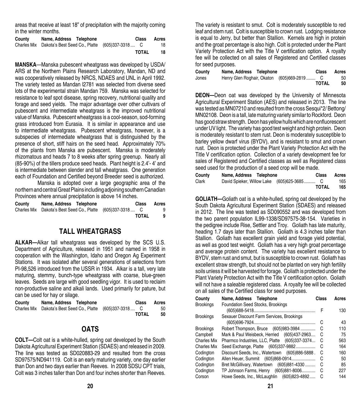areas that receive at least 18" of precipitation with the majority coming in the winter months.

| County | Name, Address Telephone                                    | <b>Class</b> | Acres |
|--------|------------------------------------------------------------|--------------|-------|
|        | Charles Mix Dakota's Best Seed Co., Platte (605)337-3318 C |              | 18    |
|        |                                                            | TOTAL        | 18    |

**MANSKA**—Manska pubescent wheatgrass was developed by USDA/ ARS at the Northern Plains Research Laboratory, Mandan, ND and was cooperatively released by NRCS, NDAES and UNL in April 1992. The variety tested as Mandan l2781 was selected from diverse seed lots of the experimental strain Mandan 759. Manska was selected for resistance to leaf spot disease, spring recovery, nutritional quality and forage and seed yields. The major advantage over other cultivars of pubescent and intermediate wheatgrass is the improved nutritional value of Manska. Pubescent wheatgrass is a cool-season, sod-forming grass introduced from Eurasia. It is similar in appearance and use to intermediate wheatgrass. Pubescent wheatgrass, however, is a subspecies of intermediate wheatgrass that is distinguished by the presence of short, stiff hairs on the seed head. Approximately 70% of the plants from Manska are pubescent. Manska is moderately rhizomatous and heads 7 to 8 weeks after spring greenup. Nearly all (85-90%) of the tillers produce seed heads. Plant height is 2.4'- 4' and is intermediate between slender and tall wheatgrass. One generation each of Foundation and Certified beyond Breeder seed is authorized.

Manska is adopted over a large geographic area of the northern and central Great Plains including adjoining southern Canadian Provinces where annual precipitation is above 14 inches.

| County | Name, Address Telephone                                    | <b>Class</b> | Acres |
|--------|------------------------------------------------------------|--------------|-------|
|        | Charles Mix Dakota's Best Seed Co., Platte (605)337-3318 C |              | 9     |
|        |                                                            | <b>TOTAL</b> |       |

#### **TALL WHEATGRASS**

**ALKAR—**Alkar tall wheatgrass was developed by the SCS U.S. Department of Agriculture, released in 1951 and named in 1958 in cooperation with the Washington, Idaho and Oregon Ag Experiment Stations. It was isolated after several generations of selections from PI-98,526 introduced from the USSR in 1934. Alkar is a tall, very late maturing, stemmy, bunch-type wheatgrass with coarse, blue-green leaves. Seeds are large with good seedling vigor. It is used to reclaim non-productive saline and alkali lands. Used primarily for pature, but can be used for hay or silage.

| County | Name, Address Telephone                                    | <b>Class</b> | Acres |
|--------|------------------------------------------------------------|--------------|-------|
|        | Charles Mix Dakota's Best Seed Co., Platte (605)337-3318 C |              | 50    |
|        |                                                            | <b>TOTAL</b> | -50   |

### **OATS**

**COLT—**Colt oat is a white-hulled, spring oat developed by the South Dakota Agricultural Experiment Station (SDAES) and released in 2009. The line was tested as SD020883-29 and resulted from the cross SD97575/ND941119. Colt is an early maturing variety, one day earlier than Don and two days earlier than Reeves. In 2008 SDSU CPT trials, Colt was 3 inches taller than Don and four inches shorter than Reeves.

The variety is resistant to smut. Colt is moderately susceptible to red leaf and stem rust. Colt is susceptible to crown rust. Lodging resistance is equal to Jerry, but better than Stallion. Kernels are high in protein and the groat percentage is also high. Colt is protected under the Plant Variety Protection Act with the Title V certification option. A royalty fee will be collected on all sales of Registered and Certified classes for seed purposes.

| County | Name, Address Telephone |                                            | <b>Class</b> | Acres |
|--------|-------------------------|--------------------------------------------|--------------|-------|
| Jones  |                         | Henry Glen Roghair, Okaton (605)669-2819 C |              | 50    |
|        |                         |                                            | <b>TOTAL</b> | 50    |

**DEON—**Deon oat was developed by the University of Minnesota Agricultural Experiment Station (AES) and released in 2013. The line was tested as MN07210 and resulted from the cross Sesqui\*2/ Bettong/ MN02108. Deon is a tall, late maturing variety similar to Rockford. Deon has good straw strength. Deon has yellow hulls which are nonfluorescent under UV light. The variety has good test weight and high protein. Deon is moderately resistant to stem rust. Deon is moderately susceptible to barley yellow dwarf virus (BYDV), and is resistant to smut and crown rust. Deon is protected under the Plant Variety Protection Act with the Title V certification option. Collection of a variety development fee for sales of Registered and Certified classes as well as Registered class seed used for the production of a seed crop will be made.

| County | Name, Address Telephone                    | <b>Class</b> | Acres |
|--------|--------------------------------------------|--------------|-------|
| Clark  | David Spieker, Willow Lake (605)625-3685 C |              | 165   |
|        |                                            | TOTAL        | 165   |

**GOLIATH—**Goliath oat is a white-hulled, spring oat developed by the South Dakota Agricultural Experiment Station (SDAES) and released in 2012. The line was tested as SD090552 and was developed from the two parent population IL99-1338/SD97575-38-154. Varieties in the pedigree include Rise, Settler and Troy. Goliath has late maturity, heading 1.7 days later than Stallion. Goliath is 4.3 inches taller than Stallion. Goliath has excellent grain yield and forage yield potential. as well as good test weight. Goliath has a very high groat percentage and average protein content. The variety has excellent resistance to BYDV, stem rust and smut, but is susceptible to crown rust. Goliath has excellent straw strength, but should not be planted on very high fertility soils unless it will be harvested for forage. Goliath is protected under the Plant Variety Protection Act with the Title V certification option. Goliath will not have a saleable registered class. A royalty fee will be collected on all sales of the Certified class for seed purposes.

| Name, Address Telephone                   | Class | Acres                                                                                                                                                                                                                                                                                                                                                                                                  |
|-------------------------------------------|-------|--------------------------------------------------------------------------------------------------------------------------------------------------------------------------------------------------------------------------------------------------------------------------------------------------------------------------------------------------------------------------------------------------------|
| <b>Foundation Seed Stocks, Brookings</b>  |       |                                                                                                                                                                                                                                                                                                                                                                                                        |
|                                           | F     | 130                                                                                                                                                                                                                                                                                                                                                                                                    |
| Sexauer Discount Farm Services, Brookings |       |                                                                                                                                                                                                                                                                                                                                                                                                        |
|                                           | С     | 43                                                                                                                                                                                                                                                                                                                                                                                                     |
|                                           | C     | 110                                                                                                                                                                                                                                                                                                                                                                                                    |
|                                           | C     | 75                                                                                                                                                                                                                                                                                                                                                                                                     |
|                                           | C     | 563                                                                                                                                                                                                                                                                                                                                                                                                    |
|                                           | С     | 164                                                                                                                                                                                                                                                                                                                                                                                                    |
|                                           | C     | 160                                                                                                                                                                                                                                                                                                                                                                                                    |
|                                           | C     | 50                                                                                                                                                                                                                                                                                                                                                                                                     |
|                                           | C     | 85                                                                                                                                                                                                                                                                                                                                                                                                     |
|                                           | C     | 227                                                                                                                                                                                                                                                                                                                                                                                                    |
|                                           | С     | 144                                                                                                                                                                                                                                                                                                                                                                                                    |
|                                           |       | Robert Thompson, Bruce (605)983-3984<br>Mark & Paul Weisbeck, Herried (605)437-2963<br>Pharmco Industries, LLC, Platte (605)337-3374<br>Seed Exchange, Platte (605)337-9882<br>Discount Seeds, Inc., Watertown (605)886-5888.<br>Allen Heuer, Summit (605)868-0914<br>Bret McGillivary, Watertown (605)881-4330<br>TP Johnson Farms, Henry (605)881-8006<br>Howe Seeds, Inc., McLaughlin (605)823-4892 |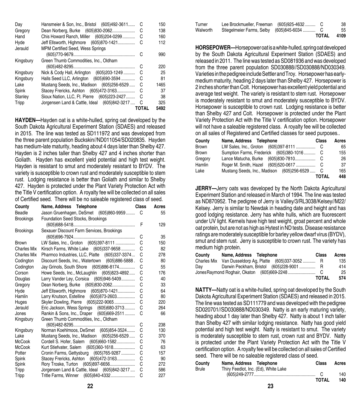| Day       | Hansmeier & Son, Inc., Bristol (605)492-3611   | C            | 150  |
|-----------|------------------------------------------------|--------------|------|
| Gregory   | Dean Norberg, Burke (605)830-2062              | C            | 138  |
| Hand      | Chis Howard Ranch, Miller (605)204-0299        | C            | 160  |
| Hyde      | Jeff Ellsworth, Highmore (605)870-1421         | C            | 112  |
| Jerauld   | <b>MPM Certified Seed, Wess Springs</b>        |              |      |
|           |                                                | C            | 990  |
| Kingsbury | Green Thumb Commodities, Inc., Oldham          |              |      |
|           |                                                | C            | 220  |
| Kingsbury | Nick & Cody Hall, Arlington (605) 203-1249     | C            | 25   |
| Kingsbury | Halls Seed LLC, Arlington (605)690-3594        | C            | 81   |
| Lake      | Mustang Seeds, Inc., Madison (605)256-6529     | C            | 1465 |
| Spink     | Stacey Frericks, Ashton (605)472-3163          | C            | 37   |
| Stanley   | Sioux Nation, LLC, Ft. Pierre (605)223-2427    | C            | 38   |
| Tripp     | Jorgensen Land & Cattle, Ideal (605)842-3217 C |              | 325  |
|           |                                                | <b>TOTAL</b> | 5492 |

**HAYDEN—**Hayden oat is a white-hulled, spring oat developed by the South Dakota Agricultural Experiment Station (SDAES) and released in 2015. The line was tested as SD111972 and was developed from the three parent population Buckskin//ND011054/SD020835. Hayden has medium-late maturity, heading about 4 days later than Shelby 427. Hayden is 2 inches taller than Shelby 427 and 4 inches shorter than Goliath. Hayden has excellent yield potential and high test weight. Hayden is resistant to smut and moderately resistant to BYDV. The variety is susceptible to crown rust and moderately susceptible to stem rust. Lodging resistance is better than Goliath and similar to Shelby 427. Hayden is protected under the Plant Variety Protection Act with the Title V certification option. A royalty fee will be collected on all sales of Certified seed. There will be no saleable registered class of seed.

| County             | Name, Address Telephone                                                            | Class  | Acres      |
|--------------------|------------------------------------------------------------------------------------|--------|------------|
| Beadle             | Jason Gruenhagen, DeSmet (605)860-9959 C                                           |        | 55         |
| <b>Brookings</b>   | Foundation Seed Stocks, Brookings                                                  |        |            |
|                    |                                                                                    | F      | 129        |
| <b>Brookings</b>   | Sexauer Discount Farm Services, Brookings                                          |        |            |
|                    |                                                                                    | С      | 35         |
| <b>Brown</b>       | LW Sales, Inc., Groton (605)397-8111                                               | С      | 150        |
| <b>Charles Mix</b> | Kirsch Farms, White Lake (605)337-9658                                             | C      | 82         |
| Charles Mix        | Pharmco Industries, LLC, Platte (605)337-3374                                      | C      | 278        |
| Codington          | Discount Seeds, Inc., Watertown (605)886-5888.                                     | C      | 80         |
| Codington          | Jay Grinols, South Shore (605)886-8174                                             | С      | 55         |
| Corson             | Howe Seeds, Inc., McLaughlin (605)823-4892                                         | С      | 176        |
| Douglas            | Larry Vander Ley, Corsica (605)946-5409                                            | С      | 40         |
| Gregory            | Dean Norberg, Burke (605)830-2062                                                  | C      | 33         |
| Hyde               | Jeff Ellsworth, Highmore (605)870-1421                                             | C      | 64         |
| Hamlin             | Larry Knutson, Estelline (605)873-2603                                             | С      | 80         |
| Huges              | Skyler Dowling, Pierre (605) 222-9065                                              | С      | 220        |
| Jerauld            | Eric Jackson, Wess Springs (605)680-3713                                           | С      | 264        |
| Jones              | Rankin & Sons, Inc., Draper (605)669-2511                                          | С      | 66         |
| Kingsbury          | Green Thumb Commodities, Inc., Oldham                                              |        |            |
|                    |                                                                                    | С      | 238        |
| Kingsbury          | Norman Koehlmoos, DeSmet (605)854-3524                                             | С      | 130        |
| Lake               | Mustang Seeds, Inc., Madison (605)256-6529                                         | С      | 370        |
| <b>McCook</b>      | Cordell S. Hofer, Salem (605)660-1582                                              | С      | 76         |
| <b>McCook</b>      | Kurt Stiefvater, Salem (605)360-1618                                               | C      | 63         |
| Potter             | Cronin Farms, Gettysburg (605)765-9287                                             | C      | 157        |
| Spink              | Stacey Frericks, Ashton (605)472-3163                                              | С      | 90         |
| Spink              |                                                                                    | С      | 272        |
| Tripp              | Jorgensen Land & Cattle, Ideal (605)842-3217<br>Tritle Farms, Winner (605)840-4332 | С<br>C | 586<br>227 |
| Tripp              |                                                                                    |        |            |

|          |                                           | TOTAL | 4109 |
|----------|-------------------------------------------|-------|------|
| Walworth |                                           |       | 55   |
| Turner   | Lee Brockmueller, Freeman (605)925-4632 C |       | 38   |

**HORSEPOWER—**Horsepower oat is a white-hulled, spring oat developed by the South Dakota Agricultural Experiment Station (SDAES) and released in 2011. The line was tested as SD081936 and was developed from the three parent population SD030888//SD030888/ND030349. Varieties in the pedigree include Settler and Troy. Horsepower has earlymedium maturity, heading 2 days later than Shelby 427. Horsepower is 2 inches shorter than Colt. Horsepower has excellent yield potential and average test weight. The variety is resistant to stem rust. Horsepower is moderately resistant to smut and moderately susceptible to BYDV. Horsepower is susceptible to crown rust. Lodging resistance is better than Shelby 427 and Colt. Horsepower is protected under the Plant Variety Protection Act with the Title V certification option. Horsepower will not have a saleable registered class. A royalty fee will be collected on all sales of Registered and Certified classes for seed purposes..

| County       | Name, Address Telephone                      | <b>Class</b> | Acres |
|--------------|----------------------------------------------|--------------|-------|
| <b>Brown</b> |                                              |              | 65    |
| <b>Brown</b> | Sumption Farms, Frederick (605)380-1016 C    |              | 155   |
| Gregory      |                                              |              | 26    |
| Hamlin       |                                              |              | 37    |
| Lake         | Mustang Seeds, Inc., Madison (605)256-6529 C |              | 165   |
|              |                                              | TOTAL        | 448   |

**JERRY—**Jerry oats was developed by the North Dakota Agricultural Experiment Station and released in March of 1994. The line was tested as ND870952. The pedigree of Jerry is Valley/3/RL3038/Kelsey//M22/ Kelsey. Jerry is similar to Newdak in heading date and height and has good lodging resistance. Jerry has white hulls, which are fluorescent under UV light. Kernels have high test weight, groat percent and whole oat protein, but are not as high as Hytest in ND tests. Disease resistance ratings are moderately susceptible for barley yellow dwarf virus (BYDV), smut and stem rust. Jerry is susceptible to crown rust. The variety has medium high protein.

| County             | Name, Address Telephone                   | Class        | Acres |
|--------------------|-------------------------------------------|--------------|-------|
| <b>Charles Mix</b> | Van Dusseldorp Ag, Platte (605)337-3052 R |              | 135   |
| Dav                | Darwin Peckham, Bristol (605)228-9001  R  |              | 414   |
|                    |                                           |              | 25    |
|                    |                                           | <b>TOTAL</b> | 574   |

**NATTY—**Natty oat is a white-hulled, spring oat developed by the South Dakota Agricultural Experiment Station (SDAES) and released in 2015. The line was tested as SD111779 and was developed with the pedigree SD020701//SD030888/ND030349. Natty is an early maturing variety, heading about 1 day later than Shelby 427. Natty is about 1 inch taller than Shelby 427 with similar lodging resistance. Natty has good yield potential and high test weight. Natty is resistant to smut. The variety is moderately susceptible to stem rust, crown rust and BYDV. Natty is protected under the Plant Variety Protection Act with the Title V certification option. A royalty fee will be collected on all sales of Certified seed. There will be no saleable registered class of seed.

| County | Name, Address Telephone              | <b>Class</b> | Acres |
|--------|--------------------------------------|--------------|-------|
| Brule  | Thiry Feedlot, Inc. (Ed), White Lake |              |       |
|        |                                      |              | 140   |
|        |                                      | <b>TOTAL</b> | 140   |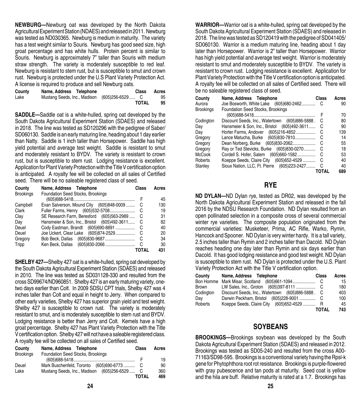**NEWBURG—**Newburg oat was developed by the North Dakota Agricultural Experiment Station (NDAES) and released in 2011. Newburg was tested as ND030365. Newburg is medium in maturity. The variety has a test weight similar to Souris. Newburg has good seed size, high groat percentage and has white hulls. Protein percent is similar to Souris. Newburg is approximately 7" taller than Souris with medium straw strength. The variety is moderately susceptible to red leaf. Newburg is resistant to stem rust, but is susceptible to smut and crown rust. Newburg is protected under the U.S Plant Variety Protection Act. A license is required to produce and sell Newburg oats.

| County | Name, Address Telephone                      | Class        | Acres |
|--------|----------------------------------------------|--------------|-------|
| Lake   | Mustang Seeds, Inc., Madison (605)256-6529 C |              | 95    |
|        |                                              | <b>TOTAL</b> | 95    |

**SADDLE—**Saddle oat is a white-hulled, spring oat developed by the South Dakota Agricultural Experiment Station (SDAES) and released in 2018. The line was tested as SD120296 with the pedigree of Saber/ SD060130. Saddle is an early maturing line, heading about 1 day earlier than Natty. Saddle is 1 inch taller than Horsepower. Saddle has high yield potential and average test weight. Saddle is resistant to smut and moderately resistant to BYDV. The variety is resistant to crown rust, but is susceptible to stem rust. Lodging resistance is excellent. Application for Plant Variety Protection with the Title V certification option is anticipated. A royalty fee will be collected on all sales of Certified seed. There will be no saleable registered class of seed.

| County           | Name, Address Telephone                      | Class        | Acres |
|------------------|----------------------------------------------|--------------|-------|
| <b>Brookings</b> | Foundation Seed Stocks, Brookings            |              |       |
|                  |                                              |              | 45    |
| Campbell         | Evan Salverson, Mound City (605)848-0009     | C            | 130   |
| Clark            | Fuller Farms, Henry (605)532-5708            | C            | 19    |
| Clay             | SE Research Farm, Beresford (605)563-2989    | - C          | 31    |
| Day              | Hansmeier & Son, Inc., Bristol (605)492-3611 | C            | 82    |
| Deuel            | Cody Eastman, Brandt (605)690-8891           | C            | 40    |
| Deuel            | Joe Uckert, Clear Lake (605)874-2529         | C            | 20    |
| Gregory          |                                              | -C           | 34    |
| Tripp            | Ken Beck, Dallas (605)830-2066               | $\mathsf{C}$ | 30    |
|                  |                                              | TOTAL        | 431   |

**SHELBY 427—**Shelby 427 oat is a white-hulled, spring oat developed by the South Dakota Agricultural Experiment Station (SDAES) and released in 2010. The line was tested as SD031128-330 and resulted from the cross SD99674/ND960851. Shelby 427 is an early maturing variety, onetwo days earlier than Colt. In 2009 SDSU CPT trials, Shelby 427 was 4 inches taller than Colt and equal in height to Jerry. When compared to other early varieties, Shelby 427 has superior grain yield and test weight. Shelby 427 is susceptible to crown rust. The variety is moderately resistant to smut, and is moderately susceptible to stem rust and BYDV. Lodging resistance is better than Jerry and Colt. Kernels have a high groat percentage. Shelby 427 has Plant Variety Protection with the Title V certification option. Shelby 427 will not have a saleable registered class. A royalty fee will be collected on all sales of Certified seed.

| County           | Name, Address Telephone                      | Class        | Acres |
|------------------|----------------------------------------------|--------------|-------|
| <b>Brookings</b> | Foundation Seed Stocks, Brookings            |              |       |
|                  |                                              |              | 19    |
| Deuel            | Mark Buschenfeld, Toronto (605)690-6773 C    |              | 90    |
| Lake             | Mustang Seeds, Inc., Madison (605)256-6529 C |              | 360   |
|                  |                                              | <b>TOTAL</b> | 469   |

**WARRIOR—**Warrior oat is a white-hulled, spring oat developed by the South Dakota Agricultural Experiment Station (SDAES) and released in 2018. The line was tested as SD120419 with the pedigree of SD041405/ SD060130. Warrior is a medium maturing line, heading about 1 day later than Horsepower. Warrior is 2" taller than Horsepower. Warrior has high yield potential and average test weight. Warrior is moderately resistant to smut and moderately susceptible to BYDV. The variety is resistant to crown rust. Lodging resistance is excellent. Application for Plant Variety Protection with the Title V certification option is anticipated. A royalty fee will be collected on all sales of Certified seed. There will be no saleable registered class of seed.

| County           | Name, Address Telephone                        | Class | Acres |
|------------------|------------------------------------------------|-------|-------|
| Aurora           | Joe Bosworth, White Lake (605)680-2462         | C     | 90    |
| <b>Brookings</b> | Foundation Seed Stocks, Brookings              |       |       |
|                  |                                                | F     | 70    |
| Codington        | Discount Seeds, Inc., Watertown (605)886-5888. | C     | 80    |
| Dav              | Hansmeier & Son, Inc., Bristol (605)492-3611   | С     | 90    |
| Day              | Horter Farms, Andover (605)216-4852            | С     | 139   |
| Gregory          | Lance Matucha, Burke (605)830-7810             | С     | 14    |
| Gregory          | Dean Norberg, Burke (605)830-2062              | С     | 55    |
| Gregory          | Ray or Ted Stevicks, Burke (605)830-0270       | C     | 18    |
| <b>McCook</b>    | Cordell S. Hofer, Salem (605)660-1582          | C     | 53    |
| Roberts          | Koeppe Seeds, Claire City (605) 652-4529       | C     | 40    |
| Stanley          | Sioux Nation, LLC, Ft. Pierre (605)223-2427    | C     | 40    |
|                  |                                                | TOTAL | 689   |

#### **RYE**

**ND DYLAN—**ND Dylan rye, tested as DR02, was developed by the North Dakota Agricultural Experiment Station and released in the fall 2016 by the NDSU Research Foundation. ND Dylan resulted from an open pollinated selection in a composite cross of several commercial winter rye varieties. The composite population originated from the commercial varieties: Musketeer, Prima, AC Rifle, Warko, Rymin, Hancock and Spooner. ND Dylan is very winter hardy. It is a tall variety, 2.5 inches taller than Rymin and 2 inches taller than Dacold. ND Dylan reaches heading one day later than Rymin and six days earlier than Dacold. It has good lodging resistance and good test weight. ND Dylan is susceptible to stem rust. ND Dylan is protected under the U.S. Plant Variety Protection Act with the Title V certification option.

| County       | Name, Address Telephone                          | Class | Acres |
|--------------|--------------------------------------------------|-------|-------|
|              |                                                  |       | 15    |
| <b>Brown</b> |                                                  |       | 180   |
| Codington    | Discount Seeds, Inc., Watertown (605)886-5888. C |       | 403   |
| Dav          |                                                  |       | 100   |
| Roberts      | Koeppe Seeds, Claire City (605)652-4529          |       | 45    |
|              |                                                  | TOTAL | 743   |

#### **SOYBEANS**

**BROOKINGS—**Brookings soybean was developed by the South Dakota Agricultural Experiment Station (SDAES) and released in 2012. Brookings was tested as SD05-240 and resulted from the cross A00- 71163/SD98-595. Brookings is a conventional variety having the Rpsl-k gene for Phytophthora root rot resistance. Brookings is purple-flowered with gray pubescence and tan pods at maturity. Seed coat is yellow and the hila are buff. Relative maturity is rated at a 1.7. Brookings has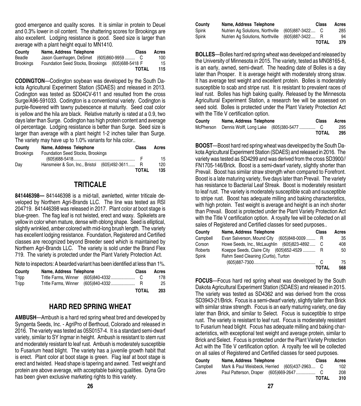good emergence and quality scores. It is similar in protein to Deuel and 0.3% lower in oil content. The shattering scores for Brookings are also excellent. Lodging resistance is good. Seed size is larger than average with a plant height equal to MN1410.

| County           | Name, Address Telephone                 | Class            | Acres |
|------------------|-----------------------------------------|------------------|-------|
| Beadle           | Jason Guenhagen, DeSmet (605)860-9959 C |                  | 100   |
| <b>Brookings</b> | Foundation Seed Stocks, Brookings       | (605) 688-5418 F | 15    |
|                  |                                         | <b>TOTAL</b>     | 115   |

**CODINGTON**—Codington soybean was developed by the South Dakota Agricultural Experiment Station (SDAES) and released in 2013. Codington was tested as SD04CV-611 and resulted from the cross Surge/A96-591033. Codington is a conventional variety. Codington is purple-flowered with tawny pubescence at maturity. Seed coat color is yellow and the hila are black. Relative maturity is rated at a 0.9, two days later than Surge. Codington has high protein content and average oil percentage. Lodging resistance is better than Surge. Seed size is larger than average with a plant height 1-2 inches taller than Surge. The variety may have up to 1.0% variants for hila color..

| County           | Name, Address Telephone                        | Class        | Acres |
|------------------|------------------------------------------------|--------------|-------|
| <b>Brookings</b> | Foundation Seed Stocks, Brookings              |              |       |
|                  |                                                |              | 15    |
| Day              | Hansmeier & Son, Inc., Bristol (605)492-3611 R |              | 120   |
|                  |                                                | <b>TOTAL</b> | 135   |

#### **TRITICALE**

**841446398—** 841446398 is a mid-tall, awnletted, winter triticale developed by Northern Agri-Brands LLC. The line was tested as RSI 204719. 841446398 was released in 2017. Plant color at boot stage is blue-green. The flag leaf is not twisted, erect and waxy. Spikelets are yellow in color when mature, dense with oblong shape. Seed is elliptical, slightly wrinkled, amber colored with mid-long brush length. The variety has excellent lodging resistance. Foundation, Registered and Certified classes are recognized beyond Breeder seed which is maintained by Northern Agri-Brands LLC. The variety is sold under the Brand Flex 719. The variety is protected under the Plant Variety Protection Act.

Note to inspectors: A bearded variant has been identified at less than 1%.

| County | Name, Address Telephone | Class | Acres |
|--------|-------------------------|-------|-------|
| Tripp  |                         |       | 178   |
| Tripp  |                         |       | 25    |
|        |                         | TOTAL | 203   |

#### **HARD RED SPRING WHEAT**

**AMBUSH**—Ambush is a hard red spring wheat bred and developed by Syngenta Seeds, Inc. - AgriPro of Berthoud, Colorado and released in 2016. The variety was tested as 05S0157-4. It is a standard semi-dwarf variety, similar to SY Ingmar in height. Ambush is resistant to stem rust and moderately resistant to leaf rust. Ambush is moderately susceptible to Fusarium head blight. The variety has a juvenile growth habit that is erect. Plant color at boot stage is green. Flag leaf at boot stage is erect and twisted. Head shape is tapering and awned. Test weight and protein are above average, with acceptable baking qualities. Dyna Gro has been given exclusive marketing rights to this variety.

| Countv | Name, Address Telephone          | Class             | Acres |
|--------|----------------------------------|-------------------|-------|
| Spink  | Nutrien Ag Solutions, Northville | $(605)887-3422$ C | 285   |
| Spink  | Nutrien Ag Solutions, Northville | (605)887-3422 R   | 94    |
|        |                                  | <b>TOTAL</b>      | 379   |

**BOLLES**—Bolles hard red spring wheat was developed and released by the University of Minnesota in 2015. The variety, tested as MN08165-8, is an early, awned, semi-dwarf. The heading date of Bolles is a day later than Prosper. It is average height with moderately strong straw. It has average test weight and excellent protein. Bolles is moderately susceptible to scab and stripe rust. It is resistant to prevalent races of leaf rust. Bolles has high baking quality. Released by the Minnesota Agricultural Experiment Station, a research fee will be assessed on seed sold. Bolles is protected under the Plant Variety Protection Act with the Title V certification option.

| County | Name, Address Telephone | Class        | Acres |
|--------|-------------------------|--------------|-------|
|        |                         |              | 295   |
|        |                         | <b>TOTAL</b> | 295   |

**BOOST**—Boost hard red spring wheat was developed by the South Dakota Agricultural Experiment Station (SDAES) and released in 2016. The variety was tested as SD4299 and was derived from the cross SD3900// FN1705-146/Brick. Boost is a semi-dwarf variety, slightly shorter than Prevail. Boost has similar straw strength when compared to Forefront. Boost is a late maturing variety, five days later than Prevail. The variety has resistance to Bacterial Leaf Streak. Boost is moderately resistant to leaf rust. The variety is moderately susceptible scab and susceptible to stripe rust. Boost has adequate milling and baking characteristics, with high protein. Test weight is average and height is an inch shorter than Prevail. Boost is protected under the Plant Variety Protection Act with the Title V certification option. A royalty fee will be collected on all sales of Registered and Certified classes for seed purposes..

| County   | Name, Address Telephone                           | Class | Acres |
|----------|---------------------------------------------------|-------|-------|
| Campbell | Evan Salverson, Mound City<br>$(605)848-0009$     |       | 35    |
| Corson   | Howe Seeds, Inc., McLaughlin<br>$(605)823-4892$ C |       | 408   |
| Roberts  | Koeppe Seeds, Claire City (605) 652-4529          |       | 50    |
| Spink    | Rahm Seed Cleaning (Curtis), Turton               |       |       |
|          |                                                   |       | 75    |
|          |                                                   | TOTAL | 568   |

**FOCUS**—Focus hard red spring wheat was developed by the South Dakota Agricultural Experiment Station (SDAES) and released in 2015. The variety was tested as SD4362 and was derived from the cross SD3943-21/Brick. Focus is a semi-dwarf variety, slightly taller than Brick with similar straw strength. Focus is an early maturing variety, one day later than Brick, and similar to Select. Focus is susceptible to stripe rust. The variety is resistant to leaf rust. Focus is moderately resistant to Fusarium head blight. Focus has adequate milling and baking characteristics, with exceptional test weight and average protein, similar to Brick and Select. Focus is protected under the Plant Variety Protection Act with the Title V certification option. A royalty fee will be collected on all sales of Registered and Certified classes for seed purposes.

| County   | Name, Address Telephone                       | Class        | Acres |
|----------|-----------------------------------------------|--------------|-------|
| Campbell | Mark & Paul Weisbeck, Herried (605)437-2963 C |              | 102   |
| Jones    |                                               |              | 208   |
|          |                                               | <b>TOTAL</b> | 310   |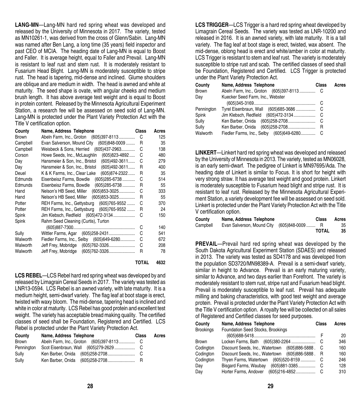**LANG-MN**—Lang-MN hard red spring wheat was developed and released by the University of Minnesota in 2017. The variety, tested as MN10261-1, was derived from the cross of Glenn/Sabin. Lang-MN was named after Ben Lang, a long time (35 years) field inspector and past CEO of MCIA. The heading date of Lang-MN is equal to Boost and Faller. It is average height, equal to Faller and Prevail. Lang-MN is resistant to leaf rust and stem rust. It is moderately resistant to Fusarium Head Blight. Lang-MN is moderately susceptible to stripe rust. The head is tapering, mid-dense and inclined. Glume shoulders are oblique and are medium in width. The head is awned and white at maturity. The seed shape is ovate, with angular cheeks and medium brush length. It has above average test weight and is equal to Boost in protein content. Released by the Minnesota Agricultural Experiment Station, a research fee will be assessed on seed sold of Lang-MN. Lang-MN is protected under the Plant Variety Protection Act with the Title V certification option.

| County       | Name, Address Telephone                             | Class | Acres |
|--------------|-----------------------------------------------------|-------|-------|
| <b>Brown</b> | Abeln Farm, Inc., Groton (605)397-8113              | С     | 125   |
| Campbell     | Evan Salverson, Mound City<br>$(605)848 - 0009$     | R     | 35    |
| Campbell     | Weisbeck & Sons, Herried<br>$(605)437 - 2963$       | C     | 138   |
| Corson       | $(605)823 - 4892$<br>Howe Seeds, Inc., McLaughlin   | C     | 480   |
| Day          | $(605)492 - 3611$<br>Hansmeier & Son, Inc., Bristol | C     | 279   |
| Day          | $(605)492 - 3611$<br>Hansmeier & Son, Inc., Bristol | R     | 400   |
| Deuel        | (605) 874-2322<br>K & K Farms, Inc., Clear Lake     | R     | 35    |
| Edmunds      | $(605)$ 285-6738<br>Eisenbeisz Farms, Bowdle        | C     | 514   |
| Edmunds      | $(605)$ 285-6738<br>Eisenbeisz Farms. Bowdle        | R     | 55    |
| Hand         | Nelson's HB Seed, Miller (605)853-3025              | С     | 333   |
| Hand         | Nelson's HB Seed, Miller (605)853-3025              | R     | 55    |
| Potter       | $(605)765 - 9552$<br>REH Farms, Inc., Gettysburg    | C     | 370   |
| Potter       | REH Farms, Inc., Gettysburg (605)765-9552           | R     | 24    |
| Spink        | Jim Klebsch, Redfield (605)472-3134                 | C     | 150   |
| Spink        | Rahm Seed Cleaning (Curtis), Turton                 |       |       |
|              |                                                     | C     | 140   |
| Sully        | Wittler Farms, Agar (605)258-2431                   | С     | 541   |
| Walworth     | Fiedler Farms, Inc., Selby (605)649-6280            | С     | 672   |
| Walworth     |                                                     | С     | 208   |
| Walworth     | Jeff Frey, Mobridge<br>(605)762-3326                | R     | 78    |
|              |                                                     |       |       |

**TOTAL 4632**

**LCS REBEL**—LCS Rebel hard red spring wheat was developed by and released by Limagrain Cereal Seeds in 2017. The variety was tested as LNR13-0594. LCS Rebel is an awned variety, with late maturity. It is a medium height, semi-dwarf variety. The flag leaf at boot stage is erect, twisted with waxy bloom. The mid-dense, tapering head is inclined and white in color at maturity. LCS Rebel has good protein and excellent test weight. The variety has acceptable bread making quality. The certified classes of seed shall be Foundation, Registered and Certified. LCS Rebel is protected under the Plant Variety Protection Act.

| County     | Name, Address Telephone | Class | Acres |
|------------|-------------------------|-------|-------|
| Brown      |                         |       |       |
| Pennington |                         |       |       |
| Sully      |                         |       |       |
| Sully      |                         |       |       |

**LCS TRIGGER**—LCS Trigger is a hard red spring wheat developed by Limagrain Cereal Seeds. The variety was tested as LNR-10200 and released in 2016. It is an awned variety, with late maturity. It is a tall variety. The flag leaf at boot stage is erect, twisted, wax absent. The mid-dense, oblong head is erect and white/amber in color at maturity. LCS Trigger is resistant to stem and leaf rust. The variety is moderately susceptible to stripe rust and scab. The certified classes of seed shall be Foundation, Registered and Certified. LCS Trigger is protected under the Plant Variety Protection Act.

| County       | Name, Address Telephone                  | Class | Acres |
|--------------|------------------------------------------|-------|-------|
| <b>Brown</b> |                                          |       |       |
| Day          | Kuecker Seed Farm, Inc., Webster         |       |       |
|              |                                          |       |       |
| Pennington   |                                          |       |       |
| Spink        |                                          |       |       |
| Sully        |                                          |       |       |
| Sully        | Ken Barber, Onida (605)258-2708          | R     |       |
| Walworth     | Fiedler Farms, Inc., Selby (605)649-6280 |       |       |

**LINKERT**—Linkert hard red spring wheat was developed and released by the University of Minnesota in 2013. The variety, tested as MN06028, is an early semi-dwarf. The pedigree of Linkert is MN97695/Ada. The heading date of Linkert is similar to Focus. It is short for height with very strong straw. It has average test weight and good protein. Linkert is moderately susceptible to Fusarium head blight and stripe rust. It is resistant to leaf rust. Released by the Minnesota Agricultural Experiment Station, a variety development fee will be assessed on seed sold. Linkert is protected under the Plant Variety Protection Act with the Title V certification option.

| County   | Name, Address Telephone                    | Class        | Acres |
|----------|--------------------------------------------|--------------|-------|
| Campbell | Evan Salverson, Mound City (605)848-0009 R |              | 35    |
|          |                                            | <b>TOTAL</b> | 35    |

**PREVAIL—Prevail hard red spring wheat was developed by the** South Dakota Agricultural Experiment Station (SDAES) and released in 2013. The variety was tested as SD4178 and was developed from the population SD3720/MN98389-A. Prevail is a semi-dwarf variety, similar in height to Advance. Prevail is an early maturing variety, similar to Advance, and two days earlier than Forefront. The variety is moderately resistant to stem rust, stripe rust and Fusarium head blight. Prevail is moderately susceptible to leaf rust. Prevail has adequate milling and baking characteristics, with good test weight and average protein. Prevail is protected under the Plant Variety Protection Act with the Title V certification option. A royalty fee will be collected on all sales of Registered and Certified classes for seed purposes.

| County           | Name, Address Telephone                        | Class | Acres |
|------------------|------------------------------------------------|-------|-------|
| <b>Brookings</b> | Foundation Seed Stocks, Brookings              |       |       |
|                  |                                                |       | 20    |
| <b>Brown</b>     | Locken Farms, Bath (605)380-2264               | С     | 346   |
| Codington        | Discount Seeds, Inc., Watertown (605)886-5888. | C     | 160   |
| Codington        | Discount Seeds, Inc., Watertown (605)886-5888. | R     | 160   |
| Codington        | Thyen Farms, Watertown (605)520-8159           | С     | 246   |
| Day              | Bisgard Farms, Waubay<br>$(605)881 - 3385$     | С     | 128   |
| Day              | Horter Farms, Andover<br>(605) 216-4852        | С     | 310   |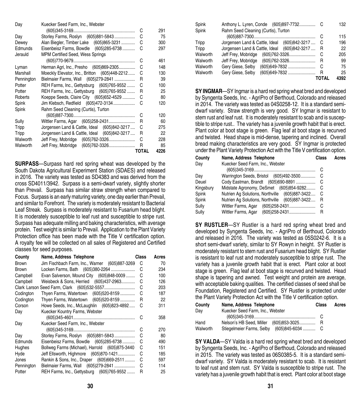| Day        | Kuecker Seed Farm, Inc., Webster              |       |      |
|------------|-----------------------------------------------|-------|------|
|            |                                               | С     | 291  |
| Day        | Storley Farms, Roslyn (605)881-5843           | С     | 75   |
| Dewey      | Alan Biegler, Timber Lake (605)865-3231       | С     | 300  |
| Edmunds    | Eisenbeisz Farms, Bowdle (605)285-6738        | C     | 297  |
| Jerauld    | MPM Certified Seed, Wess Springs              |       |      |
|            |                                               | С     | 461  |
| Lyman      | Herman Agri, Inc., Presho (605)869-2305       | C     | 148  |
| Marshall   | Moeckly Elevator, Inc., Britton (605)448-2212 | С     | 130  |
| Pennington | Bielmaier Farms, Wall (605)279-2841           | R     | 39   |
| Potter     | REH Farms, Inc., Gettysburg (605)765-9552     | С     | 100  |
| Potter     | REH Farms, Inc., Gettysburg (605)765-9552     | R     | 25   |
| Roberts    | Koeppe Seeds, Claire City (605) 652-4529      | С     | 80   |
| Spink      | Jim Klebsch, Redfield (605)472-3134           | С     | 120  |
| Spink      | Rahm Seed Cleaning (Curtis), Turton           |       |      |
|            |                                               | С     | 120  |
| Sully      | Wittler Farms, Agar (605)258-2431             | R     | 60   |
| Tripp      | Jorgensen Land & Cattle, Ideal (605)842-3217  | C     | 275  |
| Tripp      | Jorgensen Land & Cattle, Ideal (605)842-3217  | R     | 22   |
| Walworth   |                                               | С     | 228  |
| Walworth   |                                               | R     | 85   |
|            |                                               | TOTAL | 4226 |

**SURPASS**—Surpass hard red spring wheat was developed by the South Dakota Agricultural Experiment Station (SDAES) and released in 2016. The variety was tested as SD4383 and was derived from the cross SD4011/3942. Surpass is a semi-dwarf variety, slightly shorter than Prevail. Surpass has similar straw strength when compared to Focus. Surpass is an early maturing variety, one day earlier than Prevail, and similar to Forefront. The variety is moderately resistant to Bacterial Leaf Streak. Surpass is moderately resistant to Fusarium head blight. It is moderately susceptible to leaf rust and susceptible to stripe rust. Surpass has adequate milling and baking characteristics, with average protein. Test weight is similar to Prevail. Application to the Plant Variety Protection office has been made with the Title V certification option. A royalty fee will be collected on all sales of Registered and Certified classes for seed purposes.

| County       | Name, Address Telephone                        | Class | Acres |
|--------------|------------------------------------------------|-------|-------|
| <b>Brown</b> | Jim Fischbach Farm, Inc., Warner (605)887-3269 | C     | 70    |
| <b>Brown</b> | Locken Farms, Bath (605)380-2264               | С     | 234   |
| Campbell     | Evan Salverson, Mound City (605)848-0009       | С     | 100   |
| Campbell     | Weisbeck & Sons, Herried (605)437-2963         | С     | 126   |
|              |                                                | С     | 203   |
| Codington    | Thyen Farms, Watertown (605)520-8159           | С     | 187   |
| Codington    | Thyen Farms, Watertown (605)520-8159           | R     | 22    |
| Corson       | Howe Seeds, Inc., McLaughlin (605)823-4892     | С     | 311   |
| Day          | Kuecker Kountry Farms, Webster                 |       |       |
|              |                                                | C     | 358   |
| Day          | Kuecker Seed Farm, Inc., Webster               |       |       |
|              |                                                | C     | 270   |
| Day          | Storley Farms, Roslyn (605)881-5843            | С     | 80    |
| Edmunds      | Eisenbeisz Farms, Bowdle (605)285-6738         | С     | 490   |
| Hughes       | Bollweg Farms (Michael), Harrold (605)875-3440 | С     | 151   |
| Hyde         | Jeff Ellsworth, Highmore (605)870-1421         | С     | 185   |
| Jones        | Rankin & Sons, Inc., Draper (605)669-2511      | С     | 597   |
| Pennington   | Bielmaier Farms, Wall (605)279-2841            | С     | 114   |
| Potter       | REH Farms, Inc., Gettysburg (605)765-9552      | R     | 25    |
|              |                                                |       |       |

| Spink    | Anthony L. Lyren, Conde (605)897-7732        |       | 132  |
|----------|----------------------------------------------|-------|------|
| Spink    | Rahm Seed Cleaning (Curtis), Turton          |       |      |
|          |                                              | C     | 115  |
| Tripp    | Jorgensen Land & Cattle, Ideal (605)842-3217 | C     | 196  |
| Tripp    | Jorgensen Land & Cattle, Ideal (605)842-3217 | R     | 22   |
| Walworth | Jeff Frey, Mobridge<br>(605) 762-3326        | С     | 205  |
| Walworth | Jeff Frey, Mobridge<br>(605)762-3326         | R     | 99   |
| Walworth | Gery Giese, Selby<br>(605)649-7832           | С     | 75   |
| Walworth | Gery Giese, Selby<br>(605)649-7832           | R     | 25   |
|          |                                              | TOTAL | 4392 |

**SY INGMAR**—SY Ingmar is a hard red spring wheat bred and developed by Syngenta Seeds, Inc. - AgriPro of Berthoud, Colorado and released in 2014. The variety was tested as 04S0258-12. It is a standard semidwarf variety. Straw strength is very good. SY Ingmar is resistant to stem rust and leaf rust. It is moderately resistant to scab and is susceptible to stripe rust.. The variety has a juvenile growth habit that is erect. Plant color at boot stage is green. Flag leaf at boot stage is recurved and twisted. Head shape is mid-dense, tapering and inclined. Overall bread making characteristics are very good. SY Ingmar is protected under the Plant Variety Protection Act with the Title V certification option.

| County    | Name, Address Telephone                        | Class | Acres |
|-----------|------------------------------------------------|-------|-------|
| Day       | Kuecker Seed Farm, Inc., Webster               |       |       |
|           |                                                | С     |       |
| Day       | Warrington Seeds, Bristol (605)492-3500        | C     |       |
| Deuel     |                                                |       |       |
| Kingsbury | Midstate Agronomy, DeSmet (605)854-9282        | C     |       |
| Spink     | Nutrien Ag Solutions, Northville (605)887-3422 | - C   |       |
| Spink     | Nutrien Ag Solutions, Northville (605)887-3422 | R     |       |
| Sully     |                                                | С     |       |
| Sully     | Wittler Farms, Agar                            | R     |       |

**SY RUSTLER**—SY Rustler is a hard red spring wheat bred and developed by Syngenta Seeds, Inc. - AgriPro of Berthoud, Colorado and released in 2016. The variety was tested as 05S0242-6. It is a short semi-dwarf variety, similar to SY Rowyn in height. SY Rustler is moderately resistant to stem rust and Fusarium head blight. SY Rustler is resistant to leaf rust and moderately susceptible to stripe rust. The variety has a juvenile growth habit that is erect. Plant color at boot stage is green. Flag leaf at boot stage is recurved and twisted. Head shape is tapering and awned. Test weight and protein are average, with acceptable baking qualities. The certified classes of seed shall be Foundation, Registered and Certified. SY Rustler is protected under the Plant Variety Protection Act with the Title V certification option.

| County   | Name, Address Telephone                    | Class | Acres |
|----------|--------------------------------------------|-------|-------|
| Dav      | Kuecker Seed Farm, Inc., Webster           |       |       |
|          |                                            |       |       |
| Hand     | Nelson's HB Seed, Miller (605)853-3025 R   |       |       |
| Walworth | Stiegelmeier Farms, Selby (605)845-6034  C |       |       |

**SY VALDA**—SY Valda is a hard red spring wheat bred and developed by Syngenta Seeds, Inc. - AgriPro of Berthoud, Colorado and released in 2015. The variety was tested as 06S0385-5. It is a standard semidwarf variety. SY Valda is moderately resistant to scab. It is resistant to leaf rust and stem rust. SY Valda is susceptible to stripe rust. The variety has a juvenile growth habit that is erect. Plant color at boot stage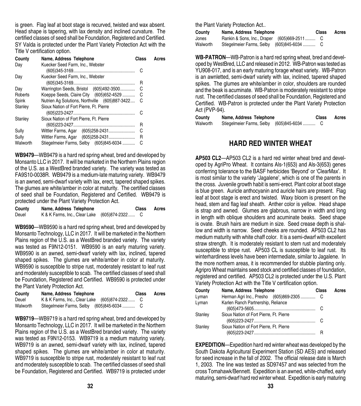is green. Flag leaf at boot stage is recurved, twisted and wax absent. Head shape is tapering, with lax density and inclined curvature. The certified classes of seed shall be Foundation, Registered and Certified. SY Valda is protected under the Plant Variety Protection Act with the Title V certification option.

| County   | Name, Address Telephone                        | Class | Acres |
|----------|------------------------------------------------|-------|-------|
| Day      | Kuecker Seed Farm, Inc., Webster               |       |       |
|          |                                                | С     |       |
| Dav      | Kuecker Seed Farm, Inc., Webster               |       |       |
|          |                                                | R     |       |
| Day      | Warrington Seeds, Bristol (605)492-3500        | С     |       |
| Roberts  | Koeppe Seeds, Claire City (605) 652-4529       | С     |       |
| Spink    | Nutrien Ag Solutions, Northville (605)887-3422 | - C   |       |
| Stanley  | Sioux Nation of Fort Pierre, Ft. Pierre        |       |       |
|          |                                                |       |       |
| Stanley  | Sioux Nation of Fort Pierre, Ft. Pierre        |       |       |
|          |                                                | R     |       |
| Sully    |                                                | С     |       |
| Sully    |                                                | R     |       |
| Walworth | Stiegelmeier Farms, Selby (605)845-6034        | С     |       |
|          |                                                |       |       |

**WB9479**—WB9479 is a hard red spring wheat, bred and developed by Monsanto LLC in 2017. It will be marketed in the Northern Plains region of the U.S. as a WestBred branded variety. The variety was tested as FA9S10-0038R. WB9479 is a medium-late maturing variety. WB9479 is an awned, semi-dwarf variety with lax, erect, tapered shaped spikes. The glumes are white/amber in color at maturity. The certified classes of seed shall be Foundation, Registered and Certified. WB9479 is protected under the Plant Variety Protection Act.

| County | Name, Address Telephone                       | <b>Class</b> | Acres |
|--------|-----------------------------------------------|--------------|-------|
| Deuel  | K & K Farms, Inc., Clear Lake (605)874-2322 C |              |       |

**WB9590**—WB9590 is a hard red spring wheat, bred and developed by Monsanto Technology, LLC in 2017. It will be marketed in the Northern Plains region of the U.S. as a WestBred branded variety. The variety was tested as F9N12-0151. WB9590 is an early maturing variety. WB9590 is an awned, semi-dwarf variety with lax, inclined, tapered shaped spikes. The glumes are white/amber in color at maturity. WB9590 is susceptible to stripe rust, moderately resistant to leaf rust and moderately susceptible to scab. The certified classes of seed shall be Foundation, Registered and Certified. WB9590 is protected under the Plant Variety Protection Act.

| County   | Name, Address Telephone                       | Class | Acres |
|----------|-----------------------------------------------|-------|-------|
| Deuel    | K & K Farms, Inc., Clear Lake (605)874-2322 C |       |       |
| Walworth |                                               |       |       |

**WB9719**—WB9719 is a hard red spring wheat, bred and developed by Monsanto Technology, LLC in 2017. It will be marketed in the Northern Plains region of the U.S. as a WestBred branded variety. The variety was tested as F9N12-0153. WB9719 is a medium maturing variety. WB9719 is an awned, semi-dwarf variety with lax, inclined, tapered shaped spikes. The glumes are white/amber in color at maturity. WB9719 is susceptible to stripe rust, moderately resistant to leaf rust and moderately susceptible to scab. The certified classes of seed shall be Foundation, Registered and Certified. WB9719 is protected under

the Plant Variety Protection Act..

| County   | Name, Address Telephone                     | Class | Acres |
|----------|---------------------------------------------|-------|-------|
| Jones    | Rankin & Sons, Inc., Draper (605)669-2511 C |       |       |
| Walworth | Stiegelmeier Farms, Selby (605)845-6034  C  |       |       |

**WB-PATRON**—WB-Patron is a hard red spring wheat, bred and developed by WestBred, LLC and released in 2012. WB-Patron was tested as YU908-017, and is an early maturing forage wheat variety. WB-Patron is an awnletted, semi-dwarf variety with lax, inclined, tapered shaped spikes. The glumes are white/amber in color, shoulders are rounded and the beak is acuminate. WB-Patron is moderately resistant to stripe rust. The certified classes of seed shall be Foundation, Registered and Certified. WB-Patron is protected under the Plant Variety Protection Act (PVP-94).

| County   | Name, Address Telephone | Class | Acres |
|----------|-------------------------|-------|-------|
| Walworth |                         |       |       |

#### **HARD RED WINTER WHEAT**

**AP503 CL2**—AP503 CL2 is a hard red winter wheat bred and developed by AgriPro Wheat. It contains Als-1(653) and Als-3(653) genes conferring tolerance to the BASF herbicides 'Beyond' or 'ClearMax'. It is most similar to the variety 'Jagalene', which is one of the parents in the cross. Juvenile growth habit is semi-erect. Plant color at boot stage is blue green. Auricle anthocyanin and auricle hairs are present. Flag leaf at boot stage is erect and twisted. Waxy bloom is present on the head, stem and flag leaf sheath. Anther color is yellow. Head shape is strap and awned. Glumes are glabrous, narrow in width and long in length with oblique shoulders and acuminate beaks. Seed shape is ovate. Brush hairs are medium in size. Seed crease depth is shallow and width is narrow. Seed cheeks are rounded. AP503 CL2 has medium maturity with white chaff color. It is a semi-dwarf with excellent straw strength. It is moderately resistant to stem rust and moderately susceptible to stripe rust. AP503 CL is susceptible to leaf rust. Its winterhardiness levels have been intermediate, similar to Jagalene. In the more northern areas, it is recommended for stubble planting only. Agripro Wheat maintains seed stock and certified classes of foundation, registered and certified. AP503 CL2 is protected under the U.S. Plant Variety Protection Act with the Title V certification option.

| County  | Name, Address Telephone                 | Class | Acres |
|---------|-----------------------------------------|-------|-------|
| Lyman   |                                         |       |       |
| Lyman   | Karlen Ranch Partnership, Reliance      |       |       |
|         |                                         |       |       |
| Stanley | Sioux Nation of Fort Pierre, Ft. Pierre |       |       |
|         |                                         |       |       |
| Stanley | Sioux Nation of Fort Pierre, Ft. Pierre |       |       |
|         |                                         |       |       |

**EXPEDITION**—Expedition hard red winter wheat was developed by the South Dakota Agricultural Experiment Station (SD AES) and released for seed increase in the fall of 2002. The official release date is March 1, 2003. The line was tested as SD97457 and was selected from the cross Tomahawk/Bennett. Expedition is an awned, white-chaffed, early maturing, semi-dwarf hard red winter wheat. Expedition is early maturing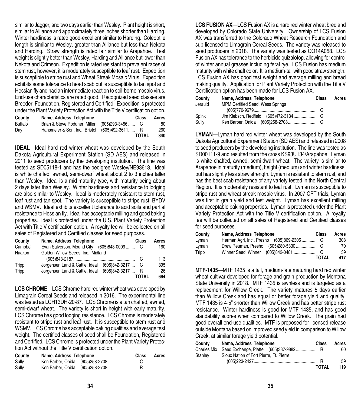similar to Jagger, and two days earlier than Wesley. Plant height is short, similar to Alliance and approximately three inches shorter than Harding. Winter hardiness is rated good-excellent similar to Harding. Coleoptile length is similar to Wesley, greater than Alliance but less than Nekota and Harding. Straw strength is rated fair similar to Arapahoe. Test weight is slightly better than Wesley, Harding and Alliance but lower than Nekota and Crimson. Expedition is rated resistant to prevalent races of stem rust, however, it is moderately susceptible to leaf rust. Expedition is susceptible to stripe rust and Wheat Streak Mosaic Virus. Expedition exhibits some tolerance to head scab but is susceptible to tan spot and Hessian fly and had an intermediate reaction to soil-borne mosaic virus. End-use characteristics are rated good. Recognized seed classes are Breeder, Foundation, Registered and Certified. Expedition is protected under the Plant Variety Protection Act with the Title V certification option.

| County  | Name, Address Telephone        | Class               | Acres |
|---------|--------------------------------|---------------------|-------|
| Buffalo | Brian & Steve Roduner, Miller  | $(605)$ 293-3456  C | 80    |
| Day     | Hansmeier & Son. Inc., Bristol | (605)492-3611 R     | 260   |
|         |                                | TOTAL               | 340   |

**IDEAL**—Ideal hard red winter wheat was developed by the South Dakota Agricultural Experiment Station (SD AES) and released in 2011 to seed producers by the developing institution. The line was tested as SD05118-1 and has the pedigree Wesley/NE93613. Ideal is white chaffed, awned, semi-dwarf wheat about 2 to 3 inches taller than Wesley. Ideal is a mid-maturity type, with maturity being about 2 days later than Wesley. Winter hardiness and resistance to lodging are also similar to Wesley. Ideal is moderately resistant to stem rust, leaf rust and tan spot. The variety is susceptible to stripe rust, BYDV and WSMV. Ideal exhibits excellent tolerance to acid soils and partial resistance to Hessian fly. Ideal has acceptable milling and good baking properties. Ideal is protected under the U.S. Plant Variety Protection Act with Title V certification option. A royalty fee will be collected on all sales of Registered and Certified classes for seed purposes.

| County   | Name, Address Telephone                    |                   | Class | Acres |
|----------|--------------------------------------------|-------------------|-------|-------|
| Campbell | Evan Salverson, Mound City (605)848-0009 C |                   |       | 160   |
| Haakon   | Golden Willow Seeds, Inc., Midland         |                   |       |       |
|          |                                            |                   |       | 113   |
| Tripp    | Jorgensen Land & Cattle, Ideal             | $(605)842 - 3217$ | - C   | 395   |
| Tripp    | Jorgensen Land & Cattle, Ideal             | (605) 842-3217    | - R   | 26    |
|          |                                            |                   | TOTAL | 694   |

**LCS CHROME**—LCS Chrome hard red winter wheat was developed by Limagrain Cereal Seeds and released in 2016. The experimental line was tested as LCH13DH-20-87. LCS Chrome is a tan chaffed, awned, semi-dwarf wheat. The variety is short in height with early maturity. LCS Chrome has good lodging resistance. LCS Chrome is moderately resistant to stripe rust and leaf rust. It is susceptible to stem rust and WSMV. LCS Chrome has acceptable baking qualities and average test weight. The certified classes of seed shall be Foundation. Registered and Certified. LCS Chrome is protected under the Plant Variety Protection Act without the Title V certification option.

| County | Name, Address Telephone | Class | Acres |
|--------|-------------------------|-------|-------|
| Sully  |                         |       |       |
| Sully  |                         |       |       |

**LCS FUSION AX**—LCS Fusion AX is a hard red winter wheat bred and developed by Colorado State University. Ownership of LCS Fusion AX was transferred to the Colorado Wheat Research Foundation and sub-licensed to Limagrain Cereal Seeds. The variety was released to seed producers in 2018. The variety was tested as CO14A058. LCS Fusion AX has tolerance to the herbicide quizalofop, allowing for control of winter annual grasses including feral rye. LCS Fusion has medium maturity with white chaff color. It is medium-tall with good straw strength. LCS Fusion AX has good test weight and average milling and bread making quality. Application for Plant Variety Protection with the Title V Certification option has been made for LCS Fusion AX.

| County  | Name, Address Telephone          | <b>Class</b> | Acres |
|---------|----------------------------------|--------------|-------|
| Jerauld | MPM Certified Seed, Wess Springs |              |       |
|         |                                  |              |       |
| Spink   |                                  |              |       |
| Sully   |                                  |              |       |

**LYMAN**—Lyman hard red winter wheat was developed by the South Dakota Agricultural Experiment Station (SD AES) and released in 2008 to seed producers by the developing institution. The line was tested as SD00111-9 and resulted from the cross KS93U134/Arapahoe. Lyman is white chaffed, awned, semi-dwarf wheat. The variety is similar to Arapahoe in maturity (medium), height (medium) and winter hardiness, but has slightly less straw strength. Lyman is resistant to stem rust, and has the best scab resistance of any variety tested in the North Central Region. It is moderately resistant to leaf rust. Lyman is susceptible to stripe rust and wheat streak mosaic virus. In 2007 CPT trials, Lyman was first in grain yield and test weight. Lyman has excellent milling and acceptable baking properties. Lyman is protected under the Plant Variety Protection Act with the Title V certification option. A royalty fee will be collected on all sales of Registered and Certified classes for seed purposes.

| County | Name, Address Telephone | Class        | Acres |
|--------|-------------------------|--------------|-------|
| Lyman  |                         |              | 308   |
| Lyman  |                         |              | 70    |
| Tripp  | Winner Seed. Winner     |              | 39    |
|        |                         | <b>TOTAL</b> | 417   |

**MTF-1435**—MTF 1435 is a tall, medium-late maturing hard red winter wheat cultivar developed for forage and grain production by Montana State University in 2018. MTF 1435 is awnless and is targeted as a replacement for Willow Creek. The variety matures 5 days earlier than Willow Creek and has equal or better forage yield and quality. MTF 1435 is 4-5" shorter than Willow Creek and has better stripe rust resistance. Winter hardiness is good for MTF 1435, and has good standability scores when compared to Willow Creek. The grain had good overall end-use qualities. MTF is proposed for licensed release outside Montana based on improved seed yield in comparison to Willow Creek, at similar forage yield potential.

| Countv      | Name, Address Telephone                 | Class        | Acres |
|-------------|-----------------------------------------|--------------|-------|
| Charles Mix |                                         |              | 60    |
| Stanley     | Sioux Nation of Fort Pierre, Ft. Pierre |              |       |
|             |                                         | н            | 59    |
|             |                                         | <b>TOTAL</b> | 119   |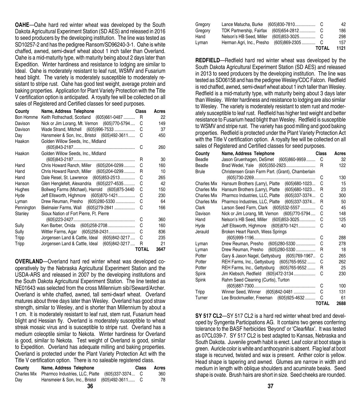**OAHE**—Oahe hard red winter wheat was developed by the South Dakota Agricultural Experiment Station (SD AES) and released in 2016 to seed producers by the developing institution. The line was tested as SD10257-2 and has the pedigree Ransom/SD96240-3-1. Oahe is white chaffed, awned, semi-dwarf wheat about 1 inch taller than Overland. Oahe is a mid-maturity type, with maturity being about 2 days later than Expedition. Winter hardiness and resistance to lodging are similar to Ideal. Oahe is moderately resistant to leaf rust, WSMV and Fusarium head blight. The variety is moderately susceptible to moderately resistant to stripe rust. Oahe has good test weight, average protein and baking properties. Application for Plant Variety Protection with the Title V certification option is anticipated. A royalty fee will be collected on all sales of Registered and Certified classes for seed purposes.

| County     | Name, Address Telephone                        | Class        | Acres |
|------------|------------------------------------------------|--------------|-------|
| Bon Homme  | Keith Rothschadl, Scotland (605)661-0487       | R            | 22    |
| Davison    | Nick or Jim Lorang, Mt. Vernon (605)770-5794   | C            | 149   |
| Davison    | Wade Strand, Mitchell (605)996-7533            | C            | 37    |
| Day        | Hansmeier & Son, Inc., Bristol (605)492-3611   | С            | 450   |
| Haakon     | Golden Willow Seeds, Inc., Midland             |              |       |
|            |                                                | C            | 260   |
| Haakon     | Golden Willow Seeds, Inc., Midland             |              |       |
|            |                                                | R            | 30    |
| Hand       | Chris Howard Ranch, Miller (605)204-0299       | C            | 160   |
| Hand       | Chris Howard Ranch, Miller (605)204-0299       | R            | 10    |
| Hand       | Dale Resel, St. Lawrence (605)853-2513         | C            | 265   |
| Hanson     | Glen Henglefelt, Alexandria (605)227-4535      | C            | 42    |
| Hughes     | Bollweg Farms (Michael), Harrold (605)875-3440 | C            | 150   |
| Hyde       | Jeff Ellsworth, Highmore (605)870-1421         | С            | 230   |
| Lyman      | Drew Reuman, Presho (605)280-5330              | С            | 64    |
| Pennington | Bielmaier Farms, Wall (605)279-2841            | C            | 166   |
| Stanley    | Sioux Nation of Fort Pierre, Ft. Pierre        |              |       |
|            |                                                | C            | 360   |
| Sully      | Ken Barber, Onida (605)258-2708                | C            | 160   |
| Sully      | Wittler Farms, Agar (605)258-2431              | С            | 836   |
| Tripp      | Jorgensen Land & Cattle, Ideal (605)842-3217   | C            | 235   |
| Tripp      | Jorgensen Land & Cattle, Ideal (605)842-3217   | R            | 21    |
|            |                                                | <b>TOTAL</b> | 3647  |

**OVERLAND**—Overland hard red winter wheat was developed cooperatively by the Nebraska Agricultural Experiment Station and the USDA-ARS and released in 2007 by the developing institutions and the South Dakota Agricultural Experiment Station. The line tested as NE01643 was selected from the cross Millennium sib//Seward/Archer. Overland is white chaffed, awned, tall semi-dwarf wheat. Overland matures about three days later than Wesley. Overland has good straw strength, similar to Wesley, and is shorter than Millennium by about a 1 cm. It is moderately resistant to leaf rust, stem rust, Fusarium head blight and Hessian fly. Overland is moderately susceptible to wheat streak mosaic virus and is susceptible to stripe rust. Overland has a medium coleoptile similar to Nekota. Winter hardiness for Overland is good, similar to Nekota. Test weight of Overland is good, similar to Expedition. Overland has adequate milling and baking properties. Overland is protected under the Plant Variety Protection Act with the Title V certification option. There is no saleable registered class.

| County | Name, Address Telephone                                     | <b>Class</b> | Acres | medium in length with oblique shoul   |
|--------|-------------------------------------------------------------|--------------|-------|---------------------------------------|
|        | Charles Mix Pharmco Industries, LLC, Platte (605)337-3374 C |              | 360   | shape is ovate. Brush hairs are short |
| Dav    | Hansmeier & Son, Inc., Bristol (605)492-3611 C              |              | 78    |                                       |
|        | 36                                                          |              |       | 37                                    |

| Gregory |                           |                 |              | 42   |
|---------|---------------------------|-----------------|--------------|------|
| Gregory |                           |                 |              | 186  |
| Hand    | Nelson's HB Seed, Miller  | (605)853-3025C  |              | 298  |
| Lyman   | Herman Agri, Inc., Presho | (605)869-2305 C |              | 157  |
|         |                           |                 | <b>TOTAL</b> | 1121 |

**REDFIELD**—Redfield hard red winter wheat was developed by the South Dakota Agricultural Experiment Station (SD AES) and released in 2013 to seed producers by the developing institution. The line was tested as SD06158 and has the pedigree Wesley/CDC Falcon. Redfield is red chaffed, awned, semi-dwarf wheat about 1 inch taller than Wesley. Redfield is a mid-maturity type, with maturity being about 3 days later than Wesley. Winter hardiness and resistance to lodging are also similar to Wesley. The variety is moderately resistant to stem rust and moderately susceptible to leaf rust. Redfield has higher test weight and better resistance to Fusarium head blight than Wesley. Redfield is susceptible to WSMV and stripe rust. The variety has good milling and good baking properties. Redfield is protected under the Plant Variety Protection Act with the Title V certification option. A royalty fee will be collected on all sales of Registered and Certified classes for seed purposes.

| County             | Name, Address Telephone                              | Class        | Acres |
|--------------------|------------------------------------------------------|--------------|-------|
| Beadle             | Jason Gruenhagen, DeSmet (605)860-9959               | C            | 32    |
| Beadle             |                                                      | R            | 122   |
| <b>Brule</b>       | Christensen Grain Farm Part. (Grant), Chamberlain    |              |       |
|                    |                                                      | C            | 130   |
| Charles Mix        | Hansum Brothers (Larry), Platte (605)680-1023        | C            | 15    |
| Charles Mix        | Hansum Brothers (Larry), Platte (605)680-1023        | R            | 23    |
| <b>Charles Mix</b> | (605)337-3374<br>Pharmco Industries, LLC, Platte     | C            | 300   |
| <b>Charles Mix</b> | $(605)337 - 3374$<br>Pharmco Industries, LLC, Platte | R            | 50    |
| Clark              | Larson Seed Farm, Clark (605)532-5557                | C            | 45    |
| Davison            | Nick or Jim Lorang, Mt. Vernon (605)770-5794         | C            | 148   |
| Hand               | Nelson's HB Seed, Miller (605)853-3025               | С            | 125   |
| Hyde               | Jeff Ellsworth, Highmore (605)870-1421               | C            | 40    |
| Jerauld            | Broken Heart Ranch, Wess Springs                     |              |       |
|                    |                                                      | С            | 288   |
| Lyman              | Drew Reuman, Presho (605)280-5330                    | C            | 278   |
| Lyman              | Drew Reuman, Presho (605)280-5330                    | R            | 18    |
| Potter             | Gary & Jason Nagel, Gettysburg (605)769-1967         | C            | 265   |
| Potter             | REH Farms, Inc., Gettysburg (605)765-9552            | С            | 262   |
| Potter             | REH Farms, Inc., Gettysburg (605)765-9552            | R            | 25    |
| Spink              | Jim Klebsch, Redfield (605)472-3134                  | C            | 230   |
| Spink              | Rahm Seed Cleaning (Curtis), Turton                  |              |       |
|                    |                                                      | С            | 100   |
| Tripp              | Winner Seed, Winner (605)842-0481                    | C            | 131   |
| Turner             | Lee Brockmueller, Freeman (605)925-4632              | C            | 61    |
|                    |                                                      | <b>TOTAL</b> | 2688  |

**SY 517 CL2**—SY 517 CL2 is a hard red winter wheat bred and developed by Syngenta Participations AG. It contains two genes conferring tolerance to the BASF herbicides 'Beyond' or 'ClearMax'. It was tested as 07CL039-7. SY 517 CL2 is best adapted to Kansas, Nebraska and South Dakota. Juvenile growth habit is erect. Leaf color at boot stage is green. Auricle color is white and anthocyanin is absent. Flag leaf at boot stage is recurved, twisted and wax is present. Anther color is yellow. Head shape is tapering and awned. Glumes are narrow in width and medium in length with oblique shoulders and acuminate beaks. Seed shape is ovate. Brush hairs are short in size. Seed cheeks are rounded.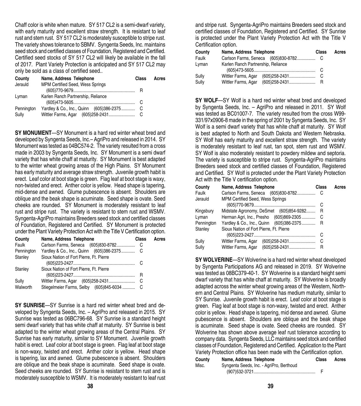Chaff color is white when mature. SY 517 CL2 is a semi-dwarf variety, with early maturity and excellent straw strength. It is resistant to leaf rust and stem rust. SY 517 CL2 is moderately susceptible to stripe rust. The variety shows tolerance to SBMV. Syngenta Seeds, Inc. maintains seed stock and certified classes of Foundation, Registered and Certified. Certified seed stocks of SY 517 CL2 will likely be available in the fall of 2017. Plant Variety Protection is anticipated and SY 517 CL2 may only be sold as a class of certified seed..

| County              | Name, Address Telephone<br>Class   |  | Acres |
|---------------------|------------------------------------|--|-------|
| Jerauld             | MPM Certified Seed, Wess Springs   |  |       |
| Lyman               | Karlen Ranch Partnership, Reliance |  |       |
| Pennington<br>Sully |                                    |  |       |

**SY MONUMENT**—SY Monument is a hard red winter wheat bred and developed by Syngenta Seeds, Inc.– AgriPro and released in 2014. SY Monument was tested as 04BC574-2. The variety resulted from a cross made in 2003 by Syngenta Seeds, Inc. SY Monument is a semi dwarf variety that has white chaff at maturity. SY Monument is best adapted to the winter wheat growing areas of the High Plains. SY Monument has early maturity and average straw strength. Juvenile growth habit is erect. Leaf color at boot stage is green. Flag leaf at boot stage is waxy, non-twisted and erect. Anther color is yellow. Head shape is tapering, mid-dense and awned. Glume pubescence is absent. Shoulders are oblique and the beak shape is acuminate. Seed shape is ovate. Seed cheeks are rounded. SY Monument is moderately resistant to leaf rust and stripe rust. The variety is resistant to stem rust and WSMV. Syngenta-AgriPro maintains Breeders seed stock and certified classes of Foundation, Registered and Certified. SY Monument is protected under the Plant Variety Protection Act with the Title V Certification option.

| County     | Name, Address Telephone                    | Class | Acres |
|------------|--------------------------------------------|-------|-------|
| Faulk      |                                            |       |       |
| Pennington | Yardley & Co., Inc., Quinn (605)386-2375 C |       |       |
| Stanley    | Sioux Nation of Fort Pierre, Ft. Pierre    |       |       |
|            |                                            |       |       |
| Stanley    | Sioux Nation of Fort Pierre, Ft. Pierre    |       |       |
|            |                                            | R     |       |
| Sully      |                                            | C     |       |
| Walworth   | Stiegelmeier Farms, Selby (605)845-6034  C |       |       |

**SY SUNRISE**—SY Sunrise is a hard red winter wheat bred and developed by Syngenta Seeds, Inc. – AgriPro and released in 2015. SY Sunrise was tested as 06BC796-68. SY Sunrise is a standard height semi dwarf variety that has white chaff at maturity. SY Sunrise is best adapted to the winter wheat growing areas of the Central Plains. SY Sunrise has early maturity, similar to SY Monument. Juvenile growth habit is erect. Leaf color at boot stage is green. Flag leaf at boot stage is non-waxy, twisted and erect. Anther color is yellow. Head shape is tapering, lax and awned. Glume pubescence is absent. Shoulders are oblique and the beak shape is acuminate. Seed shape is ovate. Seed cheeks are rounded. SY Sunrise is resistant to stem rust and is moderately susceptible to WSMV. It is moderately resistant to leaf rust

and stripe rust. Syngenta-AgriPro maintains Breeders seed stock and certified classes of Foundation, Registered and Certified. SY Sunrise is protected under the Plant Variety Protection Act with the Title V Certification option.

| County | Name, Address Telephone            | Class | Acres |
|--------|------------------------------------|-------|-------|
| Faulk  |                                    |       |       |
| Lyman  | Karlen Ranch Partnership, Reliance |       |       |
|        |                                    |       |       |
| Sully  | Wittler Farms, Agar                |       |       |
| Sully  | Wittler Farms, Agar                |       |       |

**SY WOLF**—SY Wolf is a hard red winter wheat bred and developed by Syngenta Seeds, Inc. – AgriPro and released in 2011. SY Wolf was tested as BC01007-7. The variety resulted from the cross W99- 331/97x0906-8 made in the spring of 2001 by Syngenta Seeds, Inc. SY Wolf is a semi dwarf variety that has white chaff at maturity. SY Wolf is best adapted to North and South Dakota and Western Nebraska. SY Wolf has early maturity and excellent straw strength. The variety is moderately resistant to leaf rust, tan spot, stem rust and WSMV. SY Wolf is also moderately resistant to powdery mildew and septoria. The variety is susceptible to stripe rust. Syngenta-AgriPro maintains Breeders seed stock and certified classes of Foundation, Registered and Certified. SY Wolf is protected under the Plant Variety Protection Act with the Title V certification option.

| County     | Name, Address Telephone                  | Class | Acres |
|------------|------------------------------------------|-------|-------|
| Faulk      |                                          |       |       |
| Jerauld    | <b>MPM Certified Seed, Wess Springs</b>  |       |       |
|            |                                          | C     |       |
| Kingsbury  | Midstate Agronomy, DeSmet (605)854-9282  | R     |       |
| Lyman      | Herman Agri, Inc., Presho (605)869-2305  | -C    |       |
| Pennington | Yardley & Co., Inc., Quinn (605)386-2375 | R     |       |
| Stanley    | Sioux Nation of Fort Pierre, Ft. Pierre  |       |       |
|            |                                          | C     |       |
| Sully      | Wittler Farms, Agar (605)258-2431        | C     |       |
| Sully      | Wittler Farms, Agar<br>$(605)$ 258-2431  | R     |       |

**SY WOLVERINE**—SY Wolverine is a hard red winter wheat developed by Syngenta Participations AG and released in 2019. SY Wolverine was tested as 08BC379-40-1. SY Wolverine is a standard height semi dwarf variety that has white chaff at maturity. SY Wolverine is broadly adapted across the winter wheat growing areas of the Western, Northern and Central Plains. SY Wolverine has medium maturity, similar to SY Sunrise. Juvenile growth habit is erect. Leaf color at boot stage is green. Flag leaf at boot stage is non-waxy, twisted and erect. Anther color is yellow. Head shape is tapering, mid dense and awned. Glume pubescence is absent. Shoulders are oblique and the beak shape is acuminate. Seed shape is ovate. Seed cheeks are rounded. SY Wolverine has shown above average leaf rust tolerance according to company data. Syngenta Seeds, LLC maintains seed stock and certified classes of Foundation, Registered and Certified. Application to the Plant Variety Protection office has been made with the Certification option.

| County | Name, Address Telephone                  | Class | Acres |
|--------|------------------------------------------|-------|-------|
| Misc.  | Syngenta Seeds, Inc. - AgriPro, Berthoud |       |       |
|        |                                          |       |       |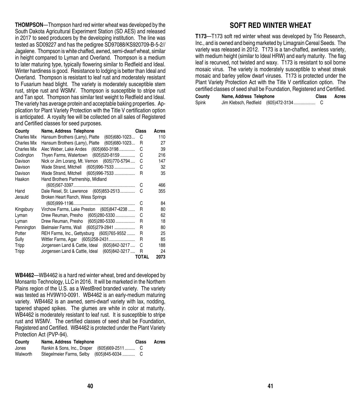**THOMPSON**—Thompson hard red winter wheat was developed by the South Dakota Agricultural Experiment Station (SD AES) and released in 2017 to seed producers by the developing institution. The line was tested as SD09227 and has the pedigree SD97088/KS920709-B-5-2// Jagalene. Thompson is white chaffed, awned, semi-dwarf wheat, similar in height compared to Lyman and Overland. Thompson is a medium to later maturing type, typically flowering similar to Redfield and Ideal. Winter hardiness is good. Resistance to lodging is better than Ideal and Overland. Thompson is resistant to leaf rust and moderately resistant to Fusarium head blight. The variety is moderately susceptible stem rust, stripe rust and WSMV. Thompson is susceptible to stripe rust and Tan spot. Thompson has similar test weight to Redfield and Ideal. The variety has average protein and acceptable baking properties. Application for Plant Variety Protection with the Title V certification option is anticipated. A royalty fee will be collected on all sales of Registered and Certified classes for seed purposes.

| County             | Name, Address Telephone                          | Class        | Acres |
|--------------------|--------------------------------------------------|--------------|-------|
| <b>Charles Mix</b> | Hansum Brothers (Larry), Platte<br>(605)680-1023 | C            | 110   |
| Charles Mix        | Hansum Brothers (Larry), Platte (605)680-1023    | R            | 27    |
| Charles Mix        | Alec Weber, Lake Andes<br>$(605)660-3198$        | C            | 39    |
| Codington          | Thyen Farms, Watertown (605)520-8159             | C            | 216   |
| Davison            | Nick or Jim Lorang, Mt. Vernon (605)770-5794     | C            | 147   |
| Davison            | Wade Strand, Mitchell (605)996-7533              | C            | 32    |
| Davison            | Wade Strand, Mitchell (605)996-7533              | R            | 35    |
| Haakon             | Hand Brothers Partnership, Midland               |              |       |
|                    |                                                  | C            | 466   |
| Hand               | Dale Resel, St. Lawrence (605)853-2513           | C            | 355   |
| Jerauld            | Broken Heart Ranch, Wess Springs                 |              |       |
|                    |                                                  | C            | 84    |
| Kingsbury          | Virchow Farms, Lake Preston (605)847-4238        | R            | 80    |
| Lyman              | Drew Reuman, Presho (605)280-5330                | C            | 62    |
| Lyman              | Drew Reuman, Presho (605)280-5330                | R            | 18    |
| Pennington         | Bielmaier Farms, Wall (605)279-2841              | R            | 80    |
| Potter             | REH Farms, Inc., Gettysburg (605)765-9552        | R            | 25    |
| Sully              | Wittler Farms, Agar (605)258-2431                | R            | 85    |
| Tripp              | Jorgensen Land & Cattle, Ideal (605)842-3217     | C            | 188   |
| Tripp              | Jorgensen Land & Cattle, Ideal (605)842-3217     | R            | 24    |
|                    |                                                  | <b>TOTAL</b> | 2073  |

**WB4462**—WB4462 is a hard red winter wheat, bred and developed by Monsanto Technology, LLC in 2016. It will be marketed in the Northern Plains region of the U.S. as a WestBred branded variety. The variety was tested as HV9W10-0091. WB4462 is an early-medium maturing variety. WB4462 is an awned, semi-dwarf variety with lax, nodding, tapered shaped spikes. The glumes are white in color at maturity. WB4462 is moderately resistant to leaf rust. It is susceptible to stripe rust and WSMV. The certified classes of seed shall be Foundation, Registered and Certified. WB4462 is protected under the Plant Variety Protection Act (PVP-94).

| County   | Name, Address Telephone                     | Class | Acres |
|----------|---------------------------------------------|-------|-------|
| Jones    | Rankin & Sons, Inc., Draper (605)669-2511 C |       |       |
| Walworth | Stiegelmeier Farms, Selby (605)845-6034  C  |       |       |

#### **SOFT RED WINTER WHEAT**

**T173**—T173 soft red winter wheat was developed by Trio Research, Inc., and is owned and being marketed by Limagrain Cereal Seeds. The variety was released in 2012. T173 is a tan-chaffed, awnless variety, with medium height (similar to Ideal HRW) and early maturity. The flag leaf is recurved, not twisted and waxy. T173 is resistant to soil borne mosaic virus. The variety is moderately susceptible to wheat streak mosaic and barley yellow dwarf viruses. T173 is protected under the Plant Variety Protection Act with the Title V certification option. The certified classes of seed shall be Foundation, Registered and Certified.

| County | Name, Address Telephone |                                     | <b>Class</b> | Acres |
|--------|-------------------------|-------------------------------------|--------------|-------|
| Spink  |                         | Jim Klebsch, Redfield (605)472-3134 |              |       |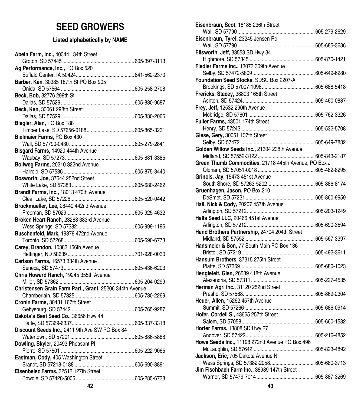### **SEED GROWERS**

#### **Listed alphabetically by NAME**

| Abeln Farm, Inc., 40344 134th Street                    | Ellsworth, Jeff, 33553 SD Hwy 34    |
|---------------------------------------------------------|-------------------------------------|
|                                                         | Highmore, SD 57345                  |
| Ag Performance, Inc., PO Box 520                        | Fiedler Farms Inc., 13073 309th Av  |
|                                                         | Selby, SD 57472-5809                |
| Barber, Ken, 30385 187th St PO Box 905                  | Foundation Seed Stocks, SDSU B      |
|                                                         | Brookings, SD 57007-1096            |
| Beck, Bob, 32776 299th St                               | Frericks, Stacey, 38803 165th Stre  |
|                                                         | Ashton, SD 57424                    |
| Beck, Ken, 33061 298th Street                           | Frey, Jeff, 12532 290th Avenue      |
|                                                         | Mobridge, SD 57601                  |
| Biegler, Alan, PO Box 188                               | Fuller Farms, 43501 174th Street    |
|                                                         | Henry, SD 57243                     |
| Bielmaier Farms, PO Box 430                             | Giese, Gery, 30051 137th Street     |
|                                                         | Selby, SD 57472                     |
| Bisgard Farms, 14920 444th Avenue                       | Golden Willow Seeds Inc., 21304 2   |
|                                                         | Midland, SD 57552-3122              |
| Bollweg Farms, 20210 322nd Avenue                       | Green Thumb Commodities, 2171       |
|                                                         | Oldham, SD 57051-0018               |
| Bosworth, Joe, 37644 252nd Street                       | Grinols, Jay, 15473 451st Avenue    |
|                                                         | South Shore, SD 57263-5202          |
| Brandt Farms, Inc., 18013 470th Avenue                  | Gruenhagen, Jason, PO Box 210       |
|                                                         | DeSmet, SD 57231                    |
| Brockmueller, Lee, 28440 442nd Avenue                   | Hall, Nick & Cody, 20207 457th Av   |
|                                                         | Arlington, SD 57212                 |
| Broken Heart Ranch, 23268 383rd Avenue                  | Halls Seed LLC, 20466 451st Aven    |
|                                                         | Arlington, SD 57212                 |
| Buschenfeld, Mark, 19379 472nd Avenue                   | Hand Brothers Partnership, 24704    |
|                                                         | Midland, SD 57552                   |
| Carey, Brandon, 10383 156th Avenue                      | Hansmeier & Son, 77 South Main F    |
|                                                         | Bristol, SD 57219                   |
| Carlson Farms, 16573 334th Avenue                       | Hansum Brothers, 37315 275th Str    |
|                                                         |                                     |
| Chris Howard Ranch, 19245 355th Avenue                  | Henglefelt, Glen, 26589 418th Aver  |
|                                                         | Alexandria, SD 57311                |
| Christensen Grain Farm Part., Grant, 25206 344th Avenue | Herman Agri Inc., 31120 252nd Str   |
|                                                         | Presho, SD 57568                    |
| Cronin Farms, 30431 167th Street                        | Heuer, Allen, 15262 457th Avenue    |
|                                                         | Summit, SD 57266                    |
| Dakota's Best Seed Co., 36656 Hwy 44                    | Hofer, Cordell S., 43665 257th Stre |
|                                                         | Salem, SD 57058                     |
| Discount Seeds Inc., 2411 9th Ave SW PO Box 84          | Horter Farms, 13808 SD Hwy 27       |
|                                                         | Andover, SD 57422                   |
| Dowling, Skyler, 20493 Pheasant Pl                      | Howe Seeds Inc., 11198 272nd Ave    |
|                                                         | McLaughlin, SD 57642                |
| Eastman, Cody, 405 Washington Street                    | Jackson, Eric, 705 Dakota Avenue    |
|                                                         | Wess Springs, SD 57382-2058         |
| Eisenbeisz Farms, 32512 127th Street                    | Jim Fischbach Farm Inc., 38989 1    |
|                                                         | Warner, SD 57479-7014               |
| 42                                                      | 43                                  |
|                                                         |                                     |

| Eisenbraun, Scot, 18185 236th Street                  |  |
|-------------------------------------------------------|--|
|                                                       |  |
| Eisenbraun, Tyrel, 23245 Jensen Rd                    |  |
|                                                       |  |
| Ellsworth, Jeff, 33553 SD Hwy 34                      |  |
|                                                       |  |
| Fiedler Farms Inc., 13073 309th Avenue                |  |
|                                                       |  |
| Foundation Seed Stocks, SDSU Box 2207-A               |  |
|                                                       |  |
| Frericks, Stacey, 38803 165th Street                  |  |
|                                                       |  |
| Frey, Jeff, 12532 290th Avenue                        |  |
|                                                       |  |
|                                                       |  |
|                                                       |  |
| Giese, Gery, 30051 137th Street                       |  |
|                                                       |  |
| Golden Willow Seeds Inc., 21304 238th Avenue          |  |
|                                                       |  |
| Green Thumb Commodities, 21718 445th Avenue, PO Box J |  |
|                                                       |  |
| Grinols, Jay, 15473 451st Avenue                      |  |
|                                                       |  |
| Gruenhagen, Jason, PO Box 210                         |  |
|                                                       |  |
| Hall, Nick & Cody, 20207 457th Avenue                 |  |
|                                                       |  |
| Halls Seed LLC, 20466 451st Avenue                    |  |
|                                                       |  |
| Hand Brothers Partnership, 24704 204th Street         |  |
|                                                       |  |
| Hansmeier & Son, 77 South Main PO Box 136             |  |
|                                                       |  |
| Hansum Brothers, 37315 275th Street                   |  |
|                                                       |  |
| Henglefelt, Glen, 26589 418th Avenue                  |  |
|                                                       |  |
| Herman Agri Inc., 31120 252nd Street                  |  |
|                                                       |  |
| Heuer, Allen, 15262 457th Avenue                      |  |
|                                                       |  |
| Hofer, Cordell S., 43665 257th Street                 |  |
|                                                       |  |
| Horter Farms, 13808 SD Hwy 27                         |  |
|                                                       |  |
|                                                       |  |
| Howe Seeds Inc., 11198 272nd Avenue PO Box 496        |  |
|                                                       |  |
| Jackson, Eric, 705 Dakota Avenue N                    |  |
|                                                       |  |
| Jim Fischbach Farm Inc., 38989 147th Street           |  |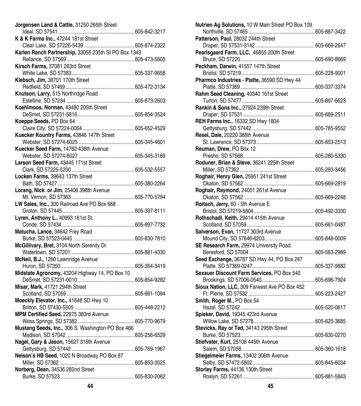| Jorgensen Land & Cattle, 31250 265th Street          |              |
|------------------------------------------------------|--------------|
|                                                      |              |
| K & K Farms Inc., 47244 181st Street                 |              |
|                                                      |              |
| Karlen Ranch Partnership, 33055 235th St PO Box 1343 |              |
|                                                      |              |
| Kirsch Farms, 37081 263rd Street                     |              |
|                                                      |              |
| Klebsch, Jim, 38701 170th Street                     |              |
|                                                      |              |
| Knutson, Larry, 515 Northridge Road                  |              |
|                                                      |              |
| Koehlmoos, Norman, 43480 205th Street                |              |
|                                                      |              |
| Koeppe Seeds, PO Box 64                              |              |
|                                                      |              |
| Kuecker Kountry Farms, 43846 147th Street            |              |
|                                                      |              |
| Kuecker Seed Farm, 14762 438th Avenue                |              |
|                                                      |              |
|                                                      |              |
| Larson Seed Farm, 43445 171st Street                 |              |
|                                                      |              |
| Locken Farms, 39643 137th Street                     |              |
|                                                      |              |
| Lorang, Nick or Jim, 25406 398th Avenue              |              |
|                                                      |              |
| LW Sales, Inc., 300 Railroad Ave PO Box 668          |              |
|                                                      |              |
| Lyren, Anthony L., 40993 161st St.                   |              |
|                                                      |              |
| Matucha, Lance, 34642 Frey Road                      |              |
|                                                      |              |
| McGillivary, Bret, 3104 North Serenity Dr            |              |
|                                                      |              |
| McNeil, B.J., 1260 Lawnridge Avenue                  |              |
| Huron, SD 57350                                      | 605-354-3419 |
| Midstate Agronomy, 43204 Highway 14, PO Box 10       |              |
|                                                      |              |
| Misar, Mark, 41721 294th Street                      |              |
|                                                      |              |
| Moeckly Elevator, Inc., 41648 SD Hwy 10              |              |
|                                                      |              |
| MPM Certified Seed, 22875 383rd Avenue               |              |
|                                                      |              |
| Mustang Seeds, Inc., 306 S. Washington PO Box 466    |              |
|                                                      |              |
|                                                      |              |
| Nagel, Gary & Jason, 15627 316th Avenue              |              |
|                                                      |              |
| Nelson's HB Seed, 1020 N Broadway PO Box 87          |              |
|                                                      |              |
| Norberg, Dean, 34536 282nd Street                    |              |
|                                                      |              |

| itreet                  |              | Patterson, Paul, 28032 244th Street           |  |
|-------------------------|--------------|-----------------------------------------------|--|
|                         |              |                                               |  |
| 55 235th St PO Box 1343 |              | Pearlsgaard Farm, LLC, 46855 200th Street     |  |
|                         |              |                                               |  |
| эt                      |              | Peckham, Darwin, 41557 147th Street           |  |
|                         |              |                                               |  |
| ıt.                     |              | Pharmco Industries - Platte, 36590 SD Hwy 44  |  |
|                         |              |                                               |  |
| Road                    |              | Rahm Seed Cleaning, 40340 161st Street        |  |
|                         |              |                                               |  |
| ith Street              |              | Rankin & Sons Inc., 27924 239th Street        |  |
|                         |              |                                               |  |
|                         |              | <b>REH Farms Inc., 16332 SD Hwy 1804</b>      |  |
|                         |              |                                               |  |
| 147th Street            |              | Resel, Dale, 20220 366th Avenue               |  |
|                         |              |                                               |  |
| h Avenue                |              | Reuman, Drew, PO Box 12                       |  |
| 605-345-3169            |              |                                               |  |
| Street                  |              | Roduner, Brian & Steve, 36241 225th Street    |  |
|                         |              |                                               |  |
|                         |              |                                               |  |
| et :                    |              | Roghair, Henry Glen, 25951 241st Street       |  |
|                         |              |                                               |  |
| th Avenue               |              | Roghair, Raymond, 24051 261st Avenue          |  |
|                         |              |                                               |  |
| PO Box 668              |              | Roitsch, Jerry, 60 - 5th Avenue E.            |  |
| 605-397-8111            |              |                                               |  |
| St.                     |              | Rothschadl, Keith, 29414 415th Avenue         |  |
| 605-897-7732            |              |                                               |  |
| ad                      |              | Salverson, Evan, 11727 303rd Avenue           |  |
|                         |              |                                               |  |
| renity Dr               |              | SE Research Farm, 29974 University Road       |  |
|                         |              |                                               |  |
| enue                    |              | Seed Exchange, 36787 SD Hwy 44, PO Box 247    |  |
|                         |              |                                               |  |
| way 14, PO Box 10       |              | Sexauer Discount Farm Services, PO Box 540    |  |
|                         |              |                                               |  |
|                         |              | Sioux Nation, LLC, 309 Farwest Ave PO Box 452 |  |
|                         |              |                                               |  |
| D Hwy 10                |              | Smith, Roger M., PO Box 54                    |  |
|                         | 605-448-2212 |                                               |  |
| d Avenue                |              | Spieker, David, 19345 423rd Avenue            |  |
|                         |              |                                               |  |
| shington PO Box 466     |              | Stevicks, Ray or Ted, 34143 295th Street      |  |
|                         |              |                                               |  |
| ith Avenue              |              | Stiefvater, Kurt, 25108 445th Avenue          |  |
|                         |              |                                               |  |
| dway PO Box 87          |              | Stiegelmeier Farms, 13402 306th Avenue        |  |
|                         |              |                                               |  |
| eet                     |              | Storley Farms, 44136 130th Street             |  |
| 605-830-2062            |              |                                               |  |
| 44                      |              | 45                                            |  |
|                         |              |                                               |  |

**Nutrien Ag Solutions,** 10 W Main Street PO Box 109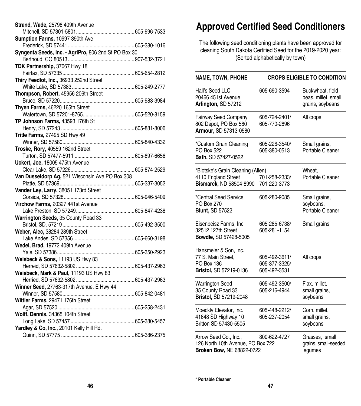| Strand, Wade, 25798 409th Avenue                     |  |
|------------------------------------------------------|--|
|                                                      |  |
| Sumption Farms, 10997 390th Ave                      |  |
|                                                      |  |
| Syngenta Seeds, Inc. - AgriPro, 806 2nd St PO Box 30 |  |
|                                                      |  |
| TDK Partnership, 37067 Hwy 18                        |  |
|                                                      |  |
| Thiry Feedlot, Inc., 36933 252nd Street              |  |
|                                                      |  |
|                                                      |  |
|                                                      |  |
| Thyen Farms, 46220 165th Street                      |  |
|                                                      |  |
| TP Johnson Farms, 43593 176th St                     |  |
|                                                      |  |
| Tritle Farms, 27495 SD Hwy 49                        |  |
|                                                      |  |
| Troske, Rory, 40559 162nd Street                     |  |
|                                                      |  |
| Uckert, Joe, 18005 475th Avenue                      |  |
|                                                      |  |
| Van Dusseldorp Ag, 521 Wisconsin Ave PO Box 308      |  |
|                                                      |  |
| Vander Ley, Larry, 38051 173rd Street                |  |
|                                                      |  |
|                                                      |  |
|                                                      |  |
| Warrington Seeds, 35 County Road 33                  |  |
|                                                      |  |
| Weber, Alec, 38284 289th Street                      |  |
|                                                      |  |
| Wedel, Brad, 19772 409th Avenue                      |  |
|                                                      |  |
| Weisbeck & Sons, 11193 US Hwy 83                     |  |
|                                                      |  |
| Weisbeck, Mark & Paul, 11193 US Hwy 83               |  |
|                                                      |  |
| Winner Seed, 27763-317th Avenue, E Hwy 44            |  |
|                                                      |  |
| Wittler Farms, 29471 176th Street                    |  |
|                                                      |  |
|                                                      |  |
|                                                      |  |
|                                                      |  |
| Yardley & Co, Inc., 20101 Kelly Hill Rd.             |  |
|                                                      |  |

## **Approved Certified Seed Conditioners**

The following seed conditioning plants have been approved for cleaning South Dakota Certified Seed for the 2019-2020 year: (Sorted alphabetically by town)

| <b>NAME, TOWN, PHONE</b>                                                                | <b>CROPS ELIGIBLE TO CONDITION</b>             |                                                             |  |
|-----------------------------------------------------------------------------------------|------------------------------------------------|-------------------------------------------------------------|--|
| Hall's Seed LLC<br>20466 451st Avenue<br>Arlington, SD 57212                            | 605-690-3594                                   | Buckwheat, field<br>peas, millet, small<br>grains, soybeans |  |
| Fairway Seed Company<br>802 Depot, PO Box 580<br>Armour, SD 57313-0580                  | 605-724-2401/<br>605-770-2896                  | All crops                                                   |  |
| *Custom Grain Cleaning<br>PO Box 522<br>Bath, SD 57427-0522                             | 605-226-3540/<br>605-380-0513                  | Small grains,<br>Portable Cleaner                           |  |
| *Blotske's Grain Cleaning (Allen)<br>4110 England Street<br>Bismarck, ND 58504-8990     | 701-258-2333/<br>701-220-3773                  | Wheat.<br>Portable Cleaner                                  |  |
| *Central Seed Service<br>PO Box 270<br><b>Blunt, SD 57522</b>                           | 605-280-9085                                   | Small grains,<br>soybeans,<br>Portable Cleaner              |  |
| Eisenbeisz Farms, Inc.<br>32512 127th Street<br>Bowdle, SD 57428-5005                   | 605-285-6738/<br>605-281-1154                  | Small grains                                                |  |
| Hansmeier & Son, Inc.<br>77 S. Main Street,<br>PO Box 136<br>Bristol, SD 57219-0136     | 605-492-3611/<br>605-377-3325/<br>605-492-3531 | All crops                                                   |  |
| <b>Warrington Seed</b><br>35 County Road 33<br>Bristol, SD 57219-2048                   | 605-492-3500/<br>605-216-4944                  | Flax, millet,<br>small grains,<br>soybeans                  |  |
| Moeckly Elevator, Inc.<br>41648 SD Highway 10<br>Britton SD 57430-5505                  | 605-448-2212/<br>605-237-2054                  | Corn, millet,<br>small grains,<br>soybeans                  |  |
| Arrow Seed Co., Inc.,<br>126 North 10th Avenue, PO Box 722<br>Broken Bow, NE 68822-0722 | 800-622-4727                                   | Grasses, small<br>grains, small-seeded<br>legumes           |  |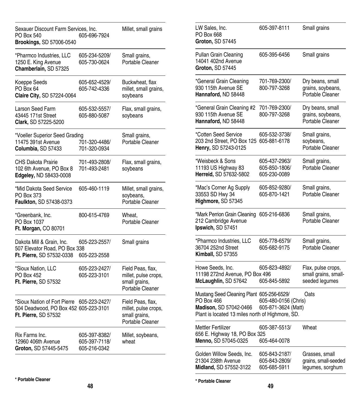| Sexauer Discount Farm Services, Inc.<br>PO Box 540<br>Brookings, SD 57006-0540                              | 605-696-7924                   | Millet, small grains                                                           | LW Sales, Inc.<br>PO Box 668<br>Groton, SD 57445                                                                                                          | 605-397-8111                                   | Small grains                                                 |
|-------------------------------------------------------------------------------------------------------------|--------------------------------|--------------------------------------------------------------------------------|-----------------------------------------------------------------------------------------------------------------------------------------------------------|------------------------------------------------|--------------------------------------------------------------|
| *Pharmco Industries, LLC<br>1250 E. King Avenue<br>Chamberlain, SD 57325                                    | 605-234-5209/<br>605-730-0624  | Small grains,<br>Portable Cleaner                                              | Pullan Grain Cleaning<br>14041 402nd Avenue<br>Groton, SD 57445                                                                                           | 605-395-6456                                   | Small grains                                                 |
| Koeppe Seeds<br>PO Box 64<br>Claire City, SD 57224-0064                                                     | 605-652-4529/<br>605-742-4336  | Buckwheat, flax<br>millet, small grains,<br>soybeans                           | *General Grain Cleaning<br>930 115th Avenue SE<br>Hannaford, ND 58448                                                                                     | 701-769-2300/<br>800-797-3268                  | Dry beans, small<br>grains, soybeans,<br>Portable Cleaner    |
| Larson Seed Farm<br>43445 171st Street<br>Clark, SD 57225-5200                                              | 605-532-5557/<br>605-880-5087  | Flax, small grains,<br>soybeans                                                | *General Grain Cleaning #2<br>930 115th Avenue SE<br>Hannaford, ND 58448                                                                                  | 701-769-2300/<br>800-797-3268                  | Dry beans, small<br>grains, soybeans,<br>Portable Cleaner    |
| *Voeller Superior Seed Grading<br>11475 391st Avenue<br>Columbia, SD 57433                                  | 701-320-4486/<br>701-320-0934  | Small grains,<br>Portable Cleaner                                              | *Cotten Seed Service<br>203 2nd Street, PO Box 125 605-881-6178<br>Henry, SD 57243-0125                                                                   | 605-532-3738/                                  | Small grains,<br>soybeans,<br>Portable Cleaner               |
| CHS Dakota Prairie<br>102 6th Avenue, PO Box 8<br>Edgeley, ND 58433-0008                                    | 701-493-2808/<br>701-493-2481  | Flax, small grains,<br>soybeans                                                | *Weisbeck & Sons<br>11193 US Highway 83<br>Herreid, SD 57632-5802                                                                                         | 605-437-2963/<br>605-850-1806/<br>605-230-0089 | Small grains,<br>Portable Cleaner                            |
| *Mid Dakota Seed Service<br>PO Box 373<br>Faulkton, SD 57438-0373                                           | 605-460-1119                   | Millet, small grains,<br>soybeans,<br>Portable Cleaner                         | *Mac's Corner Ag Supply<br>33553 SD Hwy 34<br>Highmore, SD 57345                                                                                          | 605-852-9280/<br>605-870-1421                  | Small grains,<br>Portable Cleaner                            |
| *Greenbank, Inc.<br>PO Box 1037<br>Ft. Morgan, CO 80701                                                     | 800-615-4769                   | Wheat,<br>Portable Cleaner                                                     | *Mark Perrion Grain Cleaning<br>212 Cambridge Avenue<br>Ipswich, SD 57451                                                                                 | 605-216-6836                                   | Small grains,<br>Portable Cleaner                            |
| Dakota Mill & Grain, Inc.<br>507 Elevator Road, PO Box 338<br>Ft. Pierre, SD 57532-0338                     | 605-223-2557/<br>605-223-2558  | Small grains                                                                   | *Pharmco Industries, LLC<br>36704 252nd Street<br>Kimball, SD 57355                                                                                       | 605-778-6579/<br>605-682-9175                  | Small grains,<br>Portable Cleaner                            |
| *Sioux Nation, LLC<br>PO Box 452<br>Ft. Pierre, SD 57532                                                    | 605-223-2427/<br>605-223-3101  | Field Peas, flax,<br>millet, pulse crops,<br>small grains,<br>Portable Cleaner | Howe Seeds, Inc.<br>11198 272nd Avenue, PO Box 496<br>McLaughlin, SD 57642                                                                                | 605-823-4892/<br>605-845-5892                  | Flax, pulse crops,<br>small grains, small-<br>seeded legumes |
| *Sioux Nation of Fort Pierre 605-223-2427/<br>504 Deadwood, PO Box 452 605-223-3101<br>Ft. Pierre, SD 57532 |                                | Field Peas, flax,<br>millet, pulse crops,<br>small grains,<br>Portable Cleaner | Mustang Seed Cleaning Plant 605-256-6529/<br>PO Box 466<br>Madison, SD 57042-0466 605-871-3624 (Matt)<br>Plant is located 13 miles north of Highmore, SD. | 605-480-0156 (Chris)                           | Oats                                                         |
| Rix Farms Inc.<br>12960 406th Avenue                                                                        | 605-397-8382/<br>605-397-7118/ | Millet, soybeans,<br>wheat                                                     | Mettler Fertilizer<br>656 E. Highway 18, PO Box 325<br>Menno, SD 57045-0325                                                                               | 605-387-5513/<br>605-464-0078                  | Wheat                                                        |
| Groton, SD 57445-5475                                                                                       | 605-216-0342                   |                                                                                | Golden Willow Seeds, Inc.<br>21304 238th Avenue<br>Midland, SD 57552-3122                                                                                 | 605-843-2187/<br>605-843-2809/<br>605-685-5911 | Grasses, small<br>grains, small-seeded<br>legumes, sorghum   |

**\* Portable Cleaner**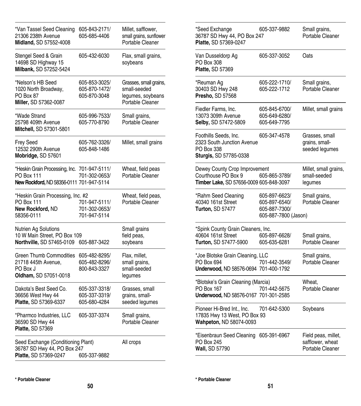| *Van Tassel Seed Cleaning<br>21306 238th Avenue<br>Midland, SD 57552-4008                              | 605-843-2171/<br>605-685-4406                  | Millet, safflower,<br>small grains, sunflower<br>Portable Cleaner               |
|--------------------------------------------------------------------------------------------------------|------------------------------------------------|---------------------------------------------------------------------------------|
| Stengel Seed & Grain<br>14698 SD Highway 15<br>Milbank, SD 57252-5424                                  | 605-432-6030                                   | Flax, small grains,<br>soybeans                                                 |
| *Nelson's HB Seed<br>1020 North Broadway,<br>PO Box 87<br>Miller, SD 57362-0087                        | 605-853-3025/<br>605-870-1472/<br>605-870-3048 | Grasses, small grains,<br>small-seeded<br>legumes, soybeans<br>Portable Cleaner |
| *Wade Strand<br>25798 409th Avenue<br>Mitchell, SD 57301-5801                                          | 605-996-7533/<br>605-770-8790                  | Small grains,<br>Portable Cleaner                                               |
| Frey Seed<br>12532 290th Avenue<br>Mobridge, SD 57601                                                  | 605-762-3326/<br>605-848-1486                  | Millet, small grains                                                            |
| *Heskin Grain Processing, Inc. 701-947-5111/<br>PO Box 111<br>New Rockford, ND 58356-0111 701-947-5114 | 701-302-0653/                                  | Wheat, field peas<br>Portable Cleaner                                           |
| *Heskin Grain Processing, Inc. #2<br><b>PO Box 111</b><br>New Rockford, ND<br>58356-0111               | 701-947-5111/<br>701-302-0653/<br>701-947-5114 | Wheat, field peas,<br>Portable Cleaner                                          |
| Nutrien Ag Solutions<br>10 W Main Street, PO Box 109<br>Northville, SD 57465-0109                      | 605-887-3422                                   | Small grains<br>field peas,<br>soybeans                                         |
| <b>Green Thumb Commodities</b><br>21718 445th Avenue,<br>PO Box J<br>Oldham, SD 57051-0018             | 605-482-8295/<br>605-482-8296/<br>800-843-3327 | Flax, millet,<br>small grains,<br>small-seeded<br>legumes                       |
| Dakota's Best Seed Co.<br>36656 West Hwy 44<br>Platte, SD 57369-6337                                   | 605-337-3318/<br>605-337-3319/<br>605-680-4284 | Grasses, small<br>grains, small-<br>seeded legumes                              |
| *Pharmco Industries, LLC<br>36590 SD Hwy 44<br>Platte, SD 57369                                        | 605-337-3374                                   | Small grains,<br>Portable Cleaner                                               |
| Seed Exchange (Conditioning Plant)<br>36787 SD Hwy 44, PO Box 247<br>Platte, SD 57369-0247             | 605-337-9882                                   | All crops                                                                       |

| *Seed Exchange<br>36787 SD Hwy 44, PO Box 247<br>Platte, SD 57369-0247                          | 605-337-9882                                                            | Small grains,<br>Portable Cleaner                           |
|-------------------------------------------------------------------------------------------------|-------------------------------------------------------------------------|-------------------------------------------------------------|
| Van Dusseldorp Ag<br>PO Box 308<br>Platte, SD 57369                                             | 605-337-3052                                                            | Oats                                                        |
| *Reuman Ag<br>30403 SD Hwy 248<br>Presho, SD 57568                                              | 605-222-1710/<br>605-222-1712                                           | Small grains,<br>Portable Cleaner                           |
| Fiedler Farms, Inc.<br>13073 309th Avenue<br>Selby, SD 57472-5809                               | 605-845-6700/<br>605-649-6280/<br>605-649-7795                          | Millet, small grains                                        |
| Foothills Seeds, Inc.<br>2323 South Junction Avenue<br>PO Box 338<br>Sturgis, SD 57785-0338     | 605-347-4578                                                            | Grasses, small<br>grains, small-<br>seeded legumes          |
| Dewey County Crop Improvement<br>Courthouse PO Box 9<br>Timber Lake, SD 57656-0009 605-848-3097 | 605-865-3789/                                                           | Millet, small grains,<br>small-seeded<br>legumes            |
| *Rahm Seed Cleaning<br>40340 161st Street<br>Turton, SD 57477                                   | 605-897-6623/<br>605-897-6540/<br>605-887-7300/<br>605-887-7800 (Jason) | Small grains,<br>Portable Cleaner                           |
| *Spink County Grain Cleaners, Inc.<br>40604 161st Street<br>Turton, SD 57477-5900               | 605-897-6628/<br>605-635-6281                                           | Small grains,<br>Portable Cleaner                           |
| *Joe Blotske Grain Cleaning, LLC<br>PO Box 694<br>Underwood, ND 58576-0694 701-400-1792         | 701-442-3549/                                                           | Small grains,<br>Portable Cleaner                           |
| *Blotske's Grain Cleaning (Marcia)<br>PO Box 167<br>Underwood, ND 58576-0167 701-301-2585       | 701-442-5675                                                            | Wheat,<br>Portable Cleaner                                  |
| Pioneer Hi-Bred Int., Inc.<br>17835 Hwy 13 West, PO Box 93<br>Wahpeton, ND 58074-0093           | 701-642-5300                                                            | Soybeans                                                    |
| *Eisenbraun Seed Cleaning<br>PO Box 245<br>Wall, SD 57790                                       | 605-391-6967                                                            | Field peas, millet,<br>safflower, wheat<br>Portable Cleaner |

l,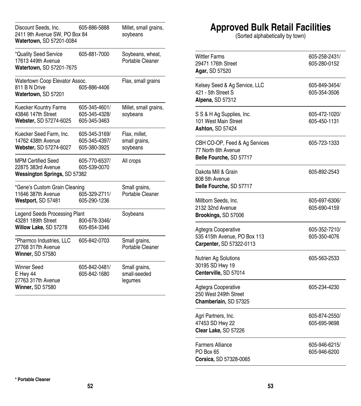| Discount Seeds, Inc.<br>2411 9th Avenue SW, PO Box 84<br>Watertown, SD 57201-0084 | 605-886-5888                                   | Millet, small grains,<br>soybeans          |
|-----------------------------------------------------------------------------------|------------------------------------------------|--------------------------------------------|
| *Quality Seed Service<br>17613 449th Avenue<br>Watertown, SD 57201-7675           | 605-881-7000                                   | Soybeans, wheat,<br>Portable Cleaner       |
| Watertown Coop Elevator Assoc.<br>811 B N Drive<br>Watertown, SD 57201            | 605-886-4406                                   | Flax, small grains                         |
| <b>Kuecker Kountry Farms</b><br>43846 147th Street<br>Webster, SD 57274-6025      | 605-345-4601/<br>605-345-4328/<br>605-345-3463 | Millet, small grains,<br>soybeans          |
| Kuecker Seed Farm, Inc.<br>14762 438th Avenue<br>Webster, SD 57274-6027           | 605-345-3169/<br>605-345-4397/<br>605-380-3925 | Flax, millet,<br>small grains,<br>soybeans |
| <b>MPM Certified Seed</b><br>22875 383rd Avenue<br>Wessington Springs, SD 57382   | 605-770-6537/<br>605-539-0070                  | All crops                                  |
| *Gene's Custom Grain Cleaning<br>11646 387th Avenue<br>Westport, SD 57481         | 605-329-2711/<br>605-290-1236                  | Small grains,<br>Portable Cleaner          |
| Legend Seeds Processing Plant<br>43281 189th Street<br>Willow Lake, SD 57278      | 800-678-3346/<br>605-854-3346                  | Soybeans                                   |
| *Pharmco Industries, LLC<br>27768 317th Avenue<br>Winner, SD 57580                | 605-842-0703                                   | Small grains,<br>Portable Cleaner          |
| Winner Seed<br>E Hwy 44<br>27763 317th Avenue<br>Winner, SD 57580                 | 605-842-0481/<br>605-842-1680                  | Small grains,<br>small-seeded<br>legumes   |

### **Approved Bulk Retail Facilities**

(Sorted alphabetically by town)

| Wittler Farms<br>29471 176th Street<br>Agar, SD 57520                           | 605-258-2431/<br>605-280-0152 |
|---------------------------------------------------------------------------------|-------------------------------|
| Kelsey Seed & Ag Service, LLC<br>421 - 5th Street S<br>Alpena, SD 57312         | 605-849-3454/<br>605-354-3506 |
| S S & H Ag Supplies, Inc.<br>101 West Main Street<br>Ashton, SD 57424           | 605-472-1020/<br>605-450-1131 |
| CBH CO-OP, Feed & Ag Services<br>77 North 6th Avenue<br>Belle Fourche, SD 57717 | 605-723-1333                  |
| Dakota Mill & Grain<br>808 5th Avenue<br>Belle Fourche, SD 57717                | 605-892-2543                  |
| Millborn Seeds, Inc.<br>2132 32nd Avenue<br>Brookings, SD 57006                 | 605-697-6306/<br>605-690-4159 |
| Agtegra Cooperative<br>535 415th Avenue, PO Box 113<br>Carpenter, SD 57322-0113 | 605-352-7210/<br>605-350-4076 |
| Nutrien Ag Solutions<br>30195 SD Hwy 19<br>Centerville, SD 57014                | 605-563-2533                  |
| Agtegra Cooperative<br>250 West 249th Street<br>Chamberlain, SD 57325           | 605-234-4230                  |
| Agri Partners, Inc.<br>47453 SD Hwy 22<br>Clear Lake, SD 57226                  | 605-874-2550/<br>605-695-9698 |
| Farmers Alliance<br>PO Box 65<br>Corsica, SD 57328-0065                         | 605-946-6215/<br>605-946-6200 |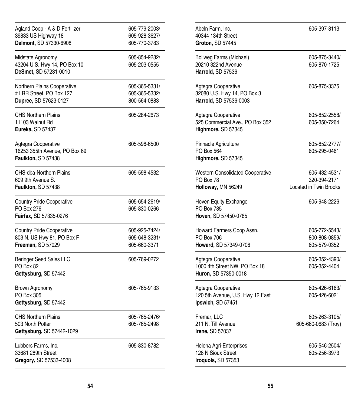| Agland Coop - A & D Fertilizer<br>39833 US Highway 18<br>Delmont, SD 57330-6908     | 605-779-2003/<br>605-928-3627/<br>605-770-3783 |
|-------------------------------------------------------------------------------------|------------------------------------------------|
| Midstate Agronomy<br>43204 U.S. Hwy 14, PO Box 10<br>DeSmet, SD 57231-0010          | 605-854-9282/<br>605-203-0555                  |
| Northern Plains Cooperative<br>#1 RR Street, PO Box 127<br>Dupree, SD 57623-0127    | 605-365-5331/<br>605-365-5332/<br>800-564-0883 |
| <b>CHS Northern Plains</b><br>11103 Walnut Rd<br>Eureka, SD 57437                   | 605-284-2673                                   |
| Agtegra Cooperative<br>16253 355th Avenue, PO Box 69<br>Faulkton, SD 57438          | 605-598-6500                                   |
| CHS-dba-Northern Plains<br>609 9th Avenue S.<br>Faulkton, SD 57438                  | 605-598-4532                                   |
| <b>Country Pride Cooperative</b><br>PO Box 276<br>Fairfax, SD 57335-0276            | 605-654-2619/<br>605-830-0266                  |
| <b>Country Pride Cooperative</b><br>803 N. US Hwy 81, PO Box F<br>Freeman, SD 57029 | 605-925-7424/<br>605-648-3231/<br>605-660-3371 |
| <b>Beringer Seed Sales LLC</b><br>PO Box 82<br>Gettysburg, SD 57442                 | 605-769-0272                                   |
| Brown Agronomy<br>PO Box 305<br>Gettysburg, SD 57442                                | 605-765-9133                                   |
| <b>CHS Northern Plains</b><br>503 North Potter<br>Gettysburg, SD 57442-1029         | 605-765-2476/<br>605-765-2498                  |
| Lubbers Farms, Inc.<br>33681 289th Street<br>Gregory, SD 57533-4008                 | 605-830-8782                                   |

| 605-397-8113                                                   |
|----------------------------------------------------------------|
| 605-875-3440/<br>605-870-1725                                  |
| 605-875-3375                                                   |
| 605-852-2558/<br>605-350-7264                                  |
| 605-852-2777/<br>605-295-0461                                  |
| 605-432-4531/<br>320-394-2171<br><b>Located in Twin Brooks</b> |
| 605-948-2226                                                   |
| 605-772-5543/<br>800-808-0859/<br>605-579-0352                 |
| 605-352-4390/<br>605-352-4404                                  |
| 605-426-6163/<br>605-426-6021                                  |
| 605-263-3105/<br>605-660-0683 (Troy)                           |
| 605-546-2504/<br>605-256-3973                                  |
|                                                                |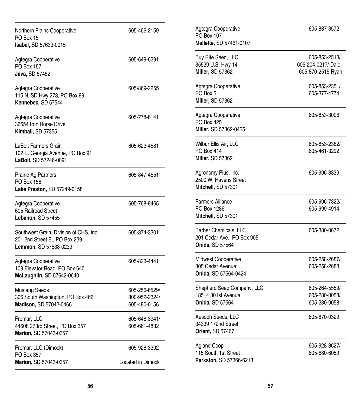| Northern Plains Cooperative<br>PO Box 15<br>Isabel, SD 57633-0015                                | 605-466-2159                                   | Agtegra Cooperative<br>PO Box 107<br>Mellette, SD 57461-0107           | 605-887-3572                                            |
|--------------------------------------------------------------------------------------------------|------------------------------------------------|------------------------------------------------------------------------|---------------------------------------------------------|
| Agtegra Cooperative<br>PO Box 157<br>Java, SD 57452                                              | 605-649-6291                                   | Buy Rite Seed, LLC<br>35539 U.S. Hwy 14<br>Miller, SD 57362            | 605-853-2513/<br>605-204-0217/Dale<br>605-870-2515 Ryan |
| Agtegra Cooperative<br>115 N. SD Hwy 273, PO Box 99<br>Kennebec, SD 57544                        | 605-869-2255                                   | Agtegra Cooperative<br>PO Box 5<br>Miller, SD 57362                    | 605-853-2351/<br>605-377-4774                           |
| Agtegra Cooperative<br>36654 Iron Horse Drive<br>Kimball, SD 57355                               | 605-778-6141                                   | Agtegra Cooperative<br>PO Box 425<br>Miller, SD 57362-0425             | 605-853-3006                                            |
| LaBolt Farmers Grain<br>102 E. Georgia Avenue, PO Box 91<br>LaBolt, SD 57246-0091                | 605-623-4581                                   | Wilbur Ellis Air, LLC<br>PO Box 414<br>Miller, SD 57362                | 605-853-2382/<br>605-461-3292                           |
| Prairie Ag Partners<br>PO Box 158<br>Lake Preston, SD 57249-0158                                 | 605-847-4551                                   | Agronomy Plus, Inc.<br>2500 W. Havens Street<br>Mitchell, SD 57301     | 605-996-3339                                            |
| Agtegra Cooperative<br>605 Railroad Street<br>Lebanon, SD 57455                                  | 605-768-9465                                   | <b>Farmers Alliance</b><br>PO Box 1286<br>Mitchell, SD 57301           | 605-996-7322/<br>605-999-4914                           |
| Southwest Grain, Division of CHS, Inc.<br>201 2nd Street E., PO Box 239<br>Lemmon, SD 57638-0239 | 605-374-3301                                   | Barber Chemicals, LLC<br>201 Cedar Ave., PO Box 905<br>Onida, SD 57564 | 605-380-0672                                            |
| Agtegra Cooperative<br>109 Elevator Road, PO Box 640<br>McLaughlin, SD 57642-0640                | 605-823-4441                                   | Midwest Cooperative<br>305 Cedar Avenue<br>Onida, SD 57564-0424        | 605-258-2687/<br>605-258-2688                           |
| <b>Mustang Seeds</b><br>306 South Washington, PO Box 466<br>Madison, SD 57042-0466               | 605-256-6529/<br>800-952-2324/<br>605-480-0156 | Shepherd Seed Company, LLC<br>18514 301st Avenue<br>Onida, SD 57564    | 605-264-5559/<br>605-280-8058/<br>605-280-9058          |
| Fremar, LLC<br>44608 273rd Street, PO Box 357<br>Marion, SD 57043-0357                           | 605-648-3941/<br>605-661-4882                  | Aesoph Seeds, LLC<br>34339 172nd Street<br>Orient, SD 57467            | 605-870-0329                                            |
| Fremar, LLC (Dimock)<br>PO Box 357<br>Marion, SD 57043-0357                                      | 605-928-3392<br>Located in Dimock              | <b>Agland Coop</b><br>115 South 1st Street<br>Parkston, SD 57366-6213  | 605-928-3627/<br>605-680-6059                           |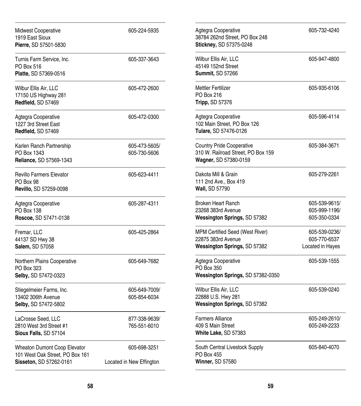| Midwest Cooperative<br>1919 East Sioux<br>Pierre, SD 57501-5830                                   | 605-224-5935                             | Agtegra Cooperative<br>38784 262nd Street, PO Box 248<br>Stickney, SD 57375-0248                | 605-732-4240                                      |
|---------------------------------------------------------------------------------------------------|------------------------------------------|-------------------------------------------------------------------------------------------------|---------------------------------------------------|
| Turnis Farm Service, Inc.<br>PO Box 516<br>Platte, SD 57369-0516                                  | 605-337-3643                             | Wilbur Ellis Air, LLC<br>45149 152nd Street<br>Summit, SD 57266                                 | 605-947-4800                                      |
| Wilbur Ellis Air, LLC<br>17150 US Highway 281<br>Redfield, SD 57469                               | 605-472-2600                             | <b>Mettler Fertilizer</b><br>PO Box 216<br>Tripp, SD 57376                                      | 605-935-6106                                      |
| Agtegra Cooperative<br>1227 3rd Street East<br>Redfield, SD 57469                                 | 605-472-0300                             | Agtegra Cooperative<br>102 Main Street, PO Box 126<br>Tulare, SD 57476-0126                     | 605-596-4114                                      |
| Karlen Ranch Partnership<br>PO Box 1343<br>Reliance, SD 57569-1343                                | 605-473-5605/<br>605-730-5606            | <b>Country Pride Cooperative</b><br>310 W. Railroad Street, PO Box 159<br>Wagner, SD 57380-0159 | 605-384-3671                                      |
| <b>Revillo Farmers Elevator</b><br><b>PO Box 98</b><br>Revillo, SD 57259-0098                     | 605-623-4411                             | Dakota Mill & Grain<br>111 2nd Ave., Box 419<br>Wall, SD 57790                                  | 605-279-2261                                      |
| Agtegra Cooperative<br>PO Box 138<br>Roscoe, SD 57471-0138                                        | 605-287-4311                             | <b>Broken Heart Ranch</b><br>23268 383rd Avenue<br>Wessington Springs, SD 57382                 | 605-539-9615/<br>605-999-1196/<br>605-350-0334    |
| Fremar, LLC<br>44137 SD Hwy 38<br>Salem, SD 57058                                                 | 605-425-2864                             | MPM Certified Seed (West River)<br>22875 383rd Avenue<br>Wessington Springs, SD 57382           | 605-539-0236/<br>605-770-6537<br>Located in Hayes |
| Northern Plains Cooperative<br>PO Box 323<br>Selby, SD 57472-0323                                 | 605-649-7682                             | Agtegra Cooperative<br>PO Box 350<br>Wessington Springs, SD 57382-0350                          | 605-539-1555                                      |
| Stiegelmeier Farms, Inc.<br>13402 306th Avenue<br>Selby, SD 57472-5802                            | 605-649-7009/<br>605-854-6034            | Wilbur Ellis Air, LLC<br>22888 U.S. Hwy 281<br>Wessington Springs, SD 57382                     | 605-539-0240                                      |
| LaCrosse Seed, LLC<br>2810 West 3rd Street #1<br>Sioux Falls, SD 57104                            | 877-338-9639/<br>765-551-6010            | <b>Farmers Alliance</b><br>409 S Main Street<br>White Lake, SD 57383                            | 605-249-2610/<br>605-249-2233                     |
| <b>Wheaton Dumont Coop Elevator</b><br>101 West Oak Street, PO Box 161<br>Sisseton, SD 57262-0161 | 605-698-3251<br>Located in New Effington | South Central Livestock Supply<br>PO Box 455<br><b>Winner, SD 57580</b>                         | 605-840-4070                                      |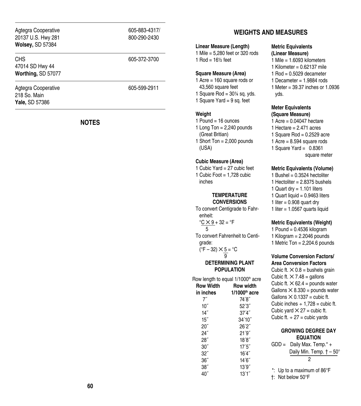| Agtegra Cooperative<br>20137 U.S. Hwy 281<br><b>Wolsey, SD 57384</b> | 605-883-4317/<br>800-290-2430 | <b>Linear Measu</b>                                                                                                                |
|----------------------------------------------------------------------|-------------------------------|------------------------------------------------------------------------------------------------------------------------------------|
| <b>CHS</b><br>47014 SD Hwy 44<br>Worthing, SD 57077                  | 605-372-3700                  | 1 Mile = $5,280$<br>1 Rod = $16\frac{1}{2}$<br><b>Square Meas</b><br>1 Acre = $160$<br>43,560 squa<br>1 Square Rod<br>1 Square Yar |
| Agtegra Cooperative<br>218 So. Main<br><b>Yale, SD 57386</b>         | 605-599-2911                  |                                                                                                                                    |

#### **NOTES**

#### **WEIGHTS AND MEASURES**

#### **Linear Measure (Length)**

1 feet or 320 rods feet

#### **Sure (Area)**

- square rods or are feet
- $= 30\%$  sq. yds.
- $d = 9$  sq. feet

#### **Weight**

- 1 Pound  $=$  16 ounces
- 1 Long Ton  $= 2,240$  pounds (Great Britian)
- 1 Short Ton = 2,000 pounds (USA)

#### **Cubic Measure (Area)**

1 Cubic Yard = 27 cubic feet 1 Cubic Foot  $= 1,728$  cubic inches

#### **TEMPERATURE CONVERSIONS**

To convert Centigrade to Fahr enheit:

 $^{\circ}$ <u>C  $\times$  9</u> + 32 =  $^{\circ}$ F 5 To convert Fahrenheit to Centi -

grade: ( $\degree$ F – 32)  $\times$  5 =  $\degree$ C

9

#### **DETERMINING PLANT POPULATION**

Row length to equal 1/1000<sup>th</sup> acre **Row Width Row width in inches 1/1000th acre** 7˝ 74´8˝

| $10^{\prime\prime}$ | 52'3''  |
|---------------------|---------|
| 14"                 | 37'4''  |
| 15"                 | 34'10'' |
| 20''                | 26'2''  |
| 24″                 | 21'9''  |
| 28″                 | 18'8''  |
| $30^{\prime\prime}$ | 17'5''  |
| $32^{''}$           | 16'4''  |
| 36''                | 14'6''  |
| 38''                | 13'9''  |
| 40″                 | 13'1''  |

#### **Metric Equivalents (Linear Measure)**

- 1 Mile = 1.6093 kilometers
- 1 Kilometer =  $0.62137$  mile
- $1$  Rod = 0.5029 decameter
- 1 Decameter  $= 1.9884$  rods
- 1 Meter = 39.37 inches or 1.0936 yds.

#### **Meter Equivalents (Square Measure)**

1 Acre =  $0.04047$  hectare 1 Hectare  $= 2.471$  acres 1 Square Rod =  $0.2529$  acre 1 Acre =  $8.594$  square rods 1 Square Yard =  $0.8361$ square meter

#### **Metric Equivalents (Volume)**

1 Bushel =  $0.3524$  hectoliter 1 Hectoliter =  $2.8375$  bushels 1 Quart dry  $= 1.101$  liters 1 Quart liquid  $= 0.9463$  liters 1 liter  $= 0.908$  quart dry 1 liter  $= 1.0567$  quarts liquid

#### **Metric Equivalents (Weight)**

1 Pound =  $0.4536$  kilogram 1 Kilogram  $= 2.2046$  pounds 1 Metric Ton  $= 2,204.6$  pounds

#### **Volume Conversion Factors/ Area Conversion Factors**

Cubic ft.  $\times$  0.8 = bushels grain Cubic ft.  $\times$  7.48 = gallons Cubic ft.  $\times$  62.4 = pounds water Gallons  $\times$  8.330 = pounds water Gallons  $\times$  0.1337 = cubic ft. Cubic inches  $\div 1.728 =$  cubic ft. Cubic yard  $\times$  27 = cubic ft. Cubic ft.  $\div$  27 = cubic yards

#### **GROWING DEGREE DAY EQUATION**

- $GDD =$  Daily Max. Temp. $* +$  Daily Min. Temp. † – 50°  $\overline{2}$
- \*: Up to a maximum of 86°F
- †: Not below 50°F